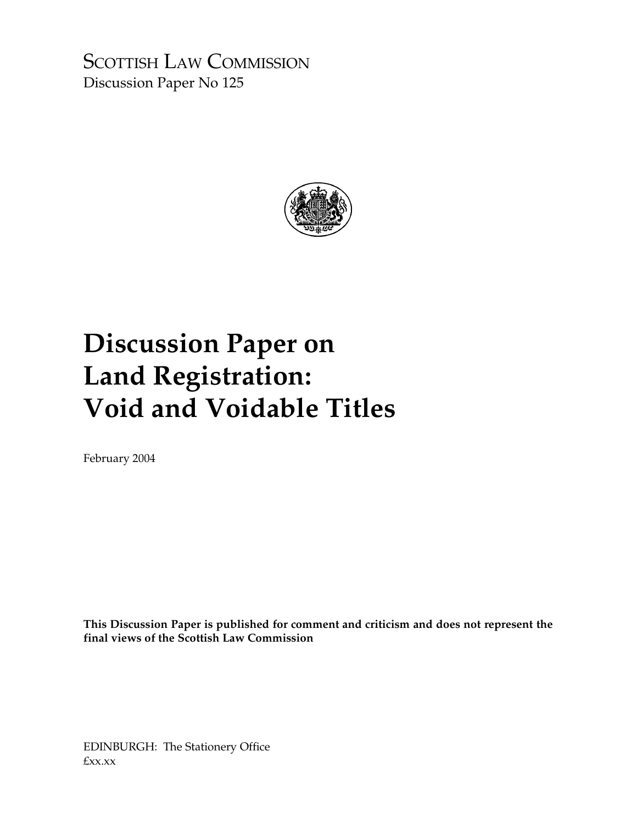SCOTTISH LAW COMMISSION Discussion Paper No 125



# **Discussion Paper on Land Registration: Void and Voidable Titles**

February 2004

**This Discussion Paper is published for comment and criticism and does not represent the final views of the Scottish Law Commission** 

EDINBURGH: The Stationery Office £xx.xx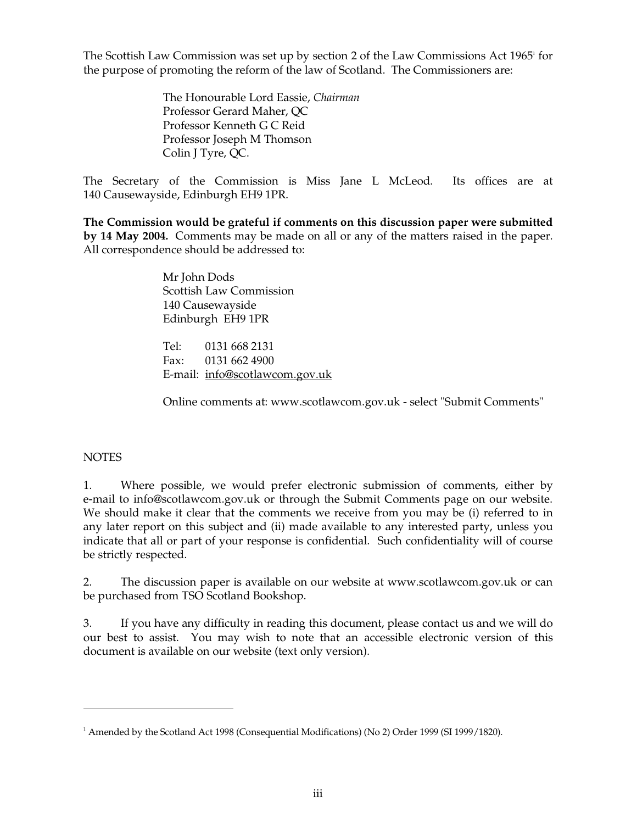The Scottish Law Commission was set up by section 2 of the Law Commissions Act 1965<sup>1</sup> for the purpose of promoting the reform of the law of Scotland. The Commissioners are:

> The Honourable Lord Eassie, *Chairman*  Professor Gerard Maher, QC Professor Kenneth G C Reid Professor Joseph M Thomson Colin J Tyre, QC.

The Secretary of the Commission is Miss Jane L McLeod. Its offices are at 140 Causewayside, Edinburgh EH9 1PR.

**The Commission would be grateful if comments on this discussion paper were submitted by 14 May 2004.** Comments may be made on all or any of the matters raised in the paper. All correspondence should be addressed to:

> Mr John Dods Scottish Law Commission 140 Causewayside Edinburgh EH9 1PR

Tel: 0131 668 2131 Fax: 0131 662 4900 E-mail: info@scotlawcom.gov.uk

Online comments at: www.scotlawcom.gov.uk - select "Submit Comments"

### **NOTES**

1. Where possible, we would prefer electronic submission of comments, either by e-mail to info@scotlawcom.gov.uk or through the Submit Comments page on our website. We should make it clear that the comments we receive from you may be (i) referred to in any later report on this subject and (ii) made available to any interested party, unless you indicate that all or part of your response is confidential. Such confidentiality will of course be strictly respected.

2. The discussion paper is available on our website at www.scotlawcom.gov.uk or can be purchased from TSO Scotland Bookshop.

3. If you have any difficulty in reading this document, please contact us and we will do our best to assist. You may wish to note that an accessible electronic version of this document is available on our website (text only version).

 $1$  Amended by the Scotland Act 1998 (Consequential Modifications) (No 2) Order 1999 (SI 1999/1820).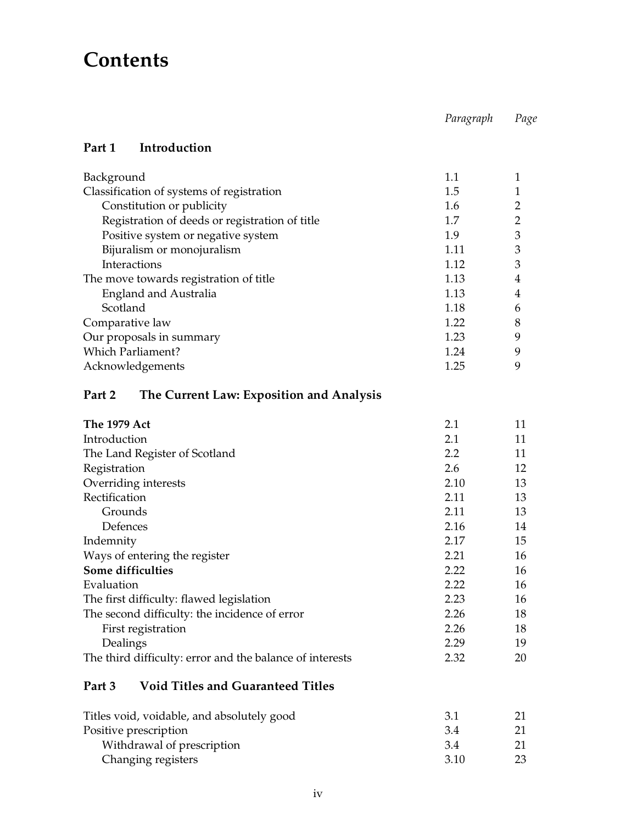## **Contents**

*Paragraph Page* 

### **Part 1 Introduction**

| Background                                     | 1.1  |   |
|------------------------------------------------|------|---|
| Classification of systems of registration      | 1.5  |   |
| Constitution or publicity                      | 1.6  |   |
| Registration of deeds or registration of title | 1.7  | っ |
| Positive system or negative system             | 1.9  | З |
| Bijuralism or monojuralism                     | 1.11 | 3 |
| Interactions                                   | 1.12 | 3 |
| The move towards registration of title         | 1.13 | 4 |
| England and Australia                          | 1.13 | 4 |
| Scotland                                       | 1.18 | 6 |
| Comparative law                                | 1.22 | 8 |
| Our proposals in summary                       | 1.23 | 9 |
| <b>Which Parliament?</b>                       | 1.24 | q |
| Acknowledgements                               | 1.25 | 9 |

## **Part 2 The Current Law: Exposition and Analysis**

| The 1979 Act                                             | 2.1              | 11 |
|----------------------------------------------------------|------------------|----|
| Introduction                                             | 2.1              | 11 |
| The Land Register of Scotland                            | $2.2\phantom{0}$ | 11 |
| Registration                                             | 2.6              | 12 |
| Overriding interests                                     | 2.10             | 13 |
| Rectification                                            | 2.11             | 13 |
| Grounds                                                  | 2.11             | 13 |
| Defences                                                 | 2.16             | 14 |
| Indemnity                                                | 2.17             | 15 |
| Ways of entering the register                            | 2.21             | 16 |
| Some difficulties                                        | 2.22             | 16 |
| Evaluation                                               | 2.22             | 16 |
| The first difficulty: flawed legislation                 | 2.23             | 16 |
| The second difficulty: the incidence of error            | 2.26             | 18 |
| First registration                                       | 2.26             | 18 |
| Dealings                                                 | 2.29             | 19 |
| The third difficulty: error and the balance of interests | 2.32             | 20 |
|                                                          |                  |    |

## **Part 3 Void Titles and Guaranteed Titles**

| Titles void, voidable, and absolutely good | 3.1  |  |
|--------------------------------------------|------|--|
| Positive prescription                      | 3.4  |  |
| Withdrawal of prescription                 | -3.4 |  |
| Changing registers                         | 3.10 |  |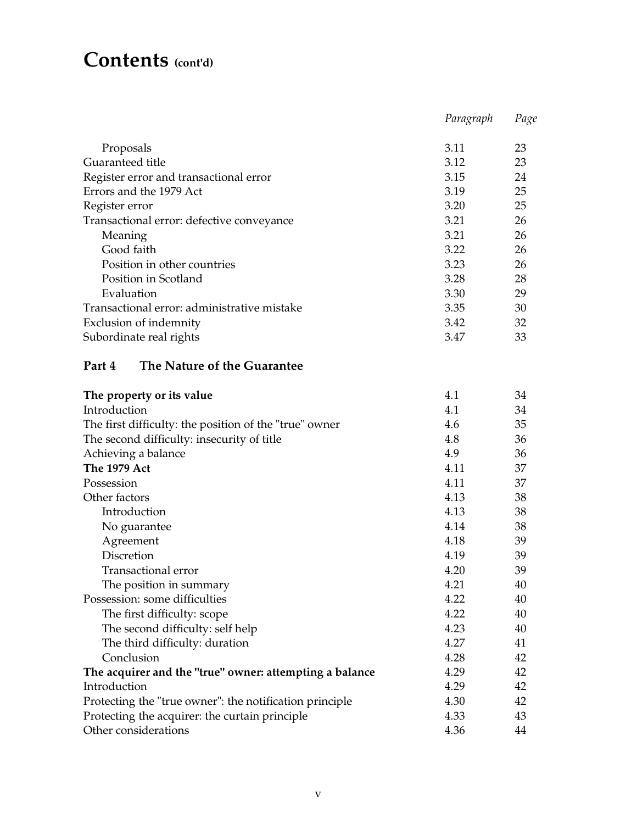## **Contents (cont'd)**

|                                             | Paragraph | Page |
|---------------------------------------------|-----------|------|
|                                             |           |      |
| Proposals                                   | 3.11      | 23   |
| Guaranteed title                            | 3.12      | 23   |
| Register error and transactional error      | 3.15      | 24   |
| Errors and the 1979 Act                     | 3.19      | 25   |
| Register error                              | 3.20      | 25   |
| Transactional error: defective conveyance   | 3.21      | 26   |
| Meaning                                     | 3.21      | 26   |
| Good faith                                  | 3.22      | 26   |
| Position in other countries                 | 3.23      | 26   |
| Position in Scotland                        | 3.28      | 28   |
| Evaluation                                  | 3.30      | 29   |
| Transactional error: administrative mistake | 3.35      | 30   |
| Exclusion of indemnity                      | 3.42      | 32   |
| Subordinate real rights                     | 3.47      | 33   |
|                                             |           |      |

### **Part 4 The Nature of the Guarantee**

| The property or its value                               | 4.1  | 34 |
|---------------------------------------------------------|------|----|
| Introduction                                            | 4.1  | 34 |
| The first difficulty: the position of the "true" owner  | 4.6  | 35 |
| The second difficulty: insecurity of title              | 4.8  | 36 |
| Achieving a balance                                     | 4.9  | 36 |
| <b>The 1979 Act</b>                                     | 4.11 | 37 |
| Possession                                              | 4.11 | 37 |
| Other factors                                           | 4.13 | 38 |
| Introduction                                            | 4.13 | 38 |
| No guarantee                                            | 4.14 | 38 |
| Agreement                                               | 4.18 | 39 |
| Discretion                                              | 4.19 | 39 |
| <b>Transactional error</b>                              | 4.20 | 39 |
| The position in summary                                 | 4.21 | 40 |
| Possession: some difficulties                           | 4.22 | 40 |
| The first difficulty: scope                             | 4.22 | 40 |
| The second difficulty: self help                        | 4.23 | 40 |
| The third difficulty: duration                          | 4.27 | 41 |
| Conclusion                                              | 4.28 | 42 |
| The acquirer and the "true" owner: attempting a balance | 4.29 | 42 |
| Introduction                                            | 4.29 | 42 |
| Protecting the "true owner": the notification principle | 4.30 | 42 |
| Protecting the acquirer: the curtain principle          | 4.33 | 43 |
| Other considerations                                    | 4.36 | 44 |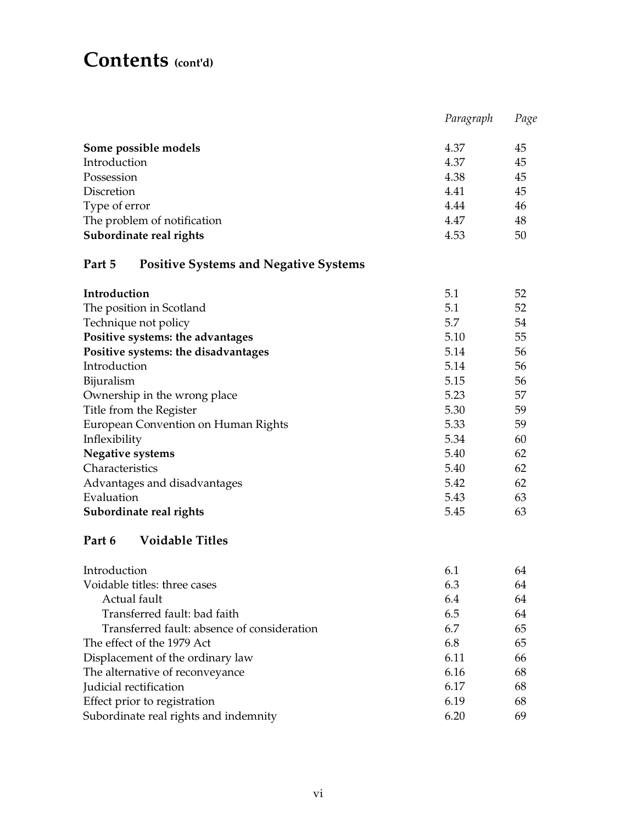## **Contents (cont'd)**

|                                                        | Paragraph | Page |
|--------------------------------------------------------|-----------|------|
| Some possible models                                   | 4.37      | 45   |
| Introduction                                           | 4.37      | 45   |
| Possession                                             | 4.38      | 45   |
| Discretion                                             | 4.41      | 45   |
| Type of error                                          | 4.44      | 46   |
| The problem of notification                            | 4.47      | 48   |
| Subordinate real rights                                | 4.53      | 50   |
| Part 5<br><b>Positive Systems and Negative Systems</b> |           |      |
| Introduction                                           | 5.1       | 52   |
| The position in Scotland                               | 5.1       | 52   |
| Technique not policy                                   | 5.7       | 54   |
| Positive systems: the advantages                       | 5.10      | 55   |
| Positive systems: the disadvantages                    | 5.14      | 56   |
| Introduction                                           | 5.14      | 56   |
| Bijuralism                                             | 5.15      | 56   |
| Ownership in the wrong place                           | 5.23      | 57   |
| Title from the Register                                | 5.30      | 59   |
| European Convention on Human Rights                    | 5.33      | 59   |
| Inflexibility                                          | 5.34      | 60   |
| <b>Negative systems</b>                                | 5.40      | 62   |
| Characteristics                                        | 5.40      | 62   |
| Advantages and disadvantages                           | 5.42      | 62   |
| Evaluation                                             | 5.43      | 63   |
| Subordinate real rights                                | 5.45      | 63   |
| <b>Voidable Titles</b><br>Part 6                       |           |      |
| Introduction                                           | 6.1       | 64   |
| Voidable titles: three cases                           | 6.3       | 64   |
| Actual fault                                           | 6.4       | 64   |
| Transferred fault: bad faith                           | 6.5       | 64   |
| Transferred fault: absence of consideration            | 6.7       | 65   |
| The effect of the 1979 Act                             | 6.8       | 65   |
| Displacement of the ordinary law                       | 6.11      | 66   |
| The alternative of reconveyance                        | 6.16      | 68   |
| Judicial rectification                                 | 6.17      | 68   |
| Effect prior to registration                           | 6.19      | 68   |
| Subordinate real rights and indemnity                  | 6.20      | 69   |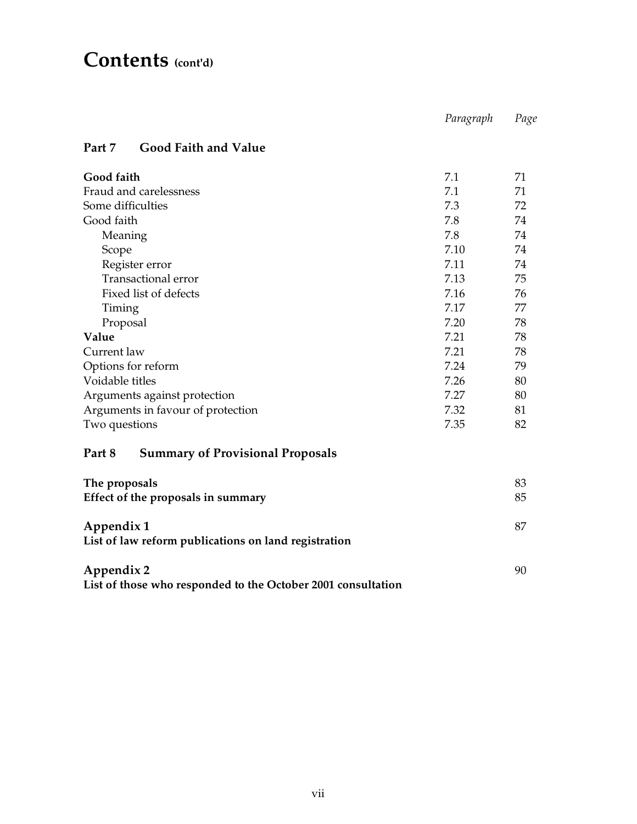## **Contents (cont'd)**

|                                                                    | Paragraph | Page |
|--------------------------------------------------------------------|-----------|------|
| <b>Good Faith and Value</b><br>Part 7                              |           |      |
| Good faith                                                         | 7.1       | 71   |
| Fraud and carelessness                                             | 7.1       | 71   |
| Some difficulties                                                  | 7.3       | 72   |
| Good faith                                                         | 7.8       | 74   |
| Meaning                                                            | 7.8       | 74   |
| Scope                                                              | 7.10      | 74   |
| Register error                                                     | 7.11      | 74   |
| <b>Transactional error</b>                                         | 7.13      | 75   |
| Fixed list of defects                                              | 7.16      | 76   |
| Timing                                                             | 7.17      | 77   |
| Proposal                                                           | 7.20      | 78   |
| Value                                                              | 7.21      | 78   |
| Current law                                                        | 7.21      | 78   |
| Options for reform                                                 | 7.24      | 79   |
| Voidable titles                                                    | 7.26      | 80   |
| Arguments against protection                                       | 7.27      | 80   |
| Arguments in favour of protection                                  | 7.32      | 81   |
| Two questions                                                      | 7.35      | 82   |
| <b>Summary of Provisional Proposals</b><br>Part 8                  |           |      |
| The proposals                                                      |           | 83   |
| Effect of the proposals in summary                                 |           | 85   |
| Appendix 1<br>List of law reform publications on land registration |           | 87   |

**Appendix 2** 90 **List of those who responded to the October 2001 consultation** 

90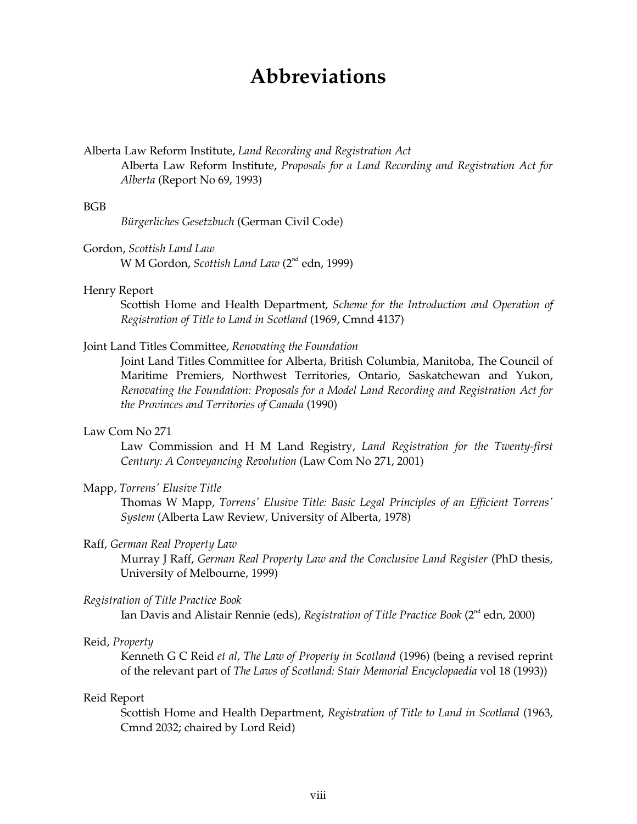## **Abbreviations**

### Alberta Law Reform Institute, *Land Recording and Registration Act*  Alberta Law Reform Institute, *Proposals for a Land Recording and Registration Act for Alberta* (Report No 69, 1993)

#### BGB

*Bürgerliches Gesetzbuch* (German Civil Code)

Gordon, *Scottish Land Law*  W M Gordon, *Scottish Land Law* (2<sup>nd</sup> edn, 1999)

### Henry Report

Scottish Home and Health Department, *Scheme for the Introduction and Operation of Registration of Title to Land in Scotland* (1969, Cmnd 4137)

#### Joint Land Titles Committee, *Renovating the Foundation*

Joint Land Titles Committee for Alberta, British Columbia, Manitoba, The Council of Maritime Premiers, Northwest Territories, Ontario, Saskatchewan and Yukon, *Renovating the Foundation: Proposals for a Model Land Recording and Registration Act for the Provinces and Territories of Canada* (1990)

#### Law Com No 271

Law Commission and H M Land Registry, *Land Registration for the Twenty-first Century: A Conveyancing Revolution* (Law Com No 271, 2001)

#### Mapp, *Torrens' Elusive Title*

Thomas W Mapp, *Torrens' Elusive Title: Basic Legal Principles of an Efficient Torrens' System* (Alberta Law Review, University of Alberta, 1978)

#### Raff, *German Real Property Law*

Murray J Raff, *German Real Property Law and the Conclusive Land Register* (PhD thesis, University of Melbourne, 1999)

#### *Registration of Title Practice Book*

Ian Davis and Alistair Rennie (eds), *Registration of Title Practice Book* (2<sup>nd</sup> edn, 2000)

### Reid, *Property*

Kenneth G C Reid *et al*, *The Law of Property in Scotland* (1996) (being a revised reprint of the relevant part of *The Laws of Scotland: Stair Memorial Encyclopaedia* vol 18 (1993))

#### Reid Report

Scottish Home and Health Department, *Registration of Title to Land in Scotland* (1963, Cmnd 2032; chaired by Lord Reid)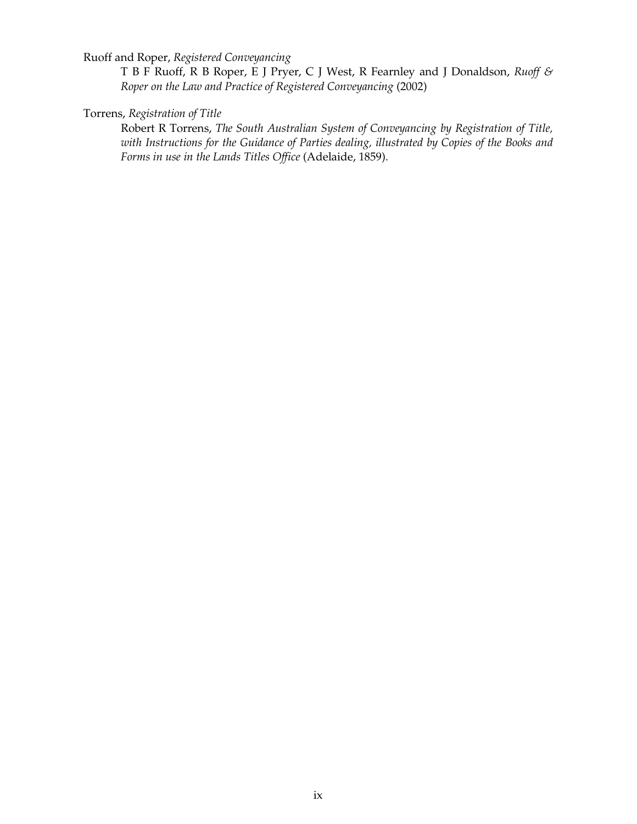Ruoff and Roper, *Registered Conveyancing* 

T B F Ruoff, R B Roper, E J Pryer, C J West, R Fearnley and J Donaldson, *Ruoff & Roper on the Law and Practice of Registered Conveyancing* (2002)

#### Torrens, *Registration of Title*

Robert R Torrens, *The South Australian System of Conveyancing by Registration of Title, with Instructions for the Guidance of Parties dealing, illustrated by Copies of the Books and Forms in use in the Lands Titles Office* (Adelaide, 1859).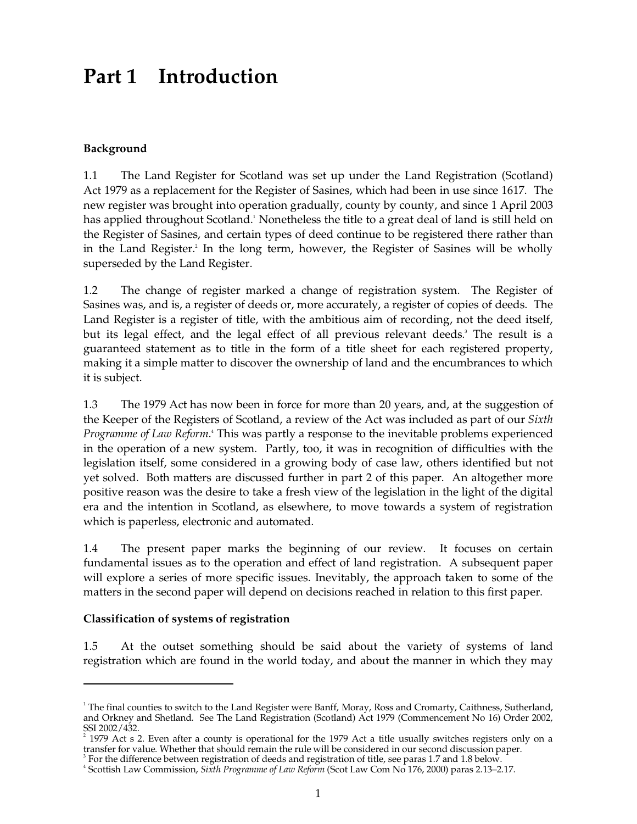## **Part 1 Introduction**

### **Background**

1.1 The Land Register for Scotland was set up under the Land Registration (Scotland) Act 1979 as a replacement for the Register of Sasines, which had been in use since 1617. The new register was brought into operation gradually, county by county, and since 1 April 2003 has applied throughout Scotland. 1 Nonetheless the title to a great deal of land is still held on the Register of Sasines, and certain types of deed continue to be registered there rather than in the Land Register. 2 In the long term, however, the Register of Sasines will be wholly superseded by the Land Register.

1.2 The change of register marked a change of registration system. The Register of Sasines was, and is, a register of deeds or, more accurately, a register of copies of deeds. The Land Register is a register of title, with the ambitious aim of recording, not the deed itself, but its legal effect, and the legal effect of all previous relevant deeds. 3 The result is a guaranteed statement as to title in the form of a title sheet for each registered property, making it a simple matter to discover the ownership of land and the encumbrances to which it is subject.

1.3 The 1979 Act has now been in force for more than 20 years, and, at the suggestion of the Keeper of the Registers of Scotland, a review of the Act was included as part of our *Sixth*  Programme of Law Reform.<sup>4</sup> This was partly a response to the inevitable problems experienced in the operation of a new system. Partly, too, it was in recognition of difficulties with the legislation itself, some considered in a growing body of case law, others identified but not yet solved. Both matters are discussed further in part 2 of this paper. An altogether more positive reason was the desire to take a fresh view of the legislation in the light of the digital era and the intention in Scotland, as elsewhere, to move towards a system of registration which is paperless, electronic and automated.

1.4 The present paper marks the beginning of our review. It focuses on certain fundamental issues as to the operation and effect of land registration. A subsequent paper will explore a series of more specific issues. Inevitably, the approach taken to some of the matters in the second paper will depend on decisions reached in relation to this first paper.

### **Classification of systems of registration**

1.5 At the outset something should be said about the variety of systems of land registration which are found in the world today, and about the manner in which they may

 $1$  The final counties to switch to the Land Register were Banff, Moray, Ross and Cromarty, Caithness, Sutherland, and Orkney and Shetland. See The Land Registration (Scotland) Act 1979 (Commencement No 16) Order 2002,

 $^2$  1979 Act s 2. Even after a county is operational for the 1979 Act a title usually switches registers only on a transfer for value. Whether that should remain the rule will be considered in our second discussion paper

<sup>&</sup>lt;sup>3</sup> For the difference between registration of deeds and registration of title, see paras 1.7 and 1.8 below.<br><sup>4</sup> Scottish Law Commission, *Sixth Programme of Law Reform* (Scot Law Com No 176, 2000) paras 2.13–2.17.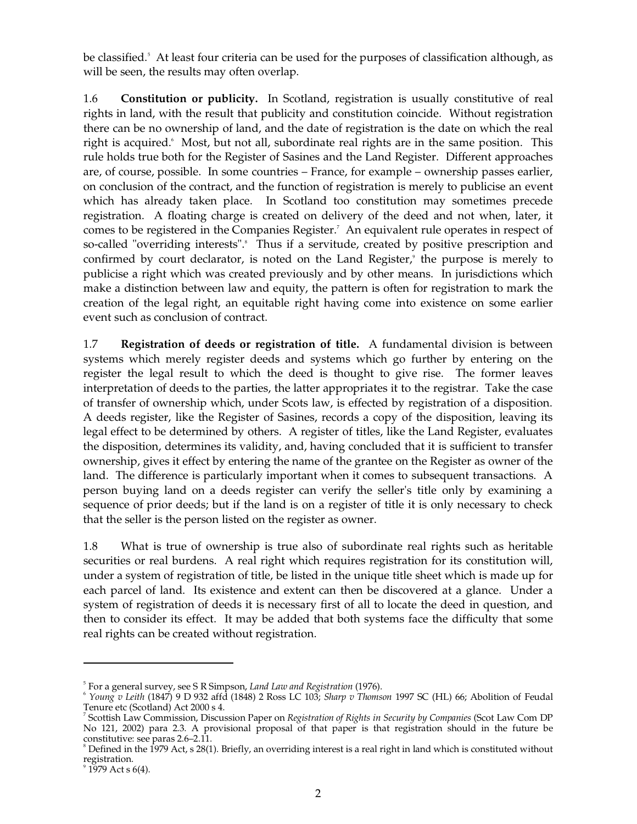be classified. 5 At least four criteria can be used for the purposes of classification although, as will be seen, the results may often overlap.

1.6 **Constitution or publicity.** In Scotland, registration is usually constitutive of real rights in land, with the result that publicity and constitution coincide. Without registration there can be no ownership of land, and the date of registration is the date on which the real right is acquired. 6 Most, but not all, subordinate real rights are in the same position. This rule holds true both for the Register of Sasines and the Land Register. Different approaches are, of course, possible. In some countries – France, for example – ownership passes earlier, on conclusion of the contract, and the function of registration is merely to publicise an event which has already taken place. In Scotland too constitution may sometimes precede registration. A floating charge is created on delivery of the deed and not when, later, it comes to be registered in the Companies Register. 7 An equivalent rule operates in respect of so-called "overriding interests".<sup>8</sup> Thus if a servitude, created by positive prescription and confirmed by court declarator, is noted on the Land Register,<sup>9</sup> the purpose is merely to publicise a right which was created previously and by other means. In jurisdictions which make a distinction between law and equity, the pattern is often for registration to mark the creation of the legal right, an equitable right having come into existence on some earlier event such as conclusion of contract.

1.7 **Registration of deeds or registration of title.** A fundamental division is between systems which merely register deeds and systems which go further by entering on the register the legal result to which the deed is thought to give rise. The former leaves interpretation of deeds to the parties, the latter appropriates it to the registrar. Take the case of transfer of ownership which, under Scots law, is effected by registration of a disposition. A deeds register, like the Register of Sasines, records a copy of the disposition, leaving its legal effect to be determined by others. A register of titles, like the Land Register, evaluates the disposition, determines its validity, and, having concluded that it is sufficient to transfer ownership, gives it effect by entering the name of the grantee on the Register as owner of the land. The difference is particularly important when it comes to subsequent transactions. A person buying land on a deeds register can verify the seller's title only by examining a sequence of prior deeds; but if the land is on a register of title it is only necessary to check that the seller is the person listed on the register as owner.

1.8 What is true of ownership is true also of subordinate real rights such as heritable securities or real burdens. A real right which requires registration for its constitution will, under a system of registration of title, be listed in the unique title sheet which is made up for each parcel of land. Its existence and extent can then be discovered at a glance. Under a system of registration of deeds it is necessary first of all to locate the deed in question, and then to consider its effect. It may be added that both systems face the difficulty that some real rights can be created without registration.

<sup>&</sup>lt;sup>5</sup> For a general survey, see S R Simpson, *Land Law and Registration* (1976).<br><sup>6</sup> *Young v Leith* (1847) 9 D 932 affd (1848) 2 Ross LC 103; *Sharp v Thomson* 1997 SC (HL) 66; Abolition of Feudal Tenure etc (Scotland) Act

<sup>&</sup>lt;sup>7</sup> Scottish Law Commission, Discussion Paper on *Registration of Rights in Security by Companies* (Scot Law Com DP No 121, 2002) para 2.3. A provisional proposal of that paper is that registration should in the future be constitutive: see paras 2.6–2.11.<br><sup>8</sup> Defined in the 1979 Act, s 28(1). Briefly, an overriding interest is a real right in land which is constituted without

registration.<br><sup>9</sup> 1979 Act s 6(4).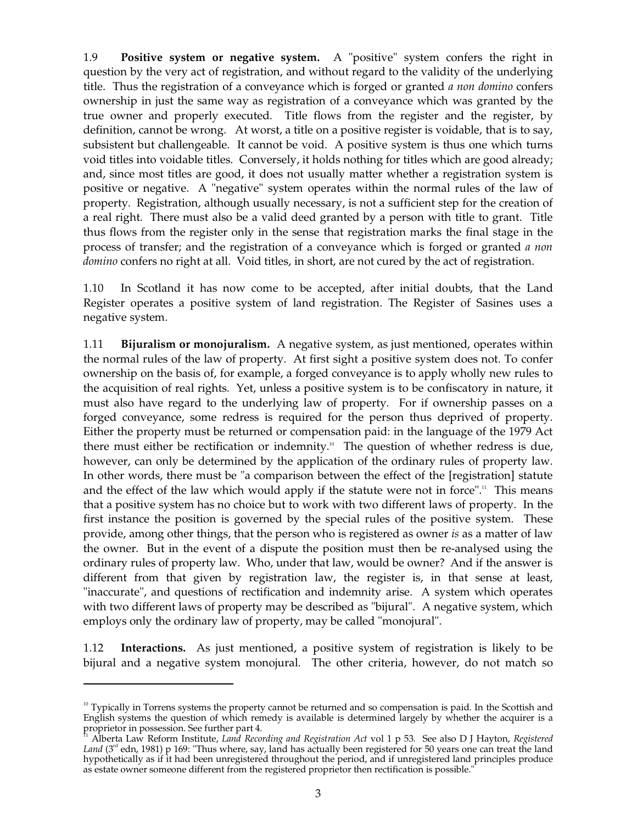1.9 **Positive system or negative system.** A "positive" system confers the right in question by the very act of registration, and without regard to the validity of the underlying title. Thus the registration of a conveyance which is forged or granted *a non domino* confers ownership in just the same way as registration of a conveyance which was granted by the true owner and properly executed. Title flows from the register and the register, by definition, cannot be wrong. At worst, a title on a positive register is voidable, that is to say, subsistent but challengeable. It cannot be void. A positive system is thus one which turns void titles into voidable titles. Conversely, it holds nothing for titles which are good already; and, since most titles are good, it does not usually matter whether a registration system is positive or negative. A "negative" system operates within the normal rules of the law of property. Registration, although usually necessary, is not a sufficient step for the creation of a real right. There must also be a valid deed granted by a person with title to grant. Title thus flows from the register only in the sense that registration marks the final stage in the process of transfer; and the registration of a conveyance which is forged or granted *a non domino* confers no right at all. Void titles, in short, are not cured by the act of registration.

1.10 In Scotland it has now come to be accepted, after initial doubts, that the Land Register operates a positive system of land registration. The Register of Sasines uses a negative system.

1.11 **Bijuralism or monojuralism.** A negative system, as just mentioned, operates within the normal rules of the law of property. At first sight a positive system does not. To confer ownership on the basis of, for example, a forged conveyance is to apply wholly new rules to the acquisition of real rights. Yet, unless a positive system is to be confiscatory in nature, it must also have regard to the underlying law of property. For if ownership passes on a forged conveyance, some redress is required for the person thus deprived of property. Either the property must be returned or compensation paid: in the language of the 1979 Act there must either be rectification or indemnity.<sup>10</sup> The question of whether redress is due, however, can only be determined by the application of the ordinary rules of property law. In other words, there must be "a comparison between the effect of the [registration] statute and the effect of the law which would apply if the statute were not in force".<sup>11</sup> This means that a positive system has no choice but to work with two different laws of property. In the first instance the position is governed by the special rules of the positive system. These provide, among other things, that the person who is registered as owner *is* as a matter of law the owner. But in the event of a dispute the position must then be re-analysed using the ordinary rules of property law. Who, under that law, would be owner? And if the answer is different from that given by registration law, the register is, in that sense at least, "inaccurate", and questions of rectification and indemnity arise. A system which operates with two different laws of property may be described as "bijural". A negative system, which employs only the ordinary law of property, may be called "monojural".

1.12 **Interactions.** As just mentioned, a positive system of registration is likely to be bijural and a negative system monojural. The other criteria, however, do not match so

<sup>&</sup>lt;sup>10</sup> Typically in Torrens systems the property cannot be returned and so compensation is paid. In the Scottish and English systems the question of which remedy is available is determined largely by whether the acquirer is a

Alberta Law Reform Institute, *Land Recording and Registration Act vol* 1 p 53. See also D J Hayton, *Registered* Land (3<sup>rd</sup> edn, 1981) p 169: "Thus where, say, land has actually been registered for 50 years one can treat the land hypothetically as if it had been unregistered throughout the period, and if unregistered land principles produce as estate owner someone different from the registered proprietor then rectification is possible."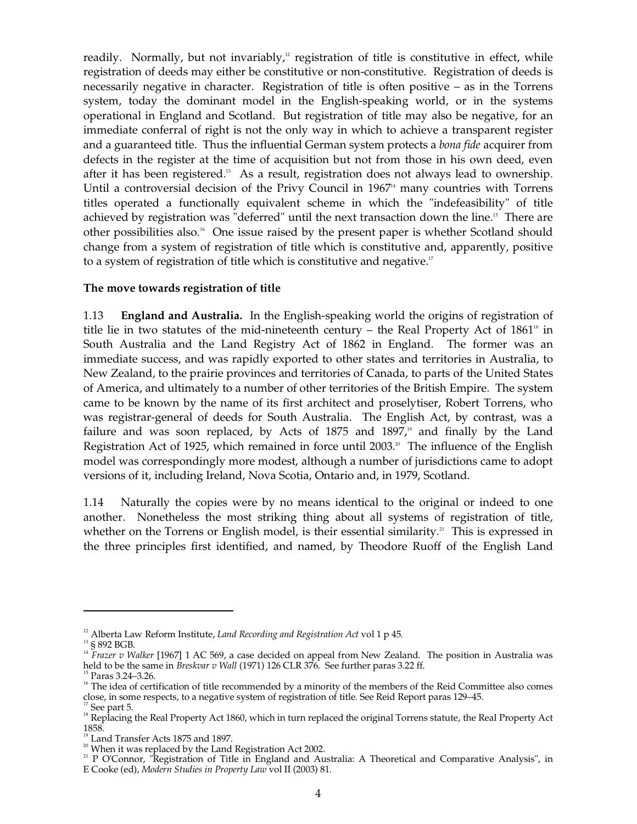readily. Normally, but not invariably,<sup>12</sup> registration of title is constitutive in effect, while registration of deeds may either be constitutive or non-constitutive. Registration of deeds is necessarily negative in character. Registration of title is often positive – as in the Torrens system, today the dominant model in the English-speaking world, or in the systems operational in England and Scotland. But registration of title may also be negative, for an immediate conferral of right is not the only way in which to achieve a transparent register and a guaranteed title. Thus the influential German system protects a *bona fide* acquirer from defects in the register at the time of acquisition but not from those in his own deed, even after it has been registered.<sup>13</sup> As a result, registration does not always lead to ownership. Until a controversial decision of the Privy Council in  $1967<sup>4</sup>$  many countries with Torrens titles operated a functionally equivalent scheme in which the "indefeasibility" of title achieved by registration was "deferred" until the next transaction down the line. 15 There are other possibilities also. 16 One issue raised by the present paper is whether Scotland should change from a system of registration of title which is constitutive and, apparently, positive to a system of registration of title which is constitutive and negative.<sup>17</sup>

### **The move towards registration of title**

1.13 **England and Australia.** In the English-speaking world the origins of registration of title lie in two statutes of the mid-nineteenth century – the Real Property Act of  $1861<sup>18</sup>$  in South Australia and the Land Registry Act of 1862 in England. The former was an immediate success, and was rapidly exported to other states and territories in Australia, to New Zealand, to the prairie provinces and territories of Canada, to parts of the United States of America, and ultimately to a number of other territories of the British Empire. The system came to be known by the name of its first architect and proselytiser, Robert Torrens, who was registrar-general of deeds for South Australia. The English Act, by contrast, was a failure and was soon replaced, by Acts of 1875 and 1897,<sup>19</sup> and finally by the Land Registration Act of 1925, which remained in force until 2003.<sup>20</sup> The influence of the English model was correspondingly more modest, although a number of jurisdictions came to adopt versions of it, including Ireland, Nova Scotia, Ontario and, in 1979, Scotland.

1.14 Naturally the copies were by no means identical to the original or indeed to one another. Nonetheless the most striking thing about all systems of registration of title, whether on the Torrens or English model, is their essential similarity.<sup>21</sup> This is expressed in the three principles first identified, and named, by Theodore Ruoff of the English Land

<sup>&</sup>lt;sup>12</sup> Alberta Law Reform Institute, *Land Recording and Registration Act* vol 1 p 45.<br><sup>13</sup> § 892 BGB.<br><sup>14</sup> *Frazer v Walker* [1967] 1 AC 569, a case decided on appeal from New Zealand. The position in Australia was held to

<sup>&</sup>lt;sup>15</sup> Paras 3.24–3.26.<br><sup>16</sup> The idea of certification of title recommended by a minority of the members of the Reid Committee also comes<br>close, in some respects, to a negative system of registration of title. See Reid Repor

<sup>&</sup>lt;sup>17</sup> See part 5.<br><sup>18</sup> Replacing the Real Property Act 1860, which in turn replaced the original Torrens statute, the Real Property Act<br>1858.

<sup>&</sup>lt;sup>19</sup> Land Transfer Acts 1875 and 1897.<br><sup>20</sup> When it was replaced by the Land Registration Act 2002.<br><sup>21</sup> P O'Connor, "Registration of Title in England and Australia: A Theoretical and Comparative Analysis", in E Cooke (ed), *Modern Studies in Property Law* vol II (2003) 81.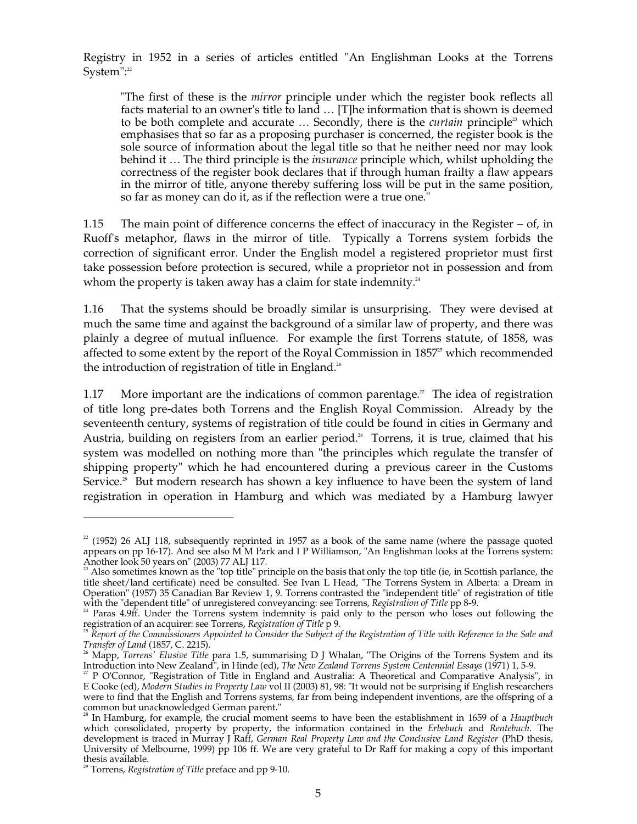Registry in 1952 in a series of articles entitled "An Englishman Looks at the Torrens System": 22

"The first of these is the *mirror* principle under which the register book reflects all facts material to an owner's title to land ... [T]he information that is shown is deemed to be both complete and accurate ... Secondly, there is the *curtain* principle<sup>23</sup> which emphasises that so far as a proposing purchaser is concerned, the register book is the sole source of information about the legal title so that he neither need nor may look behind it … The third principle is the *insurance* principle which, whilst upholding the correctness of the register book declares that if through human frailty a flaw appears in the mirror of title, anyone thereby suffering loss will be put in the same position, so far as money can do it, as if the reflection were a true one."

1.15 The main point of difference concerns the effect of inaccuracy in the Register – of, in Ruoff's metaphor, flaws in the mirror of title. Typically a Torrens system forbids the correction of significant error. Under the English model a registered proprietor must first take possession before protection is secured, while a proprietor not in possession and from whom the property is taken away has a claim for state indemnity.<sup>24</sup>

1.16 That the systems should be broadly similar is unsurprising. They were devised at much the same time and against the background of a similar law of property, and there was plainly a degree of mutual influence. For example the first Torrens statute, of 1858, was affected to some extent by the report of the Royal Commission in  $1857<sup>25</sup>$  which recommended the introduction of registration of title in England.<sup>26</sup>

1.17 More important are the indications of common parentage.<sup> $27$ </sup> The idea of registration of title long pre-dates both Torrens and the English Royal Commission. Already by the seventeenth century, systems of registration of title could be found in cities in Germany and Austria, building on registers from an earlier period. 28 Torrens, it is true, claimed that his system was modelled on nothing more than "the principles which regulate the transfer of shipping property" which he had encountered during a previous career in the Customs Service.<sup>29</sup> But modern research has shown a key influence to have been the system of land registration in operation in Hamburg and which was mediated by a Hamburg lawyer

 $22$  (1952) 26 ALJ 118, subsequently reprinted in 1957 as a book of the same name (where the passage quoted appears on pp 16-17). And see also M M Park and I P Williamson, "An Englishman looks at the Torrens system:

Another look 50 years on" (2003) 77 ALJ 117.<br><sup>23</sup> Also sometimes known as the "top title" principle on the basis that only the top title (ie, in Scottish parlance, the title sheet/land certificate) need be consulted. See Ivan L Head, "The Torrens System in Alberta: a Dream in Operation" (1957) 35 Canadian Bar Review 1, 9. Torrens contrasted the "independent title" of registration of title

with the "dependent title" of unregistered conveyancing: see Torrens, *Registration of Title* pp 8-9.<br><sup>24</sup> Paras 4.9ff. Under the Torrens system indemnity is paid only to the person who loses out following the

registration of an acquirer: see Torrens*, Registration of Title p 9.*<br><sup>25</sup> Report of the Commissioners Appointed to Consider the Subject of the Registration of Title with Reference to the Sale and

*Transfer of Land* (1857, C. 2215).<br><sup>26</sup> Mapp*, Torrens' Elusive Title* para 1.5, summarising D J Whalan, "The Origins of the Torrens System and its Introduction into New Zealand", in Hinde (ed), The New Zealand Torrens System Centennial Essays (1971) 1, 5-9.<br><sup>27</sup> P O'Connor, "Registration of Title in England and Australia: A Theoretical and Comparative Analysis", in

E Cooke (ed), *Modern Studies in Property Law* vol II (2003) 81, 98: "It would not be surprising if English researchers were to find that the English and Torrens systems, far from being independent inventions, are the offspring of a common but unacknowledged German parent." 28 In Hamburg, for example, the crucial moment seems to have been the establishment in 1659 of a *Hauptbuch* 

which consolidated, property by property, the information contained in the *Erbebuch* and *Rentebuch*. The development is traced in Murray J Raff, *German Real Property Law and the Conclusive Land Register* (PhD thesis, University of Melbourne, 1999) pp 106 ff. We are very grateful to Dr Raff for making a copy of this important thesis available. 29 Torrens, *Registration of Title* preface and pp 9-10.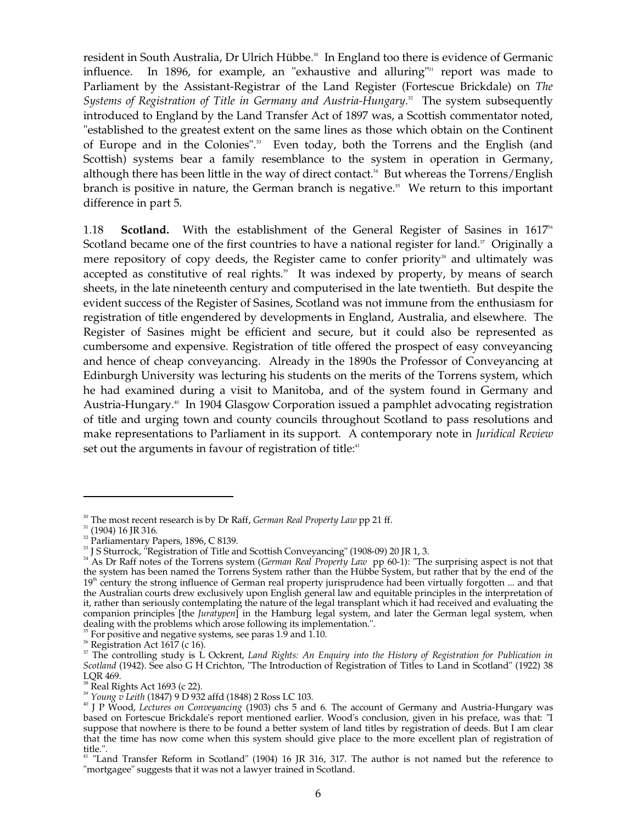resident in South Australia, Dr Ulrich Hübbe. 30 In England too there is evidence of Germanic influence. In 1896, for example, an "exhaustive and alluring" 31 report was made to Parliament by the Assistant-Registrar of the Land Register (Fortescue Brickdale) on *The*  Systems of Registration of Title in Germany and Austria-Hungary.<sup>32</sup> The system subsequently introduced to England by the Land Transfer Act of 1897 was, a Scottish commentator noted, "established to the greatest extent on the same lines as those which obtain on the Continent of Europe and in the Colonies". 33 Even today, both the Torrens and the English (and Scottish) systems bear a family resemblance to the system in operation in Germany, although there has been little in the way of direct contact. 34 But whereas the Torrens/English branch is positive in nature, the German branch is negative. 35 We return to this important difference in part 5.

1.18 **Scotland.** With the establishment of the General Register of Sasines in  $1617^{\circ}$ Scotland became one of the first countries to have a national register for land.<sup>37</sup> Originally a mere repository of copy deeds, the Register came to confer priority<sup>38</sup> and ultimately was accepted as constitutive of real rights. 39 It was indexed by property, by means of search sheets, in the late nineteenth century and computerised in the late twentieth. But despite the evident success of the Register of Sasines, Scotland was not immune from the enthusiasm for registration of title engendered by developments in England, Australia, and elsewhere. The Register of Sasines might be efficient and secure, but it could also be represented as cumbersome and expensive. Registration of title offered the prospect of easy conveyancing and hence of cheap conveyancing. Already in the 1890s the Professor of Conveyancing at Edinburgh University was lecturing his students on the merits of the Torrens system, which he had examined during a visit to Manitoba, and of the system found in Germany and Austria-Hungary. 40 In 1904 Glasgow Corporation issued a pamphlet advocating registration of title and urging town and county councils throughout Scotland to pass resolutions and make representations to Parliament in its support. A contemporary note in *Juridical Review*  set out the arguments in favour of registration of title:<sup>41</sup>

<sup>&</sup>lt;sup>30</sup> The most recent research is by Dr Raff, *German Real Property Law* pp 21 ff.<br><sup>31</sup> (1904) 16 JR 316.

 $32$  Parliamentary Papers, 1896, C 8139.

<sup>&</sup>lt;sup>33</sup> J S Sturrock, "Registration of Title and Scottish Conveyancing" (1908-09) 20 JR 1, 3.<br><sup>34</sup> As Dr Raff notes of the Torrens system (*German Real Property Law* pp 60-1): "The surprising aspect is not that the system has been named the Torrens System rather than the Hübbe System, but rather that by the end of the 19<sup>th</sup> century the strong influence of German real property jurisprudence had been virtually forgotten ... and that the Australian courts drew exclusively upon English general law and equitable principles in the interpretation of it, rather than seriously contemplating the nature of the legal transplant which it had received and evaluating the companion principles [the *Juratypen*] in the Hamburg legal system, and later the German legal system, when dealing with the problems which arose following its implementation.".<br><sup>35</sup> For positive and negative systems, see paras 1.9 and 1.10.<br><sup>36</sup> Registration Act 1617 (c 16).<br><sup>37</sup> The controlling study is L Ockrent, *Land Rights* 

*Scotland* (1942). See also G H Crichton, "The Introduction of Registration of Titles to Land in Scotland" (1922) 38

LQR 469.<br><sup>38</sup> Real Rights Act 1693 (c 22).<br><sup>39</sup> Young v Leith (1847) 9 D 932 affd (1848) 2 Ross LC 103.<br><sup>40</sup> J P Wood*, Lectures on Conveyancing* (1903) chs 5 and 6. The account of Germany and Austria-Hungary was based on Fortescue Brickdale's report mentioned earlier. Wood's conclusion, given in his preface, was that: "I suppose that nowhere is there to be found a better system of land titles by registration of deeds. But I am clear that the time has now come when this system should give place to the more excellent plan of registration of title.".<br><sup>41</sup> "Land Transfer Reform in Scotland" (1904) 16 JR 316, 317. The author is not named but the reference to

<sup>&</sup>quot;mortgagee" suggests that it was not a lawyer trained in Scotland.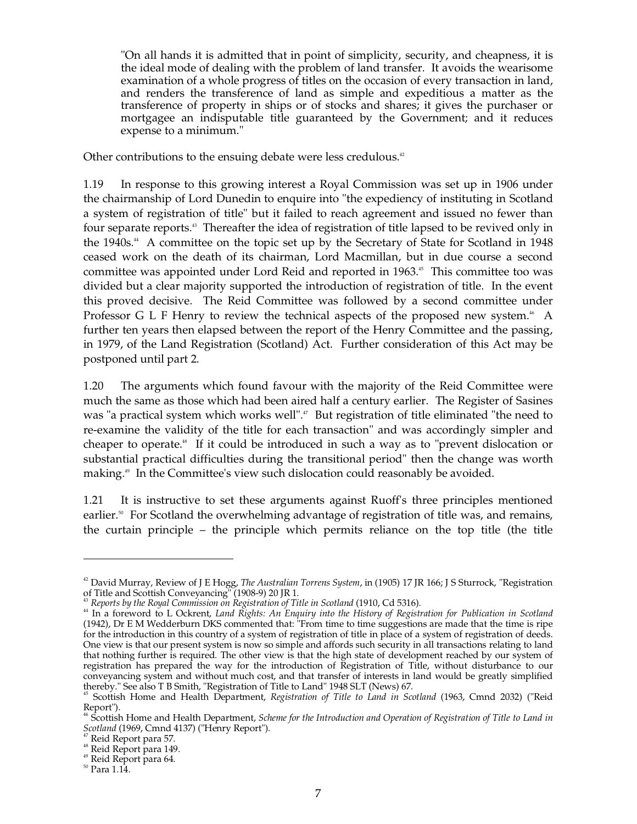"On all hands it is admitted that in point of simplicity, security, and cheapness, it is the ideal mode of dealing with the problem of land transfer. It avoids the wearisome examination of a whole progress of titles on the occasion of every transaction in land, and renders the transference of land as simple and expeditious a matter as the transference of property in ships or of stocks and shares; it gives the purchaser or mortgagee an indisputable title guaranteed by the Government; and it reduces expense to a minimum."

Other contributions to the ensuing debate were less credulous.<sup>42</sup>

1.19 In response to this growing interest a Royal Commission was set up in 1906 under the chairmanship of Lord Dunedin to enquire into "the expediency of instituting in Scotland a system of registration of title" but it failed to reach agreement and issued no fewer than four separate reports. 43 Thereafter the idea of registration of title lapsed to be revived only in the 1940s. 44 A committee on the topic set up by the Secretary of State for Scotland in 1948 ceased work on the death of its chairman, Lord Macmillan, but in due course a second committee was appointed under Lord Reid and reported in 1963. 45 This committee too was divided but a clear majority supported the introduction of registration of title. In the event this proved decisive. The Reid Committee was followed by a second committee under Professor G L F Henry to review the technical aspects of the proposed new system.<sup>46</sup> A further ten years then elapsed between the report of the Henry Committee and the passing, in 1979, of the Land Registration (Scotland) Act. Further consideration of this Act may be postponed until part 2.

1.20 The arguments which found favour with the majority of the Reid Committee were much the same as those which had been aired half a century earlier. The Register of Sasines was "a practical system which works well". 47 But registration of title eliminated "the need to re-examine the validity of the title for each transaction" and was accordingly simpler and cheaper to operate. 48 If it could be introduced in such a way as to "prevent dislocation or substantial practical difficulties during the transitional period" then the change was worth making. 49 In the Committee's view such dislocation could reasonably be avoided.

1.21 It is instructive to set these arguments against Ruoff's three principles mentioned earlier.<sup>50</sup> For Scotland the overwhelming advantage of registration of title was, and remains, the curtain principle – the principle which permits reliance on the top title (the title

<sup>&</sup>lt;sup>42</sup> David Murray, Review of J E Hogg, *The Australian Torrens System,* in (1905) 17 JR 166; J S Sturrock, "Registration<br>of Title and Scottish Conveyancing" (1908-9) 20 JR 1.<br><sup>43</sup> Reports by the Royal Commission on Registr

<sup>44</sup> In a foreword to L Ockrent, *Land Rights: An Enquiry into the History of Registration for Publication in Scotland*  (1942), Dr E M Wedderburn DKS commented that: "From time to time suggestions are made that the time is ripe for the introduction in this country of a system of registration of title in place of a system of registration of deeds. One view is that our present system is now so simple and affords such security in all transactions relating to land that nothing further is required. The other view is that the high state of development reached by our system of registration has prepared the way for the introduction of Registration of Title, without disturbance to our conveyancing system and without much cost, and that transfer of interests in land would be greatly simplified

thereby." See also T B Smith, "Registration of Title to Land" 1948 SLT (News) 67. 45 Scottish Home and Health Department, *Registration of Title to Land in Scotland* (1963, Cmnd 2032) ("Reid Report").<br><sup>46</sup> Scottish Home and Health Department*, Scheme for the Introduction and Operation of Registration of Title to Land in* 

*Scotland* (1969, Cmnd 4137) ("Henry Report").<br><sup>47</sup> Reid Report para 57.<br><sup>48</sup> Reid Report para 149.<br><sup>49</sup> Reid Report para 64. 50 Para 1.14.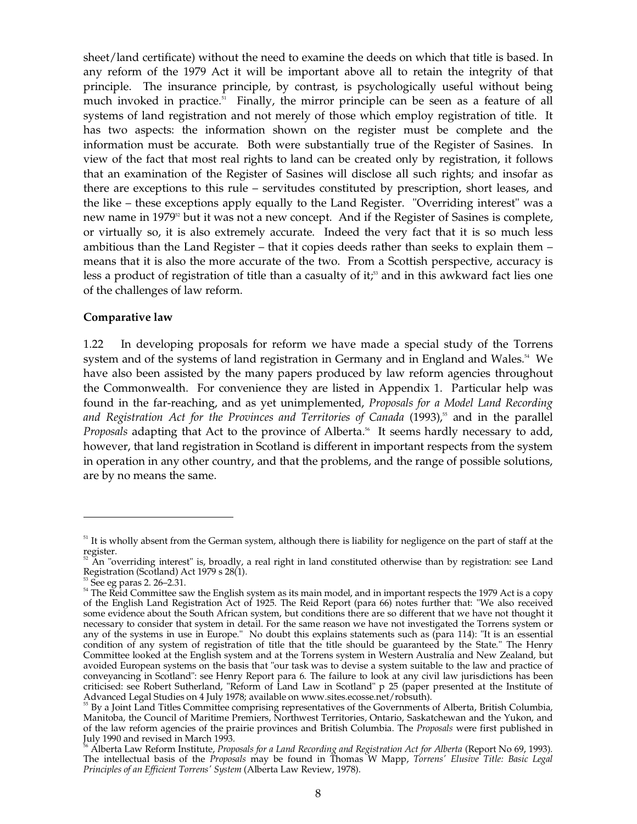sheet/land certificate) without the need to examine the deeds on which that title is based. In any reform of the 1979 Act it will be important above all to retain the integrity of that principle. The insurance principle, by contrast, is psychologically useful without being much invoked in practice. 51 Finally, the mirror principle can be seen as a feature of all systems of land registration and not merely of those which employ registration of title. It has two aspects: the information shown on the register must be complete and the information must be accurate. Both were substantially true of the Register of Sasines. In view of the fact that most real rights to land can be created only by registration, it follows that an examination of the Register of Sasines will disclose all such rights; and insofar as there are exceptions to this rule – servitudes constituted by prescription, short leases, and the like – these exceptions apply equally to the Land Register. "Overriding interest" was a new name in 1979<sup>52</sup> but it was not a new concept. And if the Register of Sasines is complete, or virtually so, it is also extremely accurate. Indeed the very fact that it is so much less ambitious than the Land Register – that it copies deeds rather than seeks to explain them – means that it is also the more accurate of the two. From a Scottish perspective, accuracy is less a product of registration of title than a casualty of it; 53 and in this awkward fact lies one of the challenges of law reform.

### **Comparative law**

1.22 In developing proposals for reform we have made a special study of the Torrens system and of the systems of land registration in Germany and in England and Wales. 54 We have also been assisted by the many papers produced by law reform agencies throughout the Commonwealth. For convenience they are listed in Appendix 1. Particular help was found in the far-reaching, and as yet unimplemented, *Proposals for a Model Land Recording*  and Registration Act for the Provinces and Territories of Canada (1993),<sup>55</sup> and in the parallel Proposals adapting that Act to the province of Alberta.<sup>56</sup> It seems hardly necessary to add, however, that land registration in Scotland is different in important respects from the system in operation in any other country, and that the problems, and the range of possible solutions, are by no means the same.

<sup>&</sup>lt;sup>51</sup> It is wholly absent from the German system, although there is liability for negligence on the part of staff at the

register.<br><sup>52</sup> An "overriding interest" is, broadly, a real right in land constituted otherwise than by registration: see Land<br>Registration (Scotland) Act 1979 s 28(1).

<sup>&</sup>lt;sup>53</sup> See eg paras 2. 26–2.31.<br><sup>54</sup> The Reid Committee saw the English system as its main model, and in important respects the 1979 Act is a copy of the English Land Registration Act of 1925. The Reid Report (para 66) notes further that: "We also received some evidence about the South African system, but conditions there are so different that we have not thought it necessary to consider that system in detail. For the same reason we have not investigated the Torrens system or any of the systems in use in Europe." No doubt this explains statements such as (para 114): "It is an essential condition of any system of registration of title that the title should be guaranteed by the State." The Henry Committee looked at the English system and at the Torrens system in Western Australia and New Zealand, but avoided European systems on the basis that "our task was to devise a system suitable to the law and practice of conveyancing in Scotland": see Henry Report para 6. The failure to look at any civil law jurisdictions has been criticised: see Robert Sutherland, "Reform of Land Law in Scotland" p 25 (paper presented at the Institute of Advanced Legal Studies on 4 July 1978; available on www.sites.ecosse.net/robsuth).<br><sup>55</sup> By a Joint Land Titles Committee comprising representatives of the Governments of Alberta, British Columbia,

Manitoba, the Council of Maritime Premiers, Northwest Territories, Ontario, Saskatchewan and the Yukon, and of the law reform agencies of the prairie provinces and British Columbia. The *Proposals* were first published in

<sup>&</sup>lt;sup>56</sup> Alberta Law Reform Institute, *Proposals for a Land Recording and Registration Act for Alberta* (Report No 69, 1993). The intellectual basis of the *Proposals* may be found in Thomas W Mapp, *Torrens' Elusive Title: Basic Legal Principles of an Efficient Torrens' System* (Alberta Law Review, 1978).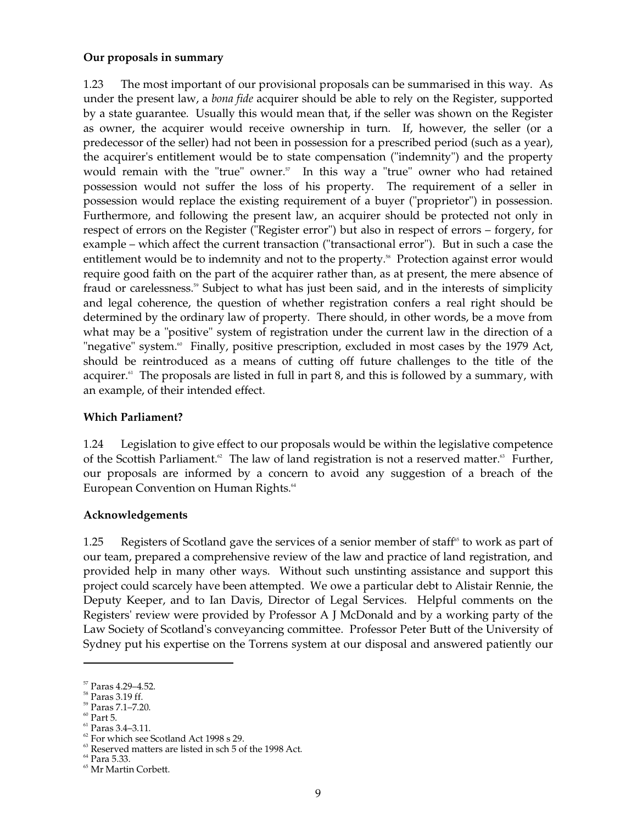### **Our proposals in summary**

1.23 The most important of our provisional proposals can be summarised in this way. As under the present law, a *bona fide* acquirer should be able to rely on the Register, supported by a state guarantee. Usually this would mean that, if the seller was shown on the Register as owner, the acquirer would receive ownership in turn. If, however, the seller (or a predecessor of the seller) had not been in possession for a prescribed period (such as a year), the acquirer's entitlement would be to state compensation ("indemnity") and the property would remain with the "true" owner. 57 In this way a "true" owner who had retained possession would not suffer the loss of his property. The requirement of a seller in possession would replace the existing requirement of a buyer ("proprietor") in possession. Furthermore, and following the present law, an acquirer should be protected not only in respect of errors on the Register ("Register error") but also in respect of errors – forgery, for example – which affect the current transaction ("transactional error"). But in such a case the entitlement would be to indemnity and not to the property. 58 Protection against error would require good faith on the part of the acquirer rather than, as at present, the mere absence of fraud or carelessness.<sup>59</sup> Subject to what has just been said, and in the interests of simplicity and legal coherence, the question of whether registration confers a real right should be determined by the ordinary law of property. There should, in other words, be a move from what may be a "positive" system of registration under the current law in the direction of a "negative" system.<sup>®</sup> Finally, positive prescription, excluded in most cases by the 1979 Act, should be reintroduced as a means of cutting off future challenges to the title of the acquirer.<sup>61</sup> The proposals are listed in full in part 8, and this is followed by a summary, with an example, of their intended effect.

### **Which Parliament?**

1.24 Legislation to give effect to our proposals would be within the legislative competence of the Scottish Parliament.<sup>2</sup> The law of land registration is not a reserved matter.<sup>3</sup> Further, our proposals are informed by a concern to avoid any suggestion of a breach of the European Convention on Human Rights. 64

### **Acknowledgements**

1.25 Registers of Scotland gave the services of a senior member of staff<sup>65</sup> to work as part of our team, prepared a comprehensive review of the law and practice of land registration, and provided help in many other ways. Without such unstinting assistance and support this project could scarcely have been attempted. We owe a particular debt to Alistair Rennie, the Deputy Keeper, and to Ian Davis, Director of Legal Services. Helpful comments on the Registers' review were provided by Professor A J McDonald and by a working party of the Law Society of Scotland's conveyancing committee. Professor Peter Butt of the University of Sydney put his expertise on the Torrens system at our disposal and answered patiently our

61 Paras 3.4–3.11.

<sup>57</sup> Paras 4.29–4.52.

<sup>58</sup> Paras 3.19 ff.

59 Paras 7.1–7.20.

 $60$  Part 5.

 $62$  For which see Scotland Act 1998 s 29.

 $63$  Reserved matters are listed in sch 5 of the 1998 Act.

<sup>64</sup> Para 5.33.

65 Mr Martin Corbett.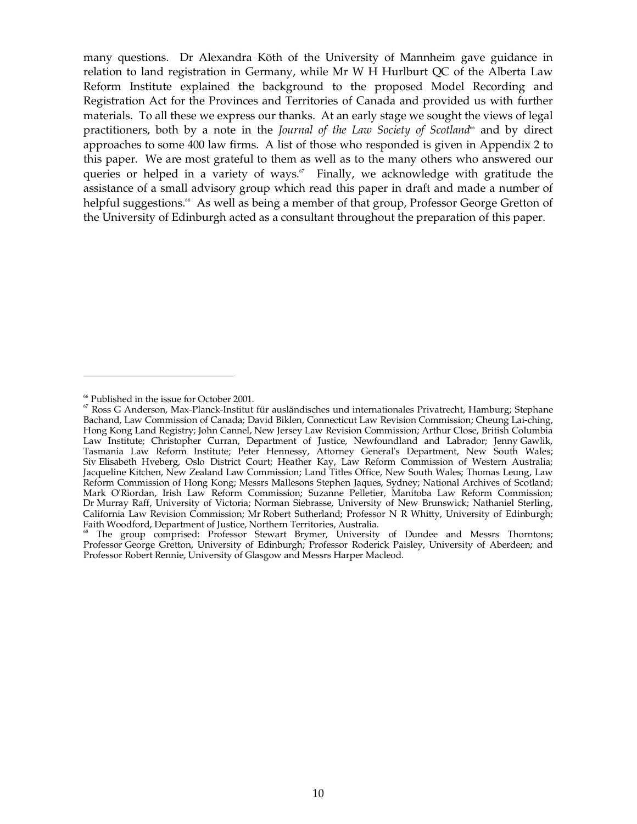many questions. Dr Alexandra Köth of the University of Mannheim gave guidance in relation to land registration in Germany, while Mr W H Hurlburt QC of the Alberta Law Reform Institute explained the background to the proposed Model Recording and Registration Act for the Provinces and Territories of Canada and provided us with further materials. To all these we express our thanks. At an early stage we sought the views of legal practitioners, both by a note in the *Journal of the Law Society of Scotland*<sup>66</sup> and by direct approaches to some 400 law firms. A list of those who responded is given in Appendix 2 to this paper. We are most grateful to them as well as to the many others who answered our queries or helped in a variety of ways.<sup>*«*</sup> Finally, we acknowledge with gratitude the assistance of a small advisory group which read this paper in draft and made a number of helpful suggestions.<sup>88</sup> As well as being a member of that group, Professor George Gretton of the University of Edinburgh acted as a consultant throughout the preparation of this paper.

<sup>&</sup>lt;sup>66</sup> Published in the issue for October 2001.<br><sup>67</sup> Ross G Anderson, Max-Planck-Institut für ausländisches und internationales Privatrecht, Hamburg; Stephane Bachand, Law Commission of Canada; David Biklen, Connecticut Law Revision Commission; Cheung Lai-ching, Hong Kong Land Registry; John Cannel, New Jersey Law Revision Commission; Arthur Close, British Columbia Law Institute; Christopher Curran, Department of Justice, Newfoundland and Labrador; Jenny Gawlik, Tasmania Law Reform Institute; Peter Hennessy, Attorney General's Department, New South Wales; Siv Elisabeth Hveberg, Oslo District Court; Heather Kay, Law Reform Commission of Western Australia; Jacqueline Kitchen, New Zealand Law Commission; Land Titles Office, New South Wales; Thomas Leung, Law Reform Commission of Hong Kong; Messrs Mallesons Stephen Jaques, Sydney; National Archives of Scotland; Mark O'Riordan, Irish Law Reform Commission; Suzanne Pelletier, Manitoba Law Reform Commission; Dr Murray Raff, University of Victoria; Norman Siebrasse, University of New Brunswick; Nathaniel Sterling, California Law Revision Commission; Mr Robert Sutherland; Professor N R Whitty, University of Edinburgh; Faith Woodford, Department of Justice, Northern Territories, Australia.<br><sup>68</sup> The group comprised: Professor Stewart Brymer, University of Dundee and Messrs Thorntons;

Professor George Gretton, University of Edinburgh; Professor Roderick Paisley, University of Aberdeen; and Professor Robert Rennie, University of Glasgow and Messrs Harper Macleod.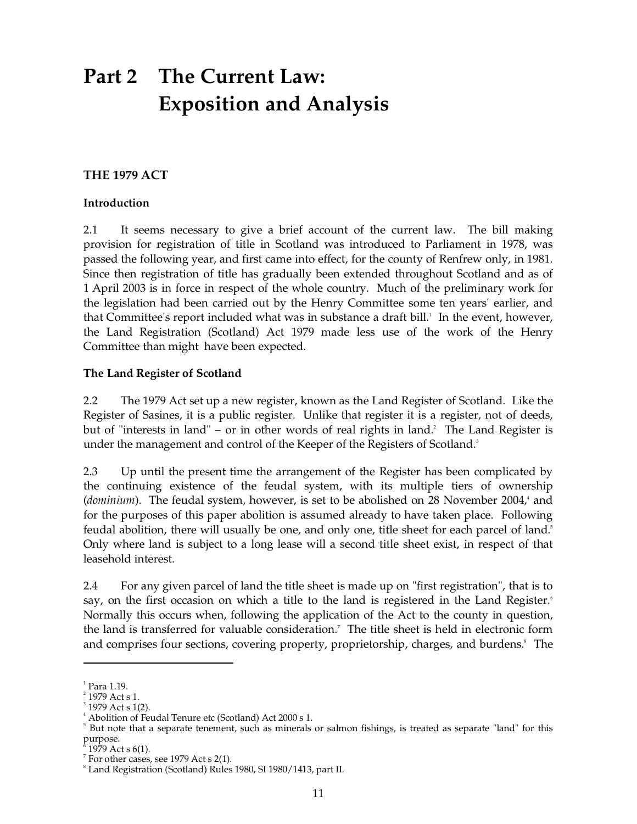## **Part 2 The Current Law: Exposition and Analysis**

### **THE 1979 ACT**

### **Introduction**

2.1 It seems necessary to give a brief account of the current law. The bill making provision for registration of title in Scotland was introduced to Parliament in 1978, was passed the following year, and first came into effect, for the county of Renfrew only, in 1981. Since then registration of title has gradually been extended throughout Scotland and as of 1 April 2003 is in force in respect of the whole country. Much of the preliminary work for the legislation had been carried out by the Henry Committee some ten years' earlier, and that Committee's report included what was in substance a draft bill. 1 In the event, however, the Land Registration (Scotland) Act 1979 made less use of the work of the Henry Committee than might have been expected.

### **The Land Register of Scotland**

2.2 The 1979 Act set up a new register, known as the Land Register of Scotland. Like the Register of Sasines, it is a public register. Unlike that register it is a register, not of deeds, but of "interests in land" – or in other words of real rights in land. 2 The Land Register is under the management and control of the Keeper of the Registers of Scotland. 3

2.3 Up until the present time the arrangement of the Register has been complicated by the continuing existence of the feudal system, with its multiple tiers of ownership (*dominium*). The feudal system, however, is set to be abolished on 28 November 2004,<sup>4</sup> and for the purposes of this paper abolition is assumed already to have taken place. Following feudal abolition, there will usually be one, and only one, title sheet for each parcel of land. 5 Only where land is subject to a long lease will a second title sheet exist, in respect of that leasehold interest.

2.4 For any given parcel of land the title sheet is made up on "first registration", that is to say, on the first occasion on which a title to the land is registered in the Land Register.<sup>6</sup> Normally this occurs when, following the application of the Act to the county in question, the land is transferred for valuable consideration. 7 The title sheet is held in electronic form and comprises four sections, covering property, proprietorship, charges, and burdens. 8 The

 $^{\rm ^{\rm 1}}$  Para 1.19.

 $^{2}$  1979 Act s 1.

 $3$  1979 Act s 1(2).

<sup>&</sup>lt;sup>4</sup> Abolition of Feudal Tenure etc (Scotland) Act 2000 s 1.

<sup>&</sup>lt;sup>5</sup> But note that a separate tenement, such as minerals or salmon fishings, is treated as separate "land" for this purpose.

 $^{\hbar}$  1979 Act s 6(1).<br><sup>7</sup> For other cases, see 1979 Act s 2(1).<br><sup>8</sup> Land Registration (Scotland) Rules 1980, SI 1980/1413, part II.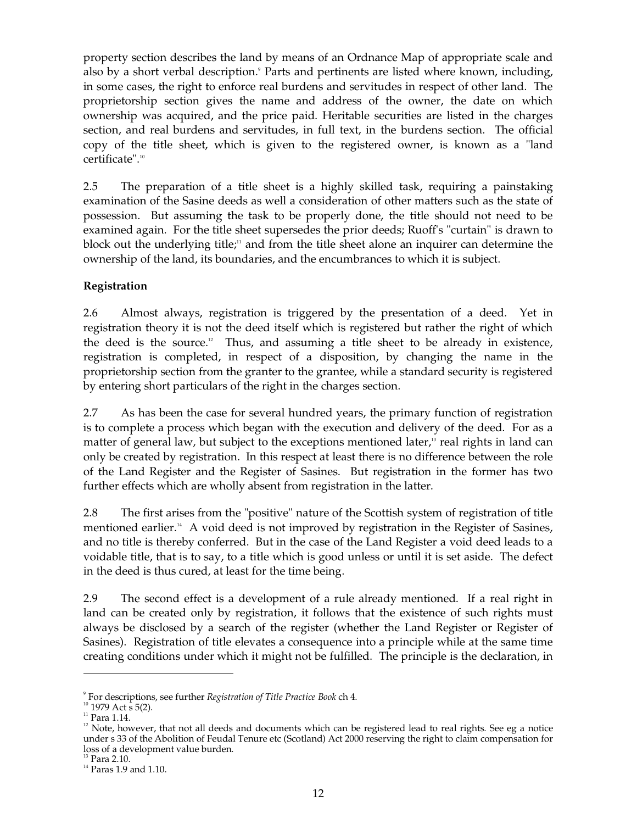property section describes the land by means of an Ordnance Map of appropriate scale and also by a short verbal description.<sup>9</sup> Parts and pertinents are listed where known, including, in some cases, the right to enforce real burdens and servitudes in respect of other land. The proprietorship section gives the name and address of the owner, the date on which ownership was acquired, and the price paid. Heritable securities are listed in the charges section, and real burdens and servitudes, in full text, in the burdens section. The official copy of the title sheet, which is given to the registered owner, is known as a "land certificate". 10

2.5 The preparation of a title sheet is a highly skilled task, requiring a painstaking examination of the Sasine deeds as well a consideration of other matters such as the state of possession. But assuming the task to be properly done, the title should not need to be examined again. For the title sheet supersedes the prior deeds; Ruoff's "curtain" is drawn to block out the underlying title;<sup>11</sup> and from the title sheet alone an inquirer can determine the ownership of the land, its boundaries, and the encumbrances to which it is subject.

### **Registration**

2.6 Almost always, registration is triggered by the presentation of a deed. Yet in registration theory it is not the deed itself which is registered but rather the right of which the deed is the source. 12 Thus, and assuming a title sheet to be already in existence, registration is completed, in respect of a disposition, by changing the name in the proprietorship section from the granter to the grantee, while a standard security is registered by entering short particulars of the right in the charges section.

2.7 As has been the case for several hundred years, the primary function of registration is to complete a process which began with the execution and delivery of the deed. For as a matter of general law, but subject to the exceptions mentioned later,<sup>3</sup> real rights in land can only be created by registration. In this respect at least there is no difference between the role of the Land Register and the Register of Sasines. But registration in the former has two further effects which are wholly absent from registration in the latter.

2.8 The first arises from the "positive" nature of the Scottish system of registration of title mentioned earlier.<sup>14</sup> A void deed is not improved by registration in the Register of Sasines, and no title is thereby conferred. But in the case of the Land Register a void deed leads to a voidable title, that is to say, to a title which is good unless or until it is set aside. The defect in the deed is thus cured, at least for the time being.

2.9 The second effect is a development of a rule already mentioned. If a real right in land can be created only by registration, it follows that the existence of such rights must always be disclosed by a search of the register (whether the Land Register or Register of Sasines). Registration of title elevates a consequence into a principle while at the same time creating conditions under which it might not be fulfilled. The principle is the declaration, in

<sup>9</sup> For descriptions, see further *Registration of Title Practice Book* ch 4. 10 1979 Act s 5(2).

 $11$  Para 1.14.

 $12$  Note, however, that not all deeds and documents which can be registered lead to real rights. See eg a notice under s 33 of the Abolition of Feudal Tenure etc (Scotland) Act 2000 reserving the right to claim compensation for loss of a development value burden.<br><sup>13</sup> Para 2.10.<br><sup>14</sup> Paras 1.9 and 1.10.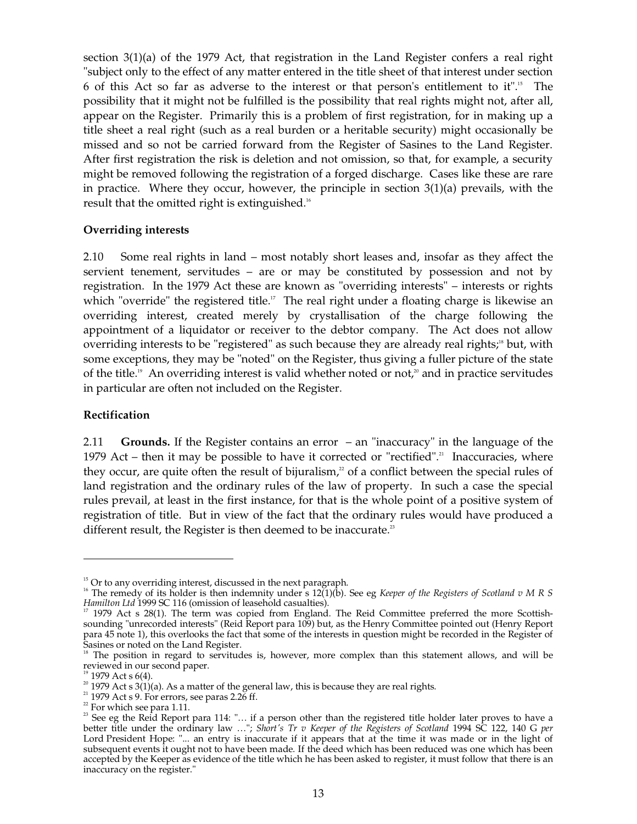section 3(1)(a) of the 1979 Act, that registration in the Land Register confers a real right "subject only to the effect of any matter entered in the title sheet of that interest under section 6 of this Act so far as adverse to the interest or that person's entitlement to it". 15 The possibility that it might not be fulfilled is the possibility that real rights might not, after all, appear on the Register. Primarily this is a problem of first registration, for in making up a title sheet a real right (such as a real burden or a heritable security) might occasionally be missed and so not be carried forward from the Register of Sasines to the Land Register. After first registration the risk is deletion and not omission, so that, for example, a security might be removed following the registration of a forged discharge. Cases like these are rare in practice. Where they occur, however, the principle in section 3(1)(a) prevails, with the result that the omitted right is extinguished.<sup>16</sup>

### **Overriding interests**

2.10 Some real rights in land – most notably short leases and, insofar as they affect the servient tenement, servitudes – are or may be constituted by possession and not by registration. In the 1979 Act these are known as "overriding interests" – interests or rights which "override" the registered title.<sup> $\nu$ </sup> The real right under a floating charge is likewise an overriding interest, created merely by crystallisation of the charge following the appointment of a liquidator or receiver to the debtor company. The Act does not allow overriding interests to be "registered" as such because they are already real rights,<sup>18</sup> but, with some exceptions, they may be "noted" on the Register, thus giving a fuller picture of the state of the title.<sup>19</sup> An overriding interest is valid whether noted or not,<sup>20</sup> and in practice servitudes in particular are often not included on the Register.

### **Rectification**

2.11 **Grounds.** If the Register contains an error – an "inaccuracy" in the language of the 1979 Act – then it may be possible to have it corrected or "rectified".<sup>21</sup> Inaccuracies, where they occur, are quite often the result of bijuralism, $\alpha$  of a conflict between the special rules of land registration and the ordinary rules of the law of property. In such a case the special rules prevail, at least in the first instance, for that is the whole point of a positive system of registration of title. But in view of the fact that the ordinary rules would have produced a different result, the Register is then deemed to be inaccurate.<sup>23</sup>

<sup>&</sup>lt;sup>15</sup> Or to any overriding interest, discussed in the next paragraph.<br><sup>16</sup> The remedy of its holder is then indemnity under s 12(1)(b). See eg *Keeper of the Registers of Scotland v M R S Hamilton Ltd* 1999 SC 116 (omiss

<sup>1979</sup> Act s 28(1). The term was copied from England. The Reid Committee preferred the more Scottishsounding "unrecorded interests" (Reid Report para 109) but, as the Henry Committee pointed out (Henry Report para 45 note 1), this overlooks the fact that some of the interests in question might be recorded in the Register of

Sasines or noted on the Land Register.<br><sup>18</sup> The position in regard to servitudes is, however, more complex than this statement allows, and will be reviewed in our second paper.

reviewed in our second paper.<br><sup>19</sup> 1979 Act s 6(4).<br><sup>20</sup> 1979 Act s 3(1)(a). As a matter of the general law, this is because they are real rights.<br><sup>21</sup> 1979 Act s 9. For errors, see paras 2.26 ff.<br><sup>22</sup> For which see para 1 better title under the ordinary law …"; *Short's Tr v Keeper of the Registers of Scotland* 1994 SC 122, 140 G *per*  Lord President Hope: "... an entry is inaccurate if it appears that at the time it was made or in the light of subsequent events it ought not to have been made. If the deed which has been reduced was one which has been accepted by the Keeper as evidence of the title which he has been asked to register, it must follow that there is an inaccuracy on the register."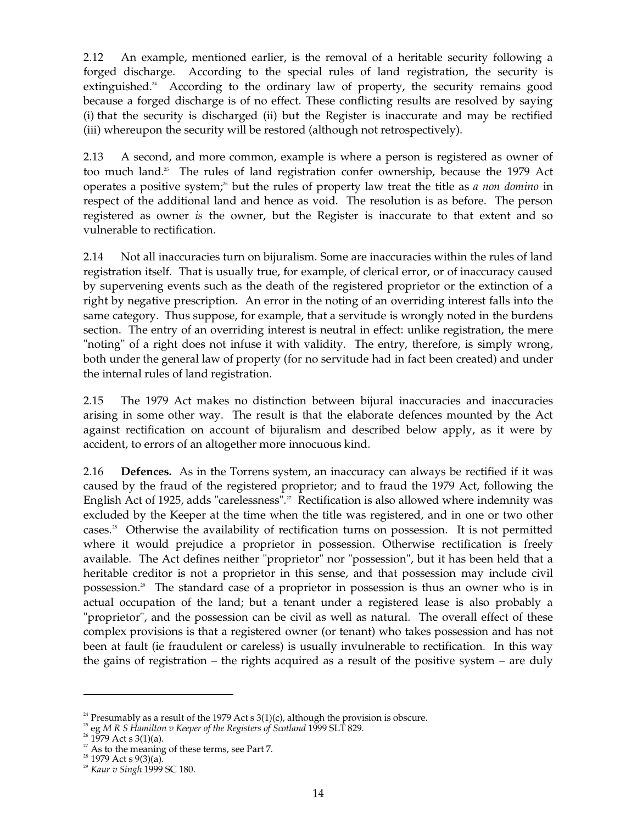2.12 An example, mentioned earlier, is the removal of a heritable security following a forged discharge. According to the special rules of land registration, the security is extinguished.<sup>24</sup> According to the ordinary law of property, the security remains good because a forged discharge is of no effect. These conflicting results are resolved by saying (i) that the security is discharged (ii) but the Register is inaccurate and may be rectified (iii) whereupon the security will be restored (although not retrospectively).

2.13 A second, and more common, example is where a person is registered as owner of too much land.<sup>3</sup> The rules of land registration confer ownership, because the 1979 Act operates a positive system; 26 but the rules of property law treat the title as *a non domino* in respect of the additional land and hence as void. The resolution is as before. The person registered as owner *is* the owner, but the Register is inaccurate to that extent and so vulnerable to rectification.

2.14 Not all inaccuracies turn on bijuralism. Some are inaccuracies within the rules of land registration itself. That is usually true, for example, of clerical error, or of inaccuracy caused by supervening events such as the death of the registered proprietor or the extinction of a right by negative prescription. An error in the noting of an overriding interest falls into the same category. Thus suppose, for example, that a servitude is wrongly noted in the burdens section. The entry of an overriding interest is neutral in effect: unlike registration, the mere "noting" of a right does not infuse it with validity. The entry, therefore, is simply wrong, both under the general law of property (for no servitude had in fact been created) and under the internal rules of land registration.

2.15 The 1979 Act makes no distinction between bijural inaccuracies and inaccuracies arising in some other way. The result is that the elaborate defences mounted by the Act against rectification on account of bijuralism and described below apply, as it were by accident, to errors of an altogether more innocuous kind.

2.16 **Defences.** As in the Torrens system, an inaccuracy can always be rectified if it was caused by the fraud of the registered proprietor; and to fraud the 1979 Act, following the English Act of 1925, adds "carelessness".<sup>27</sup> Rectification is also allowed where indemnity was excluded by the Keeper at the time when the title was registered, and in one or two other cases. 28 Otherwise the availability of rectification turns on possession. It is not permitted where it would prejudice a proprietor in possession. Otherwise rectification is freely available. The Act defines neither "proprietor" nor "possession", but it has been held that a heritable creditor is not a proprietor in this sense, and that possession may include civil possession. 29 The standard case of a proprietor in possession is thus an owner who is in actual occupation of the land; but a tenant under a registered lease is also probably a "proprietor", and the possession can be civil as well as natural. The overall effect of these complex provisions is that a registered owner (or tenant) who takes possession and has not been at fault (ie fraudulent or careless) is usually invulnerable to rectification. In this way the gains of registration – the rights acquired as a result of the positive system – are duly

<sup>&</sup>lt;sup>24</sup> Presumably as a result of the 1979 Act s  $3(1)(c)$ , although the provision is obscure.

<sup>&</sup>lt;sup>25</sup> eg *M R S Hamilton v Keeper of the Registers of Scotland* 1999 SLT 829.<br><sup>26</sup> 1979 Act s 3(1)(a).<br><sup>27</sup> As to the meaning of these terms, see Part 7.<br><sup>29</sup> *Kaur v Singh* 1999 SC 180.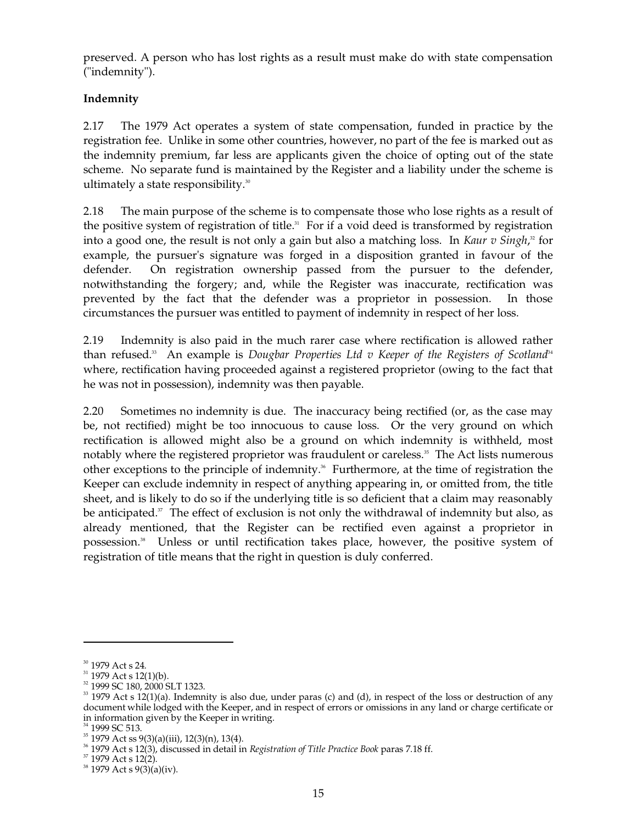preserved. A person who has lost rights as a result must make do with state compensation ("indemnity").

### **Indemnity**

2.17 The 1979 Act operates a system of state compensation, funded in practice by the registration fee. Unlike in some other countries, however, no part of the fee is marked out as the indemnity premium, far less are applicants given the choice of opting out of the state scheme. No separate fund is maintained by the Register and a liability under the scheme is ultimately a state responsibility.<sup>30</sup>

2.18 The main purpose of the scheme is to compensate those who lose rights as a result of the positive system of registration of title.<sup>31</sup> For if a void deed is transformed by registration into a good one, the result is not only a gain but also a matching loss. In *Kaur v Singh*, 32 for example, the pursuer's signature was forged in a disposition granted in favour of the defender. On registration ownership passed from the pursuer to the defender, notwithstanding the forgery; and, while the Register was inaccurate, rectification was prevented by the fact that the defender was a proprietor in possession. In those circumstances the pursuer was entitled to payment of indemnity in respect of her loss.

2.19 Indemnity is also paid in the much rarer case where rectification is allowed rather than refused.<sup>33</sup> An example is *Dougbar Properties Ltd v Keeper of the Registers of Scotland<sup>34</sup>* where, rectification having proceeded against a registered proprietor (owing to the fact that he was not in possession), indemnity was then payable.

2.20 Sometimes no indemnity is due. The inaccuracy being rectified (or, as the case may be, not rectified) might be too innocuous to cause loss. Or the very ground on which rectification is allowed might also be a ground on which indemnity is withheld, most notably where the registered proprietor was fraudulent or careless. 35 The Act lists numerous other exceptions to the principle of indemnity. 36 Furthermore, at the time of registration the Keeper can exclude indemnity in respect of anything appearing in, or omitted from, the title sheet, and is likely to do so if the underlying title is so deficient that a claim may reasonably be anticipated.<sup>37</sup> The effect of exclusion is not only the withdrawal of indemnity but also, as already mentioned, that the Register can be rectified even against a proprietor in possession. 38 Unless or until rectification takes place, however, the positive system of registration of title means that the right in question is duly conferred.

<sup>&</sup>lt;sup>30</sup> 1979 Act s 24.

 $31$  1979 Act s 12(1)(b).

<sup>32 1999</sup> SC 180, 2000 SLT 1323.

 $33$  1979 Act s 12(1)(a). Indemnity is also due, under paras (c) and (d), in respect of the loss or destruction of any document while lodged with the Keeper, and in respect of errors or omissions in any land or charge certificate or in information given by the Keeper in writing.

<sup>&</sup>lt;sup>34</sup> 1999 SC 513.<br><sup>35</sup> 1979 Act ss 9(3)(a)(iii), 12(3)(n), 13(4).<br><sup>36</sup> 1979 Act s 12(3), discussed in detail in *Registration of Title Practice Book* paras 7.18 ff.<br><sup>37</sup> 1979 Act s 9(3)(a)(iv).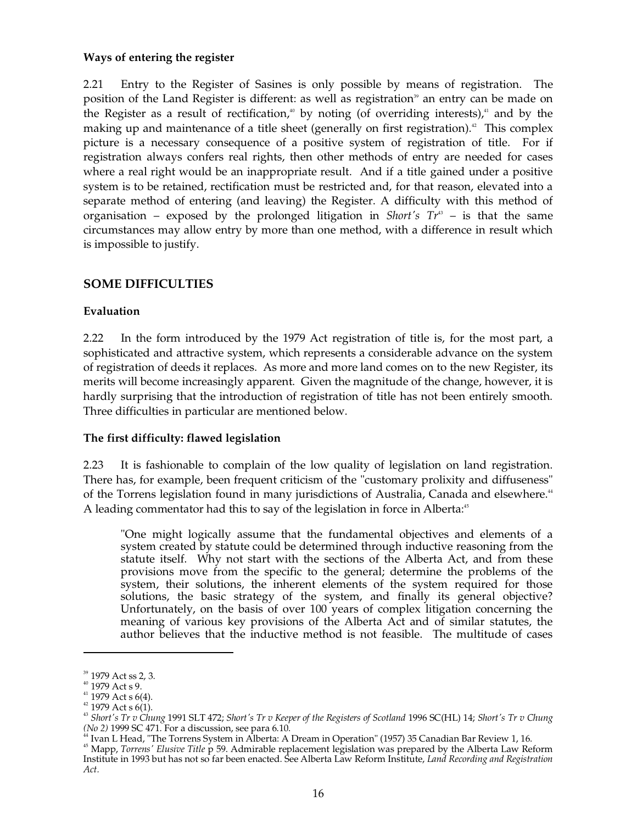### **Ways of entering the register**

2.21 Entry to the Register of Sasines is only possible by means of registration. The position of the Land Register is different: as well as registration<sup>39</sup> an entry can be made on the Register as a result of rectification,<sup>40</sup> by noting (of overriding interests),<sup>41</sup> and by the making up and maintenance of a title sheet (generally on first registration).<sup>42</sup> This complex picture is a necessary consequence of a positive system of registration of title. For if registration always confers real rights, then other methods of entry are needed for cases where a real right would be an inappropriate result. And if a title gained under a positive system is to be retained, rectification must be restricted and, for that reason, elevated into a separate method of entering (and leaving) the Register. A difficulty with this method of organisation – exposed by the prolonged litigation in *Short's Tr* 43 – is that the same circumstances may allow entry by more than one method, with a difference in result which is impossible to justify.

### **SOME DIFFICULTIES**

### **Evaluation**

2.22 In the form introduced by the 1979 Act registration of title is, for the most part, a sophisticated and attractive system, which represents a considerable advance on the system of registration of deeds it replaces. As more and more land comes on to the new Register, its merits will become increasingly apparent. Given the magnitude of the change, however, it is hardly surprising that the introduction of registration of title has not been entirely smooth. Three difficulties in particular are mentioned below.

### **The first difficulty: flawed legislation**

2.23 It is fashionable to complain of the low quality of legislation on land registration. There has, for example, been frequent criticism of the "customary prolixity and diffuseness" of the Torrens legislation found in many jurisdictions of Australia, Canada and elsewhere.<sup>44</sup> A leading commentator had this to say of the legislation in force in Alberta:<sup>5</sup>

"One might logically assume that the fundamental objectives and elements of a system created by statute could be determined through inductive reasoning from the statute itself. Why not start with the sections of the Alberta Act, and from these provisions move from the specific to the general; determine the problems of the system, their solutions, the inherent elements of the system required for those solutions, the basic strategy of the system, and finally its general objective? Unfortunately, on the basis of over 100 years of complex litigation concerning the meaning of various key provisions of the Alberta Act and of similar statutes, the author believes that the inductive method is not feasible. The multitude of cases

<sup>&</sup>lt;sup>39</sup> 1979 Act ss 2, 3.

 $40$  1979 Act s 9.

 $41$  1979 Act s 6(4).

 $42$  1979 Act s 6(1).

<sup>43</sup>*Short's Tr v Chung* 1991 SLT 472; *Short's Tr v Keeper of the Registers of Scotland* 1996 SC(HL) 14; *Short's Tr v Chung (No 2)* 1999 SC 471. For a discussion, see para 6.10.

<sup>44</sup> Ivan L Head, "The Torrens System in Alberta: A Dream in Operation" (1957) 35 Canadian Bar Review 1, 16.

<sup>45</sup> Mapp, *Torrens' Elusive Title* p 59. Admirable replacement legislation was prepared by the Alberta Law Reform Institute in 1993 but has not so far been enacted. See Alberta Law Reform Institute, *Land Recording and Registration Act.*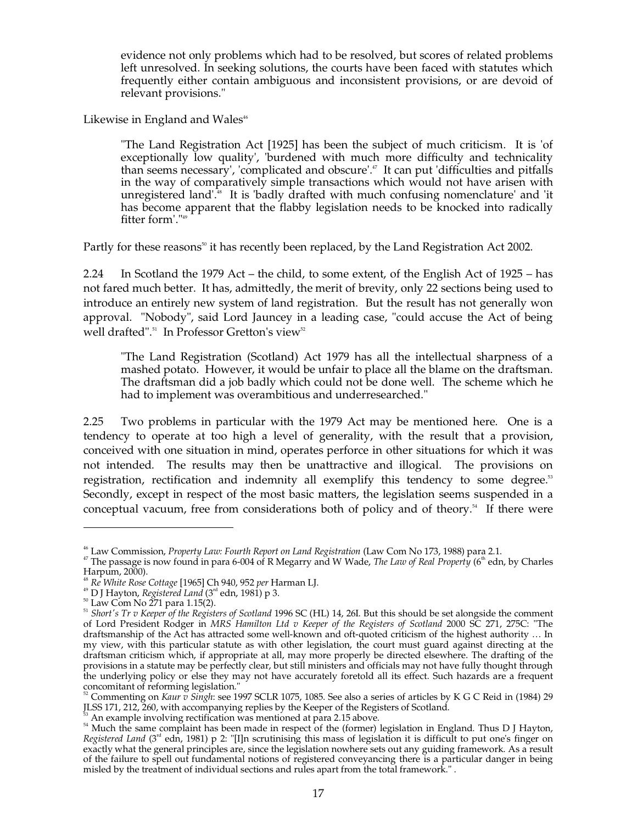evidence not only problems which had to be resolved, but scores of related problems left unresolved. In seeking solutions, the courts have been faced with statutes which frequently either contain ambiguous and inconsistent provisions, or are devoid of relevant provisions."

Likewise in England and Wales<sup>46</sup>

"The Land Registration Act [1925] has been the subject of much criticism. It is 'of exceptionally low quality', 'burdened with much more difficulty and technicality than seems necessary', 'complicated and obscure'. 47 It can put 'difficulties and pitfalls in the way of comparatively simple transactions which would not have arisen with unregistered land'. 48 It is 'badly drafted with much confusing nomenclature' and 'it has become apparent that the flabby legislation needs to be knocked into radically fitter form'." 49

Partly for these reasons<sup>50</sup> it has recently been replaced, by the Land Registration Act 2002.

2.24 In Scotland the 1979 Act – the child, to some extent, of the English Act of 1925 – has not fared much better. It has, admittedly, the merit of brevity, only 22 sections being used to introduce an entirely new system of land registration. But the result has not generally won approval. "Nobody", said Lord Jauncey in a leading case, "could accuse the Act of being well drafted".<sup>51</sup> In Professor Gretton's view<sup>52</sup>

"The Land Registration (Scotland) Act 1979 has all the intellectual sharpness of a mashed potato. However, it would be unfair to place all the blame on the draftsman. The draftsman did a job badly which could not be done well. The scheme which he had to implement was overambitious and underresearched."

2.25 Two problems in particular with the 1979 Act may be mentioned here. One is a tendency to operate at too high a level of generality, with the result that a provision, conceived with one situation in mind, operates perforce in other situations for which it was not intended. The results may then be unattractive and illogical. The provisions on registration, rectification and indemnity all exemplify this tendency to some degree.<sup>53</sup> Secondly, except in respect of the most basic matters, the legislation seems suspended in a conceptual vacuum, free from considerations both of policy and of theory. 54 If there were

<sup>&</sup>lt;sup>46</sup> Law Commission, *Property Law: Fourth Report on Land Registration* (Law Com No 173, 1988) para 2.1.<br><sup>47</sup> The passage is now found in para 6-004 of R Megarry and W Wade, *The Law of Real Property* (6<sup>th</sup> edn, by Charle

Harpum, 2000).<br><sup>48</sup> *Re White Rose Cottage* [1965] Ch 940, 952 *per* Harman LJ.<br><sup>49</sup> D J Hayton, *Registered Land* (3™ edn, 1981) p 3.

<sup>&</sup>lt;sup>51</sup> Short's Tr v Keeper of the Registers of Scotland 1996 SC (HL) 14, 26I. But this should be set alongside the comment of Lord President Rodger in *MRS Hamilton Ltd v Keeper of the Registers of Scotland* 2000 SC 271, 275C: "The draftsmanship of the Act has attracted some well-known and oft-quoted criticism of the highest authority … In my view, with this particular statute as with other legislation, the court must guard against directing at the draftsman criticism which, if appropriate at all, may more properly be directed elsewhere. The drafting of the provisions in a statute may be perfectly clear, but still ministers and officials may not have fully thought through the underlying policy or else they may not have accurately foretold all its effect. Such hazards are a frequent

concomitant of reforming legislation."<br><sup>52</sup> Commenting on *Kaur v Singh*: see 1997 SCLR 1075, 1085. See also a series of articles by K G C Reid in (1984) 29 *JLSS* 171, 212, 260, with accompanying replies by the Keeper of

<sup>&</sup>lt;sup>53</sup> An example involving rectification was mentioned at para 2.15 above.<br><sup>54</sup> Much the same complaint has been made in respect of the (former) legislation in England. Thus D J Hayton, *Registered Land* (3<sup>rd</sup> edn, 1981) p 2: "[I]n scrutinising this mass of legislation it is difficult to put one's finger on exactly what the general principles are, since the legislation nowhere sets out any guiding framework. As a result of the failure to spell out fundamental notions of registered conveyancing there is a particular danger in being misled by the treatment of individual sections and rules apart from the total framework." .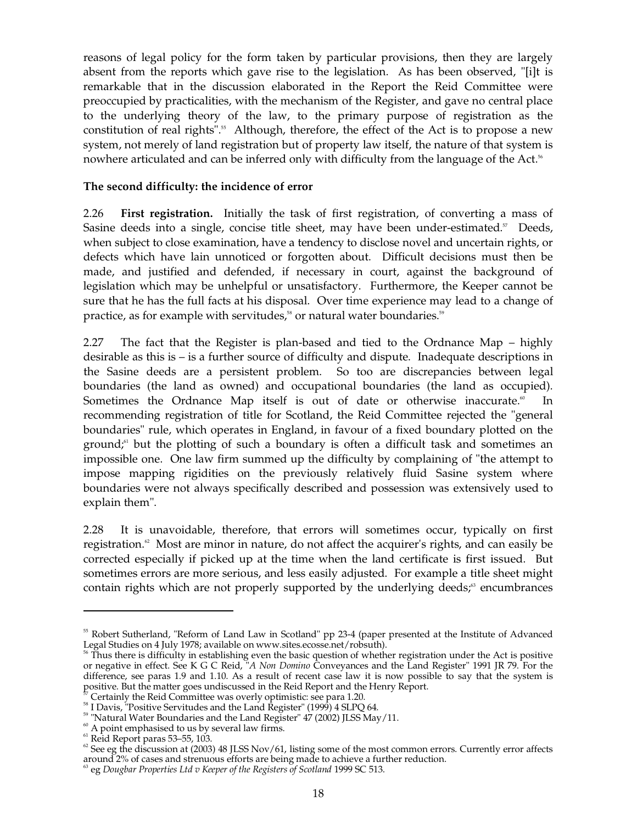reasons of legal policy for the form taken by particular provisions, then they are largely absent from the reports which gave rise to the legislation. As has been observed, "[i]t is remarkable that in the discussion elaborated in the Report the Reid Committee were preoccupied by practicalities, with the mechanism of the Register, and gave no central place to the underlying theory of the law, to the primary purpose of registration as the constitution of real rights". 55 Although, therefore, the effect of the Act is to propose a new system, not merely of land registration but of property law itself, the nature of that system is nowhere articulated and can be inferred only with difficulty from the language of the Act.<sup>56</sup>

### **The second difficulty: the incidence of error**

2.26 **First registration.** Initially the task of first registration, of converting a mass of Sasine deeds into a single, concise title sheet, may have been under-estimated.<sup>57</sup> Deeds, when subject to close examination, have a tendency to disclose novel and uncertain rights, or defects which have lain unnoticed or forgotten about. Difficult decisions must then be made, and justified and defended, if necessary in court, against the background of legislation which may be unhelpful or unsatisfactory. Furthermore, the Keeper cannot be sure that he has the full facts at his disposal. Over time experience may lead to a change of practice, as for example with servitudes,<sup>58</sup> or natural water boundaries.<sup>59</sup>

2.27 The fact that the Register is plan-based and tied to the Ordnance Map – highly desirable as this is – is a further source of difficulty and dispute. Inadequate descriptions in the Sasine deeds are a persistent problem. So too are discrepancies between legal boundaries (the land as owned) and occupational boundaries (the land as occupied). Sometimes the Ordnance Map itself is out of date or otherwise inaccurate.<sup>®</sup> 60 In recommending registration of title for Scotland, the Reid Committee rejected the "general boundaries" rule, which operates in England, in favour of a fixed boundary plotted on the ground; 61 but the plotting of such a boundary is often a difficult task and sometimes an impossible one. One law firm summed up the difficulty by complaining of "the attempt to impose mapping rigidities on the previously relatively fluid Sasine system where boundaries were not always specifically described and possession was extensively used to explain them".

2.28 It is unavoidable, therefore, that errors will sometimes occur, typically on first registration. 62 Most are minor in nature, do not affect the acquirer's rights, and can easily be corrected especially if picked up at the time when the land certificate is first issued. But sometimes errors are more serious, and less easily adjusted. For example a title sheet might contain rights which are not properly supported by the underlying deeds;<sup>33</sup> encumbrances

<sup>&</sup>lt;sup>55</sup> Robert Sutherland, "Reform of Land Law in Scotland" pp 23-4 (paper presented at the Institute of Advanced

Legal Studies on 4 July 1978; available on www.sites.ecosse.net/robsuth).<br><sup>56</sup> Thus there is difficulty in establishing even the basic question of whether registration under the Act is positive or negative in effect. See K G C Reid, "*A Non Domino* Conveyances and the Land Register" 1991 JR 79. For the difference, see paras 1.9 and 1.10. As a result of recent case law it is now possible to say that the system is positive. But the matter goes undiscussed in the Reid Report and the Henry Report.

<sup>&</sup>lt;sup>57</sup> Certainly the Reid Committee was overly optimistic: see para 1.20.<br><sup>58</sup> I Davis, "Positive Servitudes and the Land Register" (1999) 4 SLPQ 64.<br><sup>59</sup> "Natural Water Boundaries and the Land Register" 47 (2002) JLSS May/ around 2% of cases and strenuous efforts are being made to achieve a further reduction.

eg *Dougbar Properties Ltd v Keeper of the Registers of Scotland* 1999 SC 513.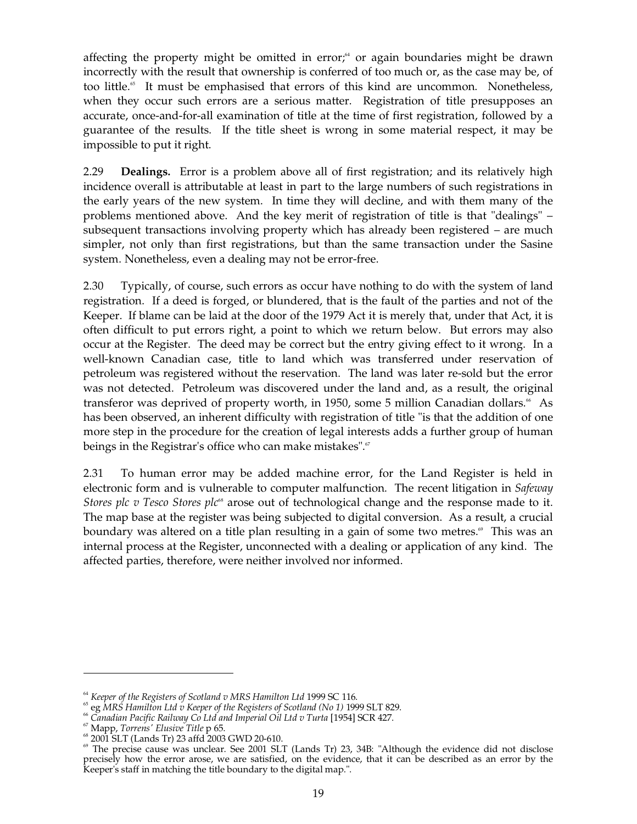affecting the property might be omitted in error,<sup>64</sup> or again boundaries might be drawn incorrectly with the result that ownership is conferred of too much or, as the case may be, of too little.<sup>65</sup> It must be emphasised that errors of this kind are uncommon. Nonetheless, when they occur such errors are a serious matter. Registration of title presupposes an accurate, once-and-for-all examination of title at the time of first registration, followed by a guarantee of the results. If the title sheet is wrong in some material respect, it may be impossible to put it right.

2.29 **Dealings.** Error is a problem above all of first registration; and its relatively high incidence overall is attributable at least in part to the large numbers of such registrations in the early years of the new system. In time they will decline, and with them many of the problems mentioned above. And the key merit of registration of title is that "dealings" – subsequent transactions involving property which has already been registered – are much simpler, not only than first registrations, but than the same transaction under the Sasine system. Nonetheless, even a dealing may not be error-free.

2.30 Typically, of course, such errors as occur have nothing to do with the system of land registration. If a deed is forged, or blundered, that is the fault of the parties and not of the Keeper. If blame can be laid at the door of the 1979 Act it is merely that, under that Act, it is often difficult to put errors right, a point to which we return below. But errors may also occur at the Register. The deed may be correct but the entry giving effect to it wrong. In a well-known Canadian case, title to land which was transferred under reservation of petroleum was registered without the reservation. The land was later re-sold but the error was not detected. Petroleum was discovered under the land and, as a result, the original transferor was deprived of property worth, in 1950, some 5 million Canadian dollars.<sup>66</sup> As has been observed, an inherent difficulty with registration of title "is that the addition of one more step in the procedure for the creation of legal interests adds a further group of human beings in the Registrar's office who can make mistakes".<sup>67</sup>

2.31 To human error may be added machine error, for the Land Register is held in electronic form and is vulnerable to computer malfunction. The recent litigation in *Safeway Stores plc v Tesco Stores plc<sup>®</sup>* arose out of technological change and the response made to it. The map base at the register was being subjected to digital conversion. As a result, a crucial boundary was altered on a title plan resulting in a gain of some two metres. 69 This was an internal process at the Register, unconnected with a dealing or application of any kind. The affected parties, therefore, were neither involved nor informed.

<sup>&</sup>lt;sup>64</sup> Keeper of the Registers of Scotland v MRS Hamilton Ltd 1999 SC 116.<br><sup>65</sup> eg MRS Hamilton Ltd v Keeper of the Registers of Scotland (No 1) 1999 SLT 829.

regives Franchistan Pacific Railway Co Ltd and Imperial Oil Ltd v Turta [1954] SCR 427.<br>
Mapp, Torrens' Elusive Title p 65.<br>
<sup>67</sup> Mapp, Torrens' Elusive Title p 65.<br>
<sup>68</sup> 2001 SLT (Lands Tr) 23 affd 2003 GWD 20-610.<br>
<sup>69</sup> precisely how the error arose, we are satisfied, on the evidence, that it can be described as an error by the Keeper's staff in matching the title boundary to the digital map.".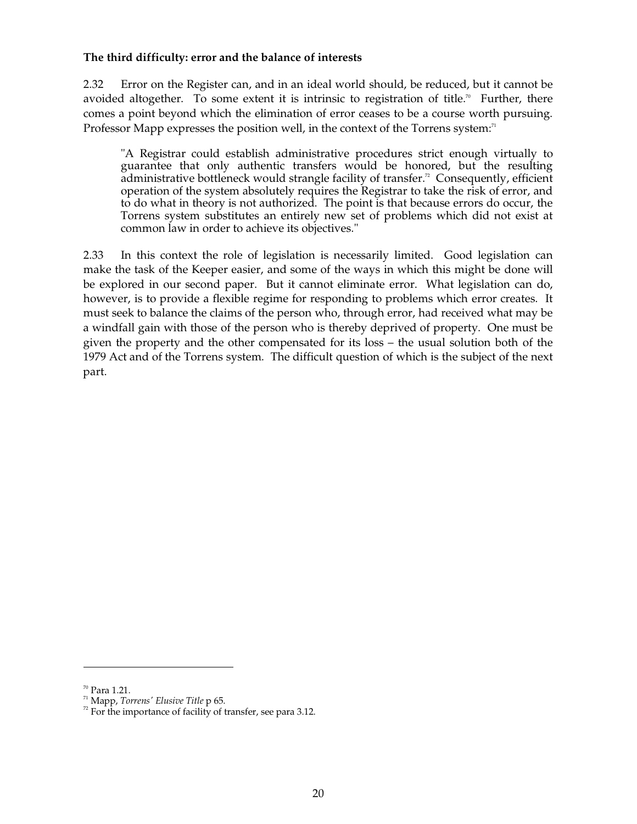### **The third difficulty: error and the balance of interests**

2.32 Error on the Register can, and in an ideal world should, be reduced, but it cannot be avoided altogether. To some extent it is intrinsic to registration of title.<sup> $\pi$ </sup> Further, there comes a point beyond which the elimination of error ceases to be a course worth pursuing. Professor Mapp expresses the position well, in the context of the Torrens system:<sup>71</sup>

"A Registrar could establish administrative procedures strict enough virtually to guarantee that only authentic transfers would be honored, but the resulting administrative bottleneck would strangle facility of transfer.<sup>72</sup> Consequently, efficient operation of the system absolutely requires the Registrar to take the risk of error, and to do what in theory is not authorized. The point is that because errors do occur, the Torrens system substitutes an entirely new set of problems which did not exist at common law in order to achieve its objectives."

2.33 In this context the role of legislation is necessarily limited. Good legislation can make the task of the Keeper easier, and some of the ways in which this might be done will be explored in our second paper. But it cannot eliminate error. What legislation can do, however, is to provide a flexible regime for responding to problems which error creates. It must seek to balance the claims of the person who, through error, had received what may be a windfall gain with those of the person who is thereby deprived of property. One must be given the property and the other compensated for its loss – the usual solution both of the 1979 Act and of the Torrens system. The difficult question of which is the subject of the next part.

<sup>70</sup> Para 1.21.

71 Mapp, *Torrens' Elusive Title* p 65.

 $72$  For the importance of facility of transfer, see para 3.12.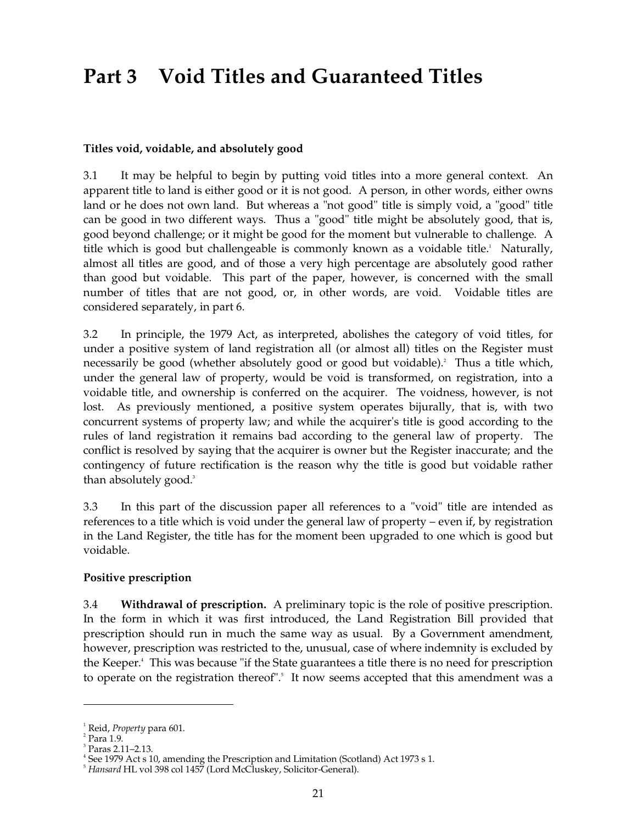## **Part 3 Void Titles and Guaranteed Titles**

### **Titles void, voidable, and absolutely good**

3.1 It may be helpful to begin by putting void titles into a more general context. An apparent title to land is either good or it is not good. A person, in other words, either owns land or he does not own land. But whereas a "not good" title is simply void, a "good" title can be good in two different ways. Thus a "good" title might be absolutely good, that is, good beyond challenge; or it might be good for the moment but vulnerable to challenge. A title which is good but challengeable is commonly known as a voidable title. 1 Naturally, almost all titles are good, and of those a very high percentage are absolutely good rather than good but voidable. This part of the paper, however, is concerned with the small number of titles that are not good, or, in other words, are void. Voidable titles are considered separately, in part 6.

3.2 In principle, the 1979 Act, as interpreted, abolishes the category of void titles, for under a positive system of land registration all (or almost all) titles on the Register must necessarily be good (whether absolutely good or good but voidable). 2 Thus a title which, under the general law of property, would be void is transformed, on registration, into a voidable title, and ownership is conferred on the acquirer. The voidness, however, is not lost. As previously mentioned, a positive system operates bijurally, that is, with two concurrent systems of property law; and while the acquirer's title is good according to the rules of land registration it remains bad according to the general law of property. The conflict is resolved by saying that the acquirer is owner but the Register inaccurate; and the contingency of future rectification is the reason why the title is good but voidable rather than absolutely good. 3

3.3 In this part of the discussion paper all references to a "void" title are intended as references to a title which is void under the general law of property – even if, by registration in the Land Register, the title has for the moment been upgraded to one which is good but voidable.

### **Positive prescription**

3.4 **Withdrawal of prescription.** A preliminary topic is the role of positive prescription. In the form in which it was first introduced, the Land Registration Bill provided that prescription should run in much the same way as usual. By a Government amendment, however, prescription was restricted to the, unusual, case of where indemnity is excluded by the Keeper. 4 This was because "if the State guarantees a title there is no need for prescription to operate on the registration thereof".<sup>5</sup> It now seems accepted that this amendment was a

<sup>1</sup> Reid, *Property* para 601.

 $2$  Para 1.9.

 $3$  Paras 2.11–2.13.

 $4$  See 1979 Act s 10, amending the Prescription and Limitation (Scotland) Act 1973 s 1.

<sup>5</sup>*Hansard* HL vol 398 col 1457 (Lord McCluskey, Solicitor-General).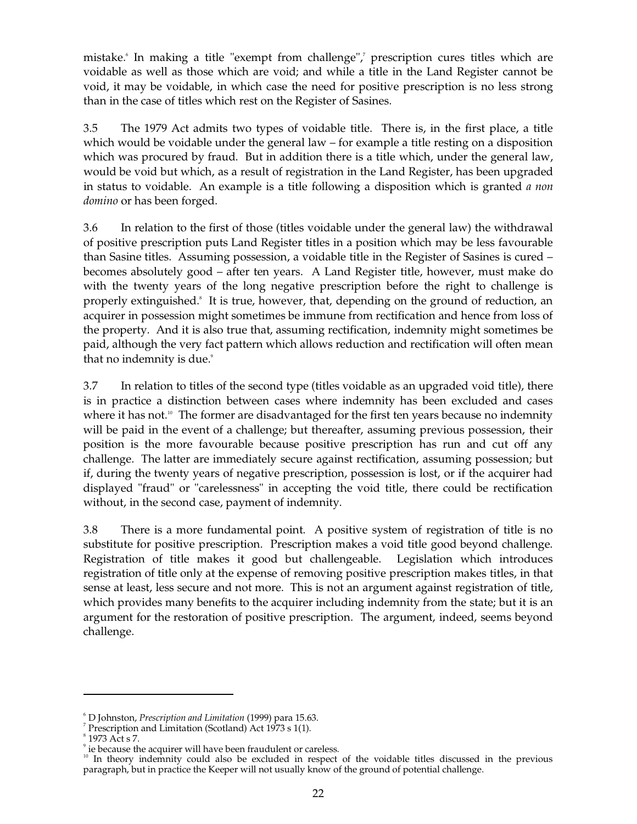mistake. 6 In making a title "exempt from challenge", 7 prescription cures titles which are voidable as well as those which are void; and while a title in the Land Register cannot be void, it may be voidable, in which case the need for positive prescription is no less strong than in the case of titles which rest on the Register of Sasines.

3.5 The 1979 Act admits two types of voidable title. There is, in the first place, a title which would be voidable under the general law – for example a title resting on a disposition which was procured by fraud. But in addition there is a title which, under the general law, would be void but which, as a result of registration in the Land Register, has been upgraded in status to voidable. An example is a title following a disposition which is granted *a non domino* or has been forged.

3.6 In relation to the first of those (titles voidable under the general law) the withdrawal of positive prescription puts Land Register titles in a position which may be less favourable than Sasine titles. Assuming possession, a voidable title in the Register of Sasines is cured – becomes absolutely good – after ten years. A Land Register title, however, must make do with the twenty years of the long negative prescription before the right to challenge is properly extinguished.<sup>8</sup> It is true, however, that, depending on the ground of reduction, an acquirer in possession might sometimes be immune from rectification and hence from loss of the property. And it is also true that, assuming rectification, indemnity might sometimes be paid, although the very fact pattern which allows reduction and rectification will often mean that no indemnity is due.<sup>9</sup>

3.7 In relation to titles of the second type (titles voidable as an upgraded void title), there is in practice a distinction between cases where indemnity has been excluded and cases where it has not.<sup>10</sup> The former are disadvantaged for the first ten years because no indemnity will be paid in the event of a challenge; but thereafter, assuming previous possession, their position is the more favourable because positive prescription has run and cut off any challenge. The latter are immediately secure against rectification, assuming possession; but if, during the twenty years of negative prescription, possession is lost, or if the acquirer had displayed "fraud" or "carelessness" in accepting the void title, there could be rectification without, in the second case, payment of indemnity.

3.8 There is a more fundamental point. A positive system of registration of title is no substitute for positive prescription. Prescription makes a void title good beyond challenge. Registration of title makes it good but challengeable. Legislation which introduces registration of title only at the expense of removing positive prescription makes titles, in that sense at least, less secure and not more. This is not an argument against registration of title, which provides many benefits to the acquirer including indemnity from the state; but it is an argument for the restoration of positive prescription. The argument, indeed, seems beyond challenge.

<sup>6</sup> D Johnston, *Prescription and Limitation* (1999) para 15.63.

<sup>&</sup>lt;sup>7</sup> Prescription and Limitation (Scotland) Act 1973 s 1(1).

 $8$  1973 Act s 7.

<sup>&</sup>lt;sup>9</sup> ie because the acquirer will have been fraudulent or careless.

<sup>&</sup>lt;sup>10</sup> In theory indemnity could also be excluded in respect of the voidable titles discussed in the previous paragraph, but in practice the Keeper will not usually know of the ground of potential challenge.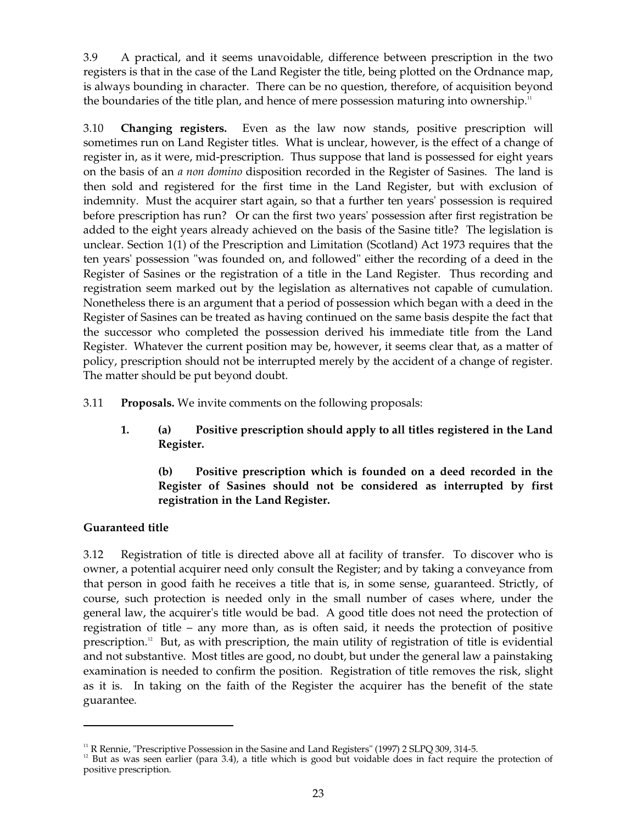3.9 A practical, and it seems unavoidable, difference between prescription in the two registers is that in the case of the Land Register the title, being plotted on the Ordnance map, is always bounding in character. There can be no question, therefore, of acquisition beyond the boundaries of the title plan, and hence of mere possession maturing into ownership.<sup>11</sup>

3.10 **Changing registers.** Even as the law now stands, positive prescription will sometimes run on Land Register titles. What is unclear, however, is the effect of a change of register in, as it were, mid-prescription. Thus suppose that land is possessed for eight years on the basis of an *a non domino* disposition recorded in the Register of Sasines. The land is then sold and registered for the first time in the Land Register, but with exclusion of indemnity. Must the acquirer start again, so that a further ten years' possession is required before prescription has run? Or can the first two years' possession after first registration be added to the eight years already achieved on the basis of the Sasine title? The legislation is unclear. Section 1(1) of the Prescription and Limitation (Scotland) Act 1973 requires that the ten years' possession "was founded on, and followed" either the recording of a deed in the Register of Sasines or the registration of a title in the Land Register. Thus recording and registration seem marked out by the legislation as alternatives not capable of cumulation. Nonetheless there is an argument that a period of possession which began with a deed in the Register of Sasines can be treated as having continued on the same basis despite the fact that the successor who completed the possession derived his immediate title from the Land Register. Whatever the current position may be, however, it seems clear that, as a matter of policy, prescription should not be interrupted merely by the accident of a change of register. The matter should be put beyond doubt.

3.11 **Proposals.** We invite comments on the following proposals:

**1. (a) Positive prescription should apply to all titles registered in the Land Register.** 

### **(b) Positive prescription which is founded on a deed recorded in the Register of Sasines should not be considered as interrupted by first registration in the Land Register.**

### **Guaranteed title**

3.12 Registration of title is directed above all at facility of transfer. To discover who is owner, a potential acquirer need only consult the Register; and by taking a conveyance from that person in good faith he receives a title that is, in some sense, guaranteed. Strictly, of course, such protection is needed only in the small number of cases where, under the general law, the acquirer's title would be bad. A good title does not need the protection of registration of title – any more than, as is often said, it needs the protection of positive prescription. 12 But, as with prescription, the main utility of registration of title is evidential and not substantive. Most titles are good, no doubt, but under the general law a painstaking examination is needed to confirm the position. Registration of title removes the risk, slight as it is. In taking on the faith of the Register the acquirer has the benefit of the state guarantee.

<sup>&</sup>lt;sup>11</sup> R Rennie, "Prescriptive Possession in the Sasine and Land Registers" (1997) 2 SLPQ 309, 314-5.<br><sup>12</sup> But as was seen earlier (para 3.4), a title which is good but voidable does in fact require the protection of positive prescription.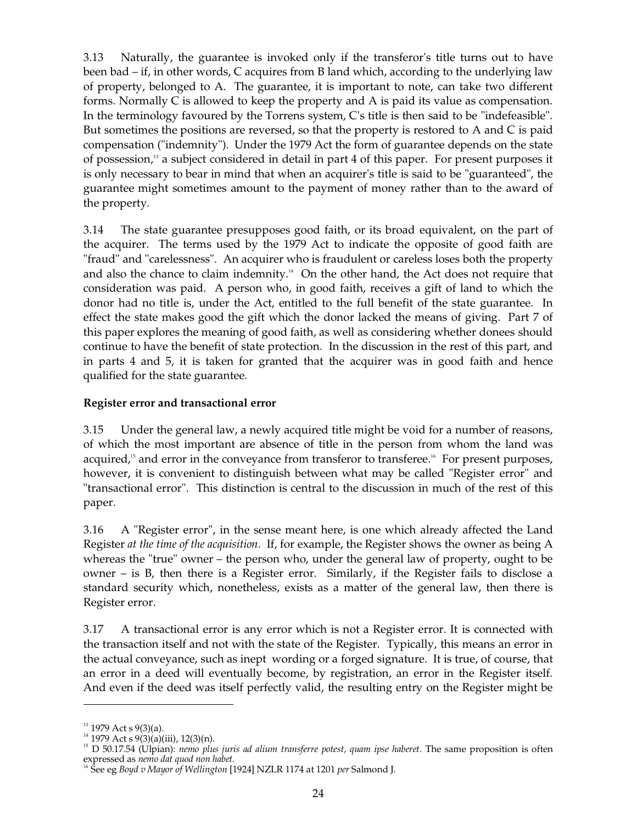3.13 Naturally, the guarantee is invoked only if the transferor's title turns out to have been bad – if, in other words, C acquires from B land which, according to the underlying law of property, belonged to A. The guarantee, it is important to note, can take two different forms. Normally C is allowed to keep the property and A is paid its value as compensation. In the terminology favoured by the Torrens system, C's title is then said to be "indefeasible". But sometimes the positions are reversed, so that the property is restored to A and C is paid compensation ("indemnity"). Under the 1979 Act the form of guarantee depends on the state of possession, 13 a subject considered in detail in part 4 of this paper. For present purposes it is only necessary to bear in mind that when an acquirer's title is said to be "guaranteed", the guarantee might sometimes amount to the payment of money rather than to the award of the property.

3.14 The state guarantee presupposes good faith, or its broad equivalent, on the part of the acquirer. The terms used by the 1979 Act to indicate the opposite of good faith are "fraud" and "carelessness". An acquirer who is fraudulent or careless loses both the property and also the chance to claim indemnity.<sup>14</sup> On the other hand, the Act does not require that consideration was paid. A person who, in good faith, receives a gift of land to which the donor had no title is, under the Act, entitled to the full benefit of the state guarantee. In effect the state makes good the gift which the donor lacked the means of giving. Part 7 of this paper explores the meaning of good faith, as well as considering whether donees should continue to have the benefit of state protection. In the discussion in the rest of this part, and in parts 4 and 5, it is taken for granted that the acquirer was in good faith and hence qualified for the state guarantee.

### **Register error and transactional error**

3.15 Under the general law, a newly acquired title might be void for a number of reasons, of which the most important are absence of title in the person from whom the land was acquired,<sup>15</sup> and error in the conveyance from transferor to transferee.<sup>16</sup> For present purposes, however, it is convenient to distinguish between what may be called "Register error" and "transactional error". This distinction is central to the discussion in much of the rest of this paper.

3.16 A "Register error", in the sense meant here, is one which already affected the Land Register *at the time of the acquisition*. If, for example, the Register shows the owner as being A whereas the "true" owner – the person who, under the general law of property, ought to be owner – is B, then there is a Register error. Similarly, if the Register fails to disclose a standard security which, nonetheless, exists as a matter of the general law, then there is Register error.

3.17 A transactional error is any error which is not a Register error. It is connected with the transaction itself and not with the state of the Register. Typically, this means an error in the actual conveyance, such as inept wording or a forged signature. It is true, of course, that an error in a deed will eventually become, by registration, an error in the Register itself. And even if the deed was itself perfectly valid, the resulting entry on the Register might be

 $13$  1979 Act s 9(3)(a).

<sup>&</sup>lt;sup>14</sup> 1979 Act s 9(3)(a)(iii), 12(3)(n).

<sup>&</sup>lt;sup>15</sup> D 50.17.54 (Ulpian): *nemo plus juris ad alium transferre potest, quam ipse haberet*. The same proposition is often expressed as *nemo dat quod non habet*.

<sup>&</sup>lt;sup>16</sup> See eg *Boyd v Mayor of Wellington* [1924] NZLR 1174 at 1201 *per* Salmond J.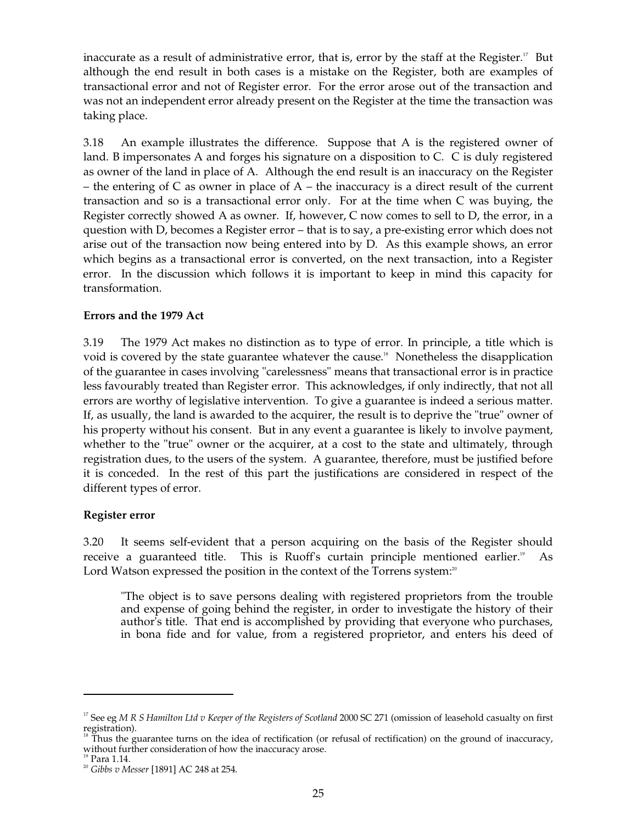inaccurate as a result of administrative error, that is, error by the staff at the Register.<sup>17</sup> But although the end result in both cases is a mistake on the Register, both are examples of transactional error and not of Register error. For the error arose out of the transaction and was not an independent error already present on the Register at the time the transaction was taking place.

3.18 An example illustrates the difference. Suppose that A is the registered owner of land. B impersonates A and forges his signature on a disposition to C. C is duly registered as owner of the land in place of A. Although the end result is an inaccuracy on the Register – the entering of C as owner in place of  $A$  – the inaccuracy is a direct result of the current transaction and so is a transactional error only. For at the time when C was buying, the Register correctly showed A as owner. If, however, C now comes to sell to D, the error, in a question with D, becomes a Register error – that is to say, a pre-existing error which does not arise out of the transaction now being entered into by D. As this example shows, an error which begins as a transactional error is converted, on the next transaction, into a Register error. In the discussion which follows it is important to keep in mind this capacity for transformation.

### **Errors and the 1979 Act**

3.19 The 1979 Act makes no distinction as to type of error. In principle, a title which is void is covered by the state guarantee whatever the cause.<sup>18</sup> Nonetheless the disapplication of the guarantee in cases involving "carelessness" means that transactional error is in practice less favourably treated than Register error. This acknowledges, if only indirectly, that not all errors are worthy of legislative intervention. To give a guarantee is indeed a serious matter. If, as usually, the land is awarded to the acquirer, the result is to deprive the "true" owner of his property without his consent. But in any event a guarantee is likely to involve payment, whether to the "true" owner or the acquirer, at a cost to the state and ultimately, through registration dues, to the users of the system. A guarantee, therefore, must be justified before it is conceded. In the rest of this part the justifications are considered in respect of the different types of error.

### **Register error**

3.20 It seems self-evident that a person acquiring on the basis of the Register should receive a guaranteed title. This is Ruoff's curtain principle mentioned earlier.<sup>19</sup> As Lord Watson expressed the position in the context of the Torrens system:<sup>20</sup>

"The object is to save persons dealing with registered proprietors from the trouble and expense of going behind the register, in order to investigate the history of their author's title. That end is accomplished by providing that everyone who purchases, in bona fide and for value, from a registered proprietor, and enters his deed of

<sup>&</sup>lt;sup>17</sup> See eg M R S Hamilton Ltd v Keeper of the Registers of Scotland 2000 SC 271 (omission of leasehold casualty on first registration).<br><sup>18</sup> Thus the guarantee turns on the idea of rectification (or refusal of rectification) on the ground of inaccuracy,

without further consideration of how the inaccuracy arose. <sup>19</sup> Para 1.14. <sup>20</sup> *Gibbs v Messer* [1891] AC 248 at 254.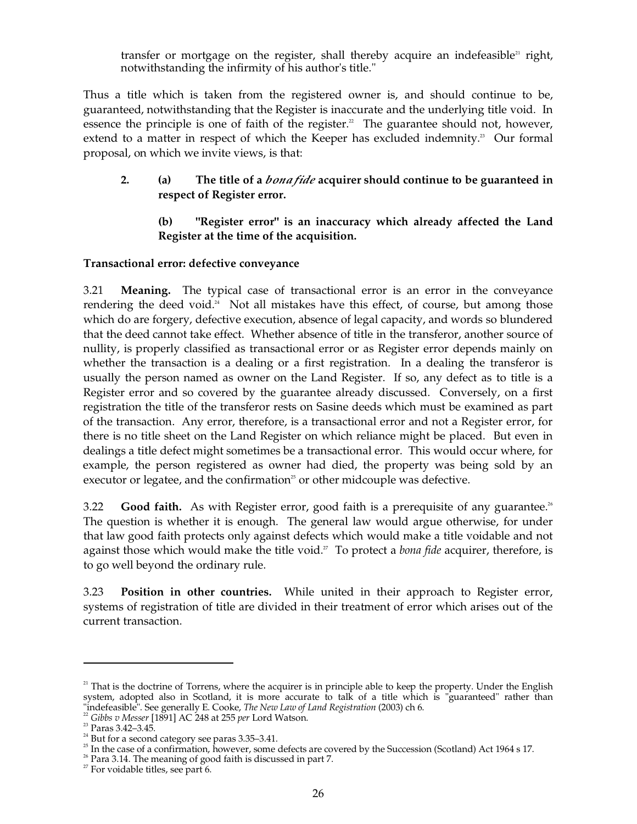transfer or mortgage on the register, shall thereby acquire an indefeasible<sup>21</sup> right, notwithstanding the infirmity of his author's title."

Thus a title which is taken from the registered owner is, and should continue to be, guaranteed, notwithstanding that the Register is inaccurate and the underlying title void. In essence the principle is one of faith of the register.<sup>22</sup> The guarantee should not, however, extend to a matter in respect of which the Keeper has excluded indemnity.<sup>23</sup> Our formal proposal, on which we invite views, is that:

### **2. (a) The title of a** *bona fide* **acquirer should continue to be guaranteed in respect of Register error.**

### **(b) "Register error" is an inaccuracy which already affected the Land Register at the time of the acquisition.**

### **Transactional error: defective conveyance**

3.21 **Meaning.** The typical case of transactional error is an error in the conveyance rendering the deed void.<sup>24</sup> Not all mistakes have this effect, of course, but among those which do are forgery, defective execution, absence of legal capacity, and words so blundered that the deed cannot take effect. Whether absence of title in the transferor, another source of nullity, is properly classified as transactional error or as Register error depends mainly on whether the transaction is a dealing or a first registration. In a dealing the transferor is usually the person named as owner on the Land Register. If so, any defect as to title is a Register error and so covered by the guarantee already discussed. Conversely, on a first registration the title of the transferor rests on Sasine deeds which must be examined as part of the transaction. Any error, therefore, is a transactional error and not a Register error, for there is no title sheet on the Land Register on which reliance might be placed. But even in dealings a title defect might sometimes be a transactional error. This would occur where, for example, the person registered as owner had died, the property was being sold by an executor or legatee, and the confirmation<sup>25</sup> or other midcouple was defective.

3.22 **Good faith.** As with Register error, good faith is a prerequisite of any guarantee.<sup>26</sup> The question is whether it is enough. The general law would argue otherwise, for under that law good faith protects only against defects which would make a title voidable and not against those which would make the title void. 27 To protect a *bona fide* acquirer, therefore, is to go well beyond the ordinary rule.

3.23 **Position in other countries.** While united in their approach to Register error, systems of registration of title are divided in their treatment of error which arises out of the current transaction.

 $2<sup>1</sup>$  That is the doctrine of Torrens, where the acquirer is in principle able to keep the property. Under the English system, adopted also in Scotland, it is more accurate to talk of a title which is "guaranteed" rather than "indefeasible". See generally E. Cooke, *The New Law of Land Registration* (2003) ch 6.

<sup>22</sup>*Gibbs v Messer* [1891] AC 248 at 255 *per* Lord Watson.

<sup>23</sup> Paras 3.42–3.45.

 $24$  But for a second category see paras 3.35–3.41.

<sup>&</sup>lt;sup>25</sup> In the case of a confirmation, however, some defects are covered by the Succession (Scotland) Act 1964 s 17.

 $26$  Para 3.14. The meaning of good faith is discussed in part 7.

 $27$  For voidable titles, see part 6.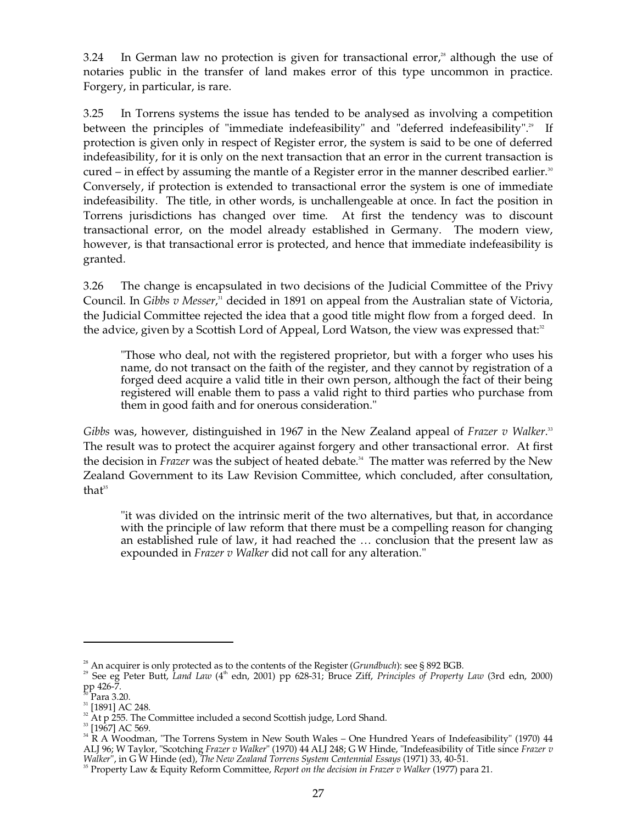3.24 In German law no protection is given for transactional error,<sup>38</sup> although the use of notaries public in the transfer of land makes error of this type uncommon in practice. Forgery, in particular, is rare.

3.25 In Torrens systems the issue has tended to be analysed as involving a competition between the principles of "immediate indefeasibility" and "deferred indefeasibility".<sup>29</sup> If protection is given only in respect of Register error, the system is said to be one of deferred indefeasibility, for it is only on the next transaction that an error in the current transaction is cured – in effect by assuming the mantle of a Register error in the manner described earlier.<sup>30</sup> Conversely, if protection is extended to transactional error the system is one of immediate indefeasibility. The title, in other words, is unchallengeable at once. In fact the position in Torrens jurisdictions has changed over time. At first the tendency was to discount transactional error, on the model already established in Germany. The modern view, however, is that transactional error is protected, and hence that immediate indefeasibility is granted.

3.26 The change is encapsulated in two decisions of the Judicial Committee of the Privy Council. In *Gibbs v Messer*,<sup>31</sup> decided in 1891 on appeal from the Australian state of Victoria, the Judicial Committee rejected the idea that a good title might flow from a forged deed. In the advice, given by a Scottish Lord of Appeal, Lord Watson, the view was expressed that: $^{\text{32}}$ 

"Those who deal, not with the registered proprietor, but with a forger who uses his name, do not transact on the faith of the register, and they cannot by registration of a forged deed acquire a valid title in their own person, although the fact of their being registered will enable them to pass a valid right to third parties who purchase from them in good faith and for onerous consideration."

*Gibbs* was, however, distinguished in 1967 in the New Zealand appeal of *Frazer v Walker*. 33 The result was to protect the acquirer against forgery and other transactional error. At first the decision in *Frazer* was the subject of heated debate. 34 The matter was referred by the New Zealand Government to its Law Revision Committee, which concluded, after consultation, that 35

"it was divided on the intrinsic merit of the two alternatives, but that, in accordance with the principle of law reform that there must be a compelling reason for changing an established rule of law, it had reached the … conclusion that the present law as expounded in *Frazer v Walker* did not call for any alteration."

<sup>&</sup>lt;sup>28</sup> An acquirer is only protected as to the contents of the Register (*Grundbuch*): see § 892 BGB.<br><sup>29</sup> See eg Peter Butt, *Land Law* (4<sup>th</sup> edn, 2001) pp 628-31; Bruce Ziff, *Principles of Property Law* (3rd edn, 2000)

<sup>&</sup>lt;sup>31</sup> [1891] AC 248.<br><sup>32</sup> At p 255. The Committee included a second Scottish judge, Lord Shand.<br><sup>33</sup> [1967] AC 569.<br><sup>33</sup> R A Woodman, "The Torrens System in New South Wales – One Hundred Years of Indefeasibility" (1970) 44 ALJ 96; W Taylor, "Scotching *Frazer v Walker*" (1970) 44 ALJ 248; G W Hinde, "Indefeasibility of Title since *Frazer v* 

*Walker",* in G W Hinde (ed), *The New Zealand Torrens System Centennial Essays* (1971) 33, 40-51.<br><sup>35</sup> Property Law & Equity Reform Committee, *Report on the decision in Frazer v Walker* (1977) para 21.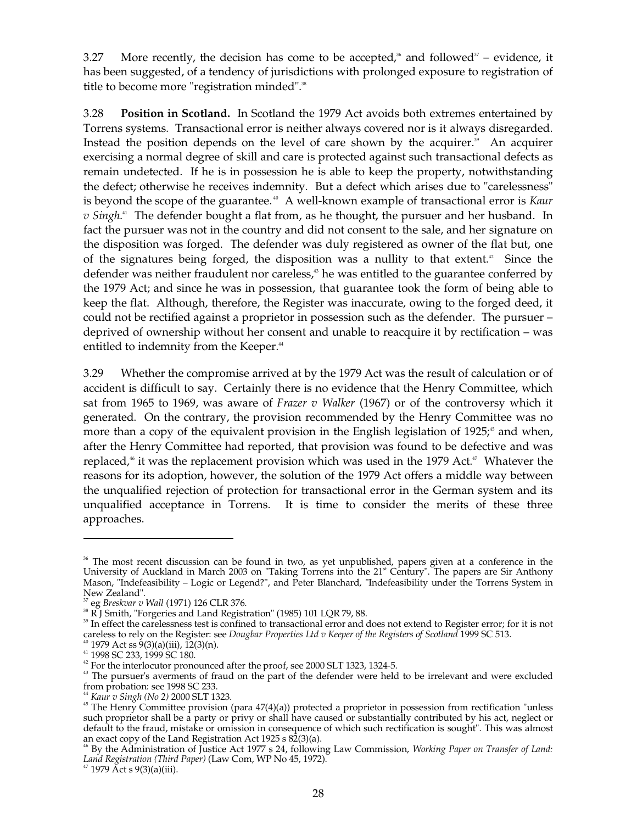3.27 More recently, the decision has come to be accepted,<sup>36</sup> and followed<sup>37</sup> – evidence, it has been suggested, of a tendency of jurisdictions with prolonged exposure to registration of title to become more "registration minded".<sup>38</sup>

3.28 **Position in Scotland.** In Scotland the 1979 Act avoids both extremes entertained by Torrens systems. Transactional error is neither always covered nor is it always disregarded. Instead the position depends on the level of care shown by the acquirer.<sup>39</sup> An acquirer exercising a normal degree of skill and care is protected against such transactional defects as remain undetected. If he is in possession he is able to keep the property, notwithstanding the defect; otherwise he receives indemnity. But a defect which arises due to "carelessness" is beyond the scope of the guarantee. 40 A well-known example of transactional error is *Kaur v Singh*. 41 The defender bought a flat from, as he thought, the pursuer and her husband. In fact the pursuer was not in the country and did not consent to the sale, and her signature on the disposition was forged. The defender was duly registered as owner of the flat but, one of the signatures being forged, the disposition was a nullity to that extent. 42 Since the defender was neither fraudulent nor careless,<sup>43</sup> he was entitled to the guarantee conferred by the 1979 Act; and since he was in possession, that guarantee took the form of being able to keep the flat. Although, therefore, the Register was inaccurate, owing to the forged deed, it could not be rectified against a proprietor in possession such as the defender. The pursuer – deprived of ownership without her consent and unable to reacquire it by rectification – was entitled to indemnity from the Keeper.<sup>44</sup>

3.29 Whether the compromise arrived at by the 1979 Act was the result of calculation or of accident is difficult to say. Certainly there is no evidence that the Henry Committee, which sat from 1965 to 1969, was aware of *Frazer v Walker* (1967) or of the controversy which it generated. On the contrary, the provision recommended by the Henry Committee was no more than a copy of the equivalent provision in the English legislation of 1925;<sup>5</sup> and when, after the Henry Committee had reported, that provision was found to be defective and was replaced,<sup>\*</sup> it was the replacement provision which was used in the 1979 Act.<sup>\*</sup> Whatever the reasons for its adoption, however, the solution of the 1979 Act offers a middle way between the unqualified rejection of protection for transactional error in the German system and its unqualified acceptance in Torrens. It is time to consider the merits of these three approaches.

<sup>&</sup>lt;sup>36</sup> The most recent discussion can be found in two, as yet unpublished, papers given at a conference in the University of Auckland in March 2003 on "Taking Torrens into the 21<sup>st</sup> Century". The papers are Sir Anthony Mason, "Indefeasibility – Logic or Legend?", and Peter Blanchard, "Indefeasibility under the Torrens System in New Zealand".<br> $^{37}$  eg *Breskvar v Wall* (1971) 126 CLR 376.

<sup>&</sup>lt;sup>38</sup> R J Smith, "Forgeries and Land Registration" (1985) 101 LQR 79, 88.<br><sup>39</sup> In effect the carelessness test is confined to transactional error and does not extend to Register error; for it is not

careless to rely on the Register: see *Dougbar Properties Ltd v Keeper of the Registers of Scotland* 1999 SC 513.<br><sup>40</sup> 1979 Act ss 9(3)(a)(iii), 12(3)(n).<br><sup>41</sup> 1998 SC 233, 1999 SC 180.<br><sup>42</sup> For the interlocutor pronounce

<sup>&</sup>lt;sup>44</sup> Kaur v Singh (No 2) 2000 SLT 1323.  $\frac{45}{15}$  The Henry Committee provision (para 47(4)(a)) protected a proprietor in possession from rectification "unless such proprietor shall be a party or privy or shall have caused or substantially contributed by his act, neglect or default to the fraud, mistake or omission in consequence of which such rectification is sought". This was almost an exact copy of the Land Registration Act 1925 s 82(3)(a).

<sup>&</sup>lt;sup>46</sup> By the Administration of Justice Act 1977 s 24, following Law Commission, *Working Paper on Transfer of Land: Land Registration (Third Paper)* (Law Com, WP No 45, 1972).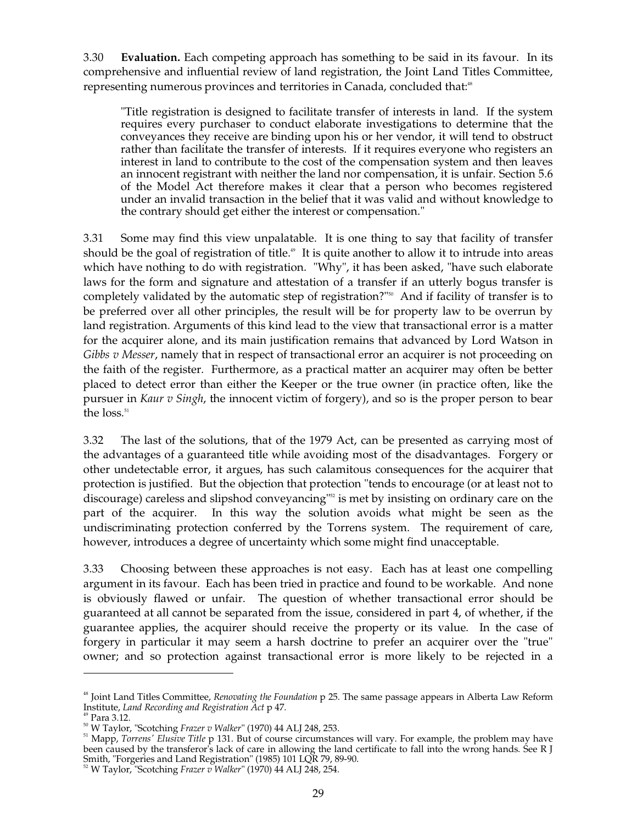3.30 **Evaluation.** Each competing approach has something to be said in its favour. In its comprehensive and influential review of land registration, the Joint Land Titles Committee, representing numerous provinces and territories in Canada, concluded that:<sup>48</sup>

"Title registration is designed to facilitate transfer of interests in land. If the system requires every purchaser to conduct elaborate investigations to determine that the conveyances they receive are binding upon his or her vendor, it will tend to obstruct rather than facilitate the transfer of interests. If it requires everyone who registers an interest in land to contribute to the cost of the compensation system and then leaves an innocent registrant with neither the land nor compensation, it is unfair. Section 5.6 of the Model Act therefore makes it clear that a person who becomes registered under an invalid transaction in the belief that it was valid and without knowledge to the contrary should get either the interest or compensation."

3.31 Some may find this view unpalatable. It is one thing to say that facility of transfer should be the goal of registration of title.<sup>49</sup> It is quite another to allow it to intrude into areas which have nothing to do with registration. "Why", it has been asked, "have such elaborate laws for the form and signature and attestation of a transfer if an utterly bogus transfer is completely validated by the automatic step of registration?" 50 And if facility of transfer is to be preferred over all other principles, the result will be for property law to be overrun by land registration. Arguments of this kind lead to the view that transactional error is a matter for the acquirer alone, and its main justification remains that advanced by Lord Watson in *Gibbs v Messer*, namely that in respect of transactional error an acquirer is not proceeding on the faith of the register. Furthermore, as a practical matter an acquirer may often be better placed to detect error than either the Keeper or the true owner (in practice often, like the pursuer in *Kaur v Singh*, the innocent victim of forgery), and so is the proper person to bear the loss. 51

3.32 The last of the solutions, that of the 1979 Act, can be presented as carrying most of the advantages of a guaranteed title while avoiding most of the disadvantages. Forgery or other undetectable error, it argues, has such calamitous consequences for the acquirer that protection is justified. But the objection that protection "tends to encourage (or at least not to discourage) careless and slipshod conveyancing"<sup>52</sup> is met by insisting on ordinary care on the part of the acquirer. In this way the solution avoids what might be seen as the undiscriminating protection conferred by the Torrens system. The requirement of care, however, introduces a degree of uncertainty which some might find unacceptable.

3.33 Choosing between these approaches is not easy. Each has at least one compelling argument in its favour. Each has been tried in practice and found to be workable. And none is obviously flawed or unfair. The question of whether transactional error should be guaranteed at all cannot be separated from the issue, considered in part 4, of whether, if the guarantee applies, the acquirer should receive the property or its value. In the case of forgery in particular it may seem a harsh doctrine to prefer an acquirer over the "true" owner; and so protection against transactional error is more likely to be rejected in a

<sup>48</sup> Joint Land Titles Committee, *Renovating the Foundation* p 25. The same passage appears in Alberta Law Reform Institute, *Land Recording and Registration Act* p 47.

<sup>49</sup> Para 3.12.

50 W Taylor, "Scotching *Frazer v Walker*" (1970) 44 ALJ 248, 253.

<sup>&</sup>lt;sup>51</sup> Mapp, *Torrens' Elusive Title* p 131. But of course circumstances will vary. For example, the problem may have been caused by the transferor's lack of care in allowing the land certificate to fall into the wrong hands. See R J Smith, "Forgeries and Land Registration" (1985) 101 LQR 79, 89-90. 52 W Taylor, "Scotching *Frazer v Walker*" (1970) 44 ALJ 248, 254.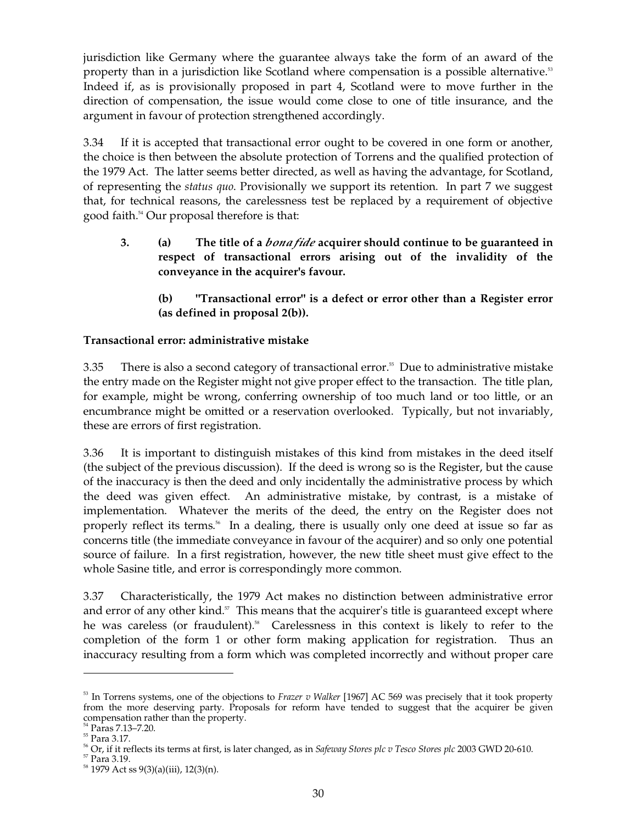jurisdiction like Germany where the guarantee always take the form of an award of the property than in a jurisdiction like Scotland where compensation is a possible alternative.<sup>53</sup> Indeed if, as is provisionally proposed in part 4, Scotland were to move further in the direction of compensation, the issue would come close to one of title insurance, and the argument in favour of protection strengthened accordingly.

3.34 If it is accepted that transactional error ought to be covered in one form or another, the choice is then between the absolute protection of Torrens and the qualified protection of the 1979 Act. The latter seems better directed, as well as having the advantage, for Scotland, of representing the *status quo*. Provisionally we support its retention. In part 7 we suggest that, for technical reasons, the carelessness test be replaced by a requirement of objective good faith. 54 Our proposal therefore is that:

**3. (a) The title of a** *bona fide* **acquirer should continue to be guaranteed in respect of transactional errors arising out of the invalidity of the conveyance in the acquirer's favour.** 

**(b) "Transactional error" is a defect or error other than a Register error (as defined in proposal 2(b)).** 

## **Transactional error: administrative mistake**

3.35 There is also a second category of transactional error. 55 Due to administrative mistake the entry made on the Register might not give proper effect to the transaction. The title plan, for example, might be wrong, conferring ownership of too much land or too little, or an encumbrance might be omitted or a reservation overlooked. Typically, but not invariably, these are errors of first registration.

3.36 It is important to distinguish mistakes of this kind from mistakes in the deed itself (the subject of the previous discussion). If the deed is wrong so is the Register, but the cause of the inaccuracy is then the deed and only incidentally the administrative process by which the deed was given effect. An administrative mistake, by contrast, is a mistake of implementation. Whatever the merits of the deed, the entry on the Register does not properly reflect its terms. 56 In a dealing, there is usually only one deed at issue so far as concerns title (the immediate conveyance in favour of the acquirer) and so only one potential source of failure. In a first registration, however, the new title sheet must give effect to the whole Sasine title, and error is correspondingly more common.

3.37 Characteristically, the 1979 Act makes no distinction between administrative error and error of any other kind.<sup>57</sup> This means that the acquirer's title is guaranteed except where he was careless (or fraudulent).<sup>58</sup> Carelessness in this context is likely to refer to the completion of the form 1 or other form making application for registration. Thus an inaccuracy resulting from a form which was completed incorrectly and without proper care

<sup>53</sup> In Torrens systems, one of the objections to *Frazer v Walker* [1967] AC 569 was precisely that it took property from the more deserving party. Proposals for reform have tended to suggest that the acquirer be given compensation rather than the property.<br><sup>54</sup> Paras 7.13–7.20.

<sup>&</sup>lt;sup>55</sup> Para 3.17.<br><sup>56</sup> Or, if it reflects its terms at first, is later changed, as in *Safeway Stores plc v Tesco Stores plc* 2003 GWD 20-610.<br><sup>57</sup> Para 3.19.<br><sup>58</sup> 1979 Act ss 9(3)(a)(iii), 12(3)(n).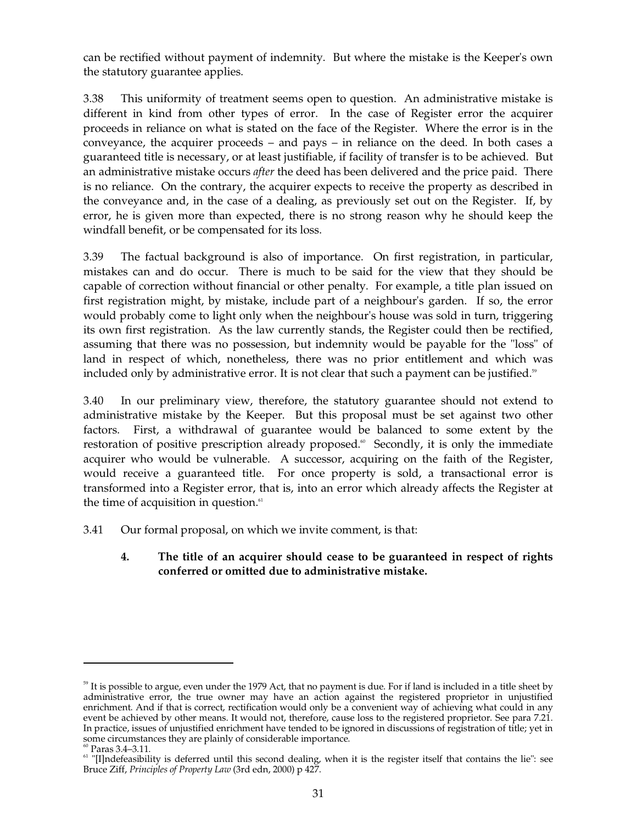can be rectified without payment of indemnity. But where the mistake is the Keeper's own the statutory guarantee applies.

3.38 This uniformity of treatment seems open to question. An administrative mistake is different in kind from other types of error. In the case of Register error the acquirer proceeds in reliance on what is stated on the face of the Register. Where the error is in the conveyance, the acquirer proceeds – and pays – in reliance on the deed. In both cases a guaranteed title is necessary, or at least justifiable, if facility of transfer is to be achieved. But an administrative mistake occurs *after* the deed has been delivered and the price paid. There is no reliance. On the contrary, the acquirer expects to receive the property as described in the conveyance and, in the case of a dealing, as previously set out on the Register. If, by error, he is given more than expected, there is no strong reason why he should keep the windfall benefit, or be compensated for its loss.

3.39 The factual background is also of importance. On first registration, in particular, mistakes can and do occur. There is much to be said for the view that they should be capable of correction without financial or other penalty. For example, a title plan issued on first registration might, by mistake, include part of a neighbour's garden. If so, the error would probably come to light only when the neighbour's house was sold in turn, triggering its own first registration. As the law currently stands, the Register could then be rectified, assuming that there was no possession, but indemnity would be payable for the "loss" of land in respect of which, nonetheless, there was no prior entitlement and which was included only by administrative error. It is not clear that such a payment can be justified. $^{\circ}$ 

3.40 In our preliminary view, therefore, the statutory guarantee should not extend to administrative mistake by the Keeper. But this proposal must be set against two other factors. First, a withdrawal of guarantee would be balanced to some extent by the restoration of positive prescription already proposed.<sup>60</sup> Secondly, it is only the immediate acquirer who would be vulnerable. A successor, acquiring on the faith of the Register, would receive a guaranteed title. For once property is sold, a transactional error is transformed into a Register error, that is, into an error which already affects the Register at the time of acquisition in question.<sup>61</sup>

- 3.41 Our formal proposal, on which we invite comment, is that:
	- **4. The title of an acquirer should cease to be guaranteed in respect of rights conferred or omitted due to administrative mistake.**

<sup>&</sup>lt;sup>59</sup> It is possible to argue, even under the 1979 Act, that no payment is due. For if land is included in a title sheet by administrative error, the true owner may have an action against the registered proprietor in unjustified enrichment. And if that is correct, rectification would only be a convenient way of achieving what could in any event be achieved by other means. It would not, therefore, cause loss to the registered proprietor. See para 7.21. In practice, issues of unjustified enrichment have tended to be ignored in discussions of registration of title; yet in some circumstances they are plainly of considerable importance.  $^\mathrm{60}$  Paras 3.4–3.11.

 $\lceil$  "[I]ndefeasibility is deferred until this second dealing, when it is the register itself that contains the lie": see Bruce Ziff, *Principles of Property Law* (3rd edn, 2000) p 427.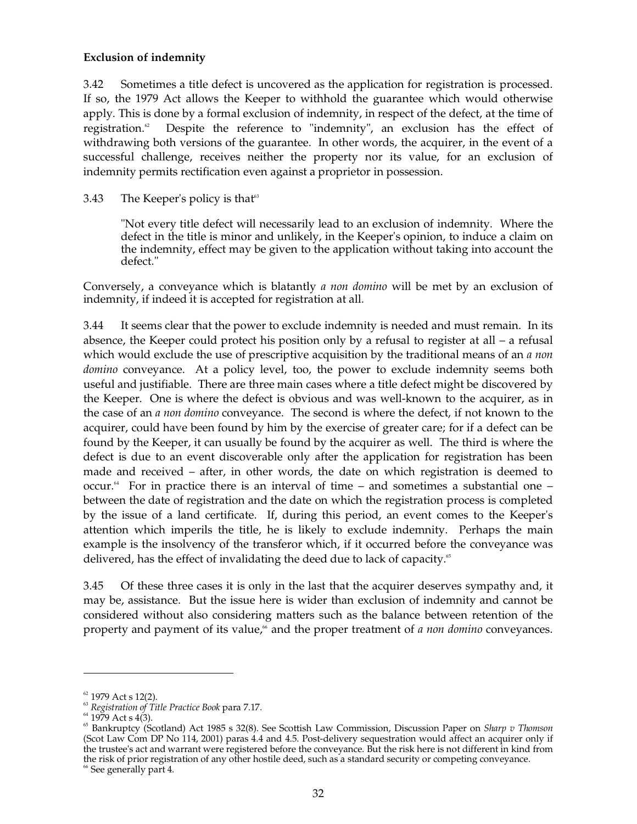#### **Exclusion of indemnity**

3.42 Sometimes a title defect is uncovered as the application for registration is processed. If so, the 1979 Act allows the Keeper to withhold the guarantee which would otherwise apply. This is done by a formal exclusion of indemnity, in respect of the defect, at the time of registration. Despite the reference to "indemnity", an exclusion has the effect of withdrawing both versions of the guarantee. In other words, the acquirer, in the event of a successful challenge, receives neither the property nor its value, for an exclusion of indemnity permits rectification even against a proprietor in possession.

#### 3.43 The Keeper's policy is that 63

"Not every title defect will necessarily lead to an exclusion of indemnity. Where the defect in the title is minor and unlikely, in the Keeper's opinion, to induce a claim on the indemnity, effect may be given to the application without taking into account the defect."

Conversely, a conveyance which is blatantly *a non domino* will be met by an exclusion of indemnity, if indeed it is accepted for registration at all.

3.44 It seems clear that the power to exclude indemnity is needed and must remain. In its absence, the Keeper could protect his position only by a refusal to register at all – a refusal which would exclude the use of prescriptive acquisition by the traditional means of an *a non domino* conveyance. At a policy level, too, the power to exclude indemnity seems both useful and justifiable. There are three main cases where a title defect might be discovered by the Keeper. One is where the defect is obvious and was well-known to the acquirer, as in the case of an *a non domino* conveyance. The second is where the defect, if not known to the acquirer, could have been found by him by the exercise of greater care; for if a defect can be found by the Keeper, it can usually be found by the acquirer as well. The third is where the defect is due to an event discoverable only after the application for registration has been made and received – after, in other words, the date on which registration is deemed to occur. 64 For in practice there is an interval of time – and sometimes a substantial one – between the date of registration and the date on which the registration process is completed by the issue of a land certificate. If, during this period, an event comes to the Keeper's attention which imperils the title, he is likely to exclude indemnity. Perhaps the main example is the insolvency of the transferor which, if it occurred before the conveyance was delivered, has the effect of invalidating the deed due to lack of capacity.<sup>65</sup>

3.45 Of these three cases it is only in the last that the acquirer deserves sympathy and, it may be, assistance. But the issue here is wider than exclusion of indemnity and cannot be considered without also considering matters such as the balance between retention of the property and payment of its value,<sup>66</sup> and the proper treatment of *a non domino* conveyances.

 $62$  1979 Act s 12(2).

<sup>63</sup>*Registration of Title Practice Book* para 7.17.

 $64$  1979 Act s 4(3).

<sup>65</sup> Bankruptcy (Scotland) Act 1985 s 32(8). See Scottish Law Commission, Discussion Paper on *Sharp v Thomson*  (Scot Law Com DP No 114, 2001) paras 4.4 and 4.5. Post-delivery sequestration would affect an acquirer only if the trustee's act and warrant were registered before the conveyance. But the risk here is not different in kind from the risk of prior registration of any other hostile deed, such as a standard security or competing conveyance. <sup>66</sup> See generally part 4.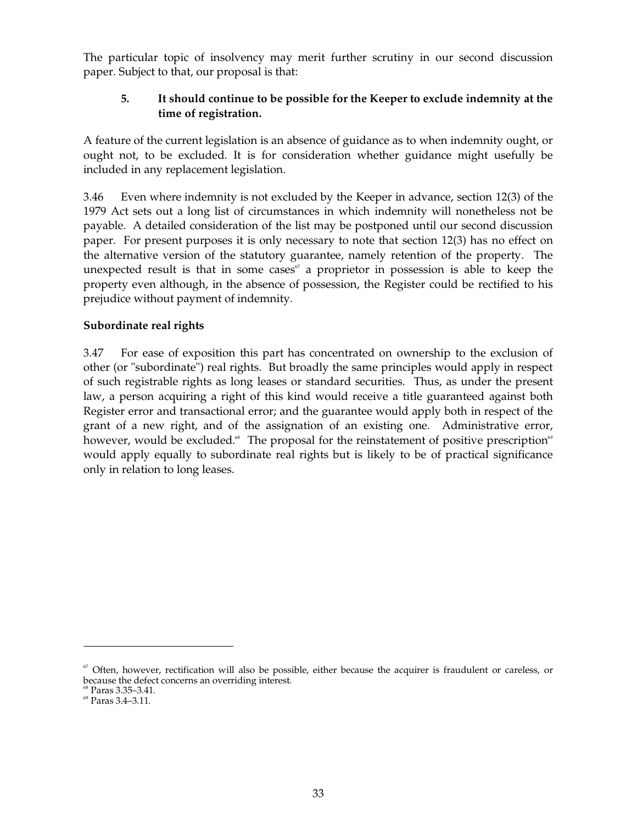The particular topic of insolvency may merit further scrutiny in our second discussion paper. Subject to that, our proposal is that:

## **5. It should continue to be possible for the Keeper to exclude indemnity at the time of registration.**

A feature of the current legislation is an absence of guidance as to when indemnity ought, or ought not, to be excluded. It is for consideration whether guidance might usefully be included in any replacement legislation.

3.46 Even where indemnity is not excluded by the Keeper in advance, section 12(3) of the 1979 Act sets out a long list of circumstances in which indemnity will nonetheless not be payable. A detailed consideration of the list may be postponed until our second discussion paper. For present purposes it is only necessary to note that section 12(3) has no effect on the alternative version of the statutory guarantee, namely retention of the property. The unexpected result is that in some cases $\mathscr{C}$  a proprietor in possession is able to keep the property even although, in the absence of possession, the Register could be rectified to his prejudice without payment of indemnity.

## **Subordinate real rights**

3.47 For ease of exposition this part has concentrated on ownership to the exclusion of other (or "subordinate") real rights. But broadly the same principles would apply in respect of such registrable rights as long leases or standard securities. Thus, as under the present law, a person acquiring a right of this kind would receive a title guaranteed against both Register error and transactional error; and the guarantee would apply both in respect of the grant of a new right, and of the assignation of an existing one. Administrative error, however, would be excluded.<sup>8</sup> The proposal for the reinstatement of positive prescription<sup>69</sup> would apply equally to subordinate real rights but is likely to be of practical significance only in relation to long leases.

 $\degree$  Often, however, rectification will also be possible, either because the acquirer is fraudulent or careless, or because the defect concerns an overriding interest. <sup>68</sup> Paras 3.35–3.41. <sup>69</sup> Paras 3.4–3.11.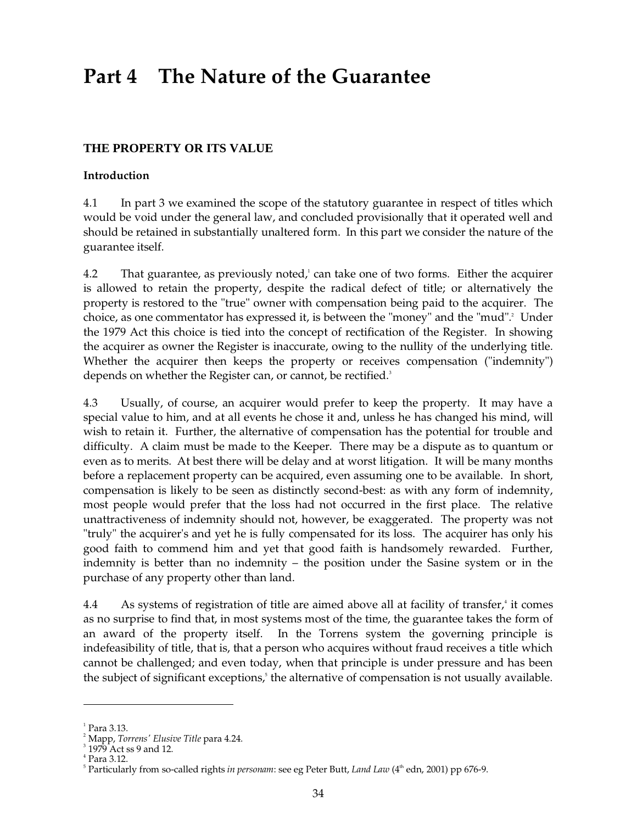# **Part 4 The Nature of the Guarantee**

# **THE PROPERTY OR ITS VALUE**

#### **Introduction**

4.1 In part 3 we examined the scope of the statutory guarantee in respect of titles which would be void under the general law, and concluded provisionally that it operated well and should be retained in substantially unaltered form. In this part we consider the nature of the guarantee itself.

4.2 That guarantee, as previously noted, 1 can take one of two forms. Either the acquirer is allowed to retain the property, despite the radical defect of title; or alternatively the property is restored to the "true" owner with compensation being paid to the acquirer. The choice, as one commentator has expressed it, is between the "money" and the "mud". 2 Under the 1979 Act this choice is tied into the concept of rectification of the Register. In showing the acquirer as owner the Register is inaccurate, owing to the nullity of the underlying title. Whether the acquirer then keeps the property or receives compensation ("indemnity") depends on whether the Register can, or cannot, be rectified.<sup>3</sup>

4.3 Usually, of course, an acquirer would prefer to keep the property. It may have a special value to him, and at all events he chose it and, unless he has changed his mind, will wish to retain it. Further, the alternative of compensation has the potential for trouble and difficulty. A claim must be made to the Keeper. There may be a dispute as to quantum or even as to merits. At best there will be delay and at worst litigation. It will be many months before a replacement property can be acquired, even assuming one to be available. In short, compensation is likely to be seen as distinctly second-best: as with any form of indemnity, most people would prefer that the loss had not occurred in the first place. The relative unattractiveness of indemnity should not, however, be exaggerated. The property was not "truly" the acquirer's and yet he is fully compensated for its loss. The acquirer has only his good faith to commend him and yet that good faith is handsomely rewarded. Further, indemnity is better than no indemnity – the position under the Sasine system or in the purchase of any property other than land.

4.4 As systems of registration of title are aimed above all at facility of transfer,<sup>4</sup> it comes as no surprise to find that, in most systems most of the time, the guarantee takes the form of an award of the property itself. In the Torrens system the governing principle is indefeasibility of title, that is, that a person who acquires without fraud receives a title which cannot be challenged; and even today, when that principle is under pressure and has been the subject of significant exceptions, 5 the alternative of compensation is not usually available.

 $<sup>1</sup>$  Para 3.13.</sup>

<sup>&</sup>lt;sup>2</sup> Mapp, *Torrens' Elusive Title* para 4.24.<br><sup>3</sup> 1979 Act ss 9 and 12.

<sup>4</sup> Para 3.12.

<sup>&</sup>lt;sup>5</sup> Particularly from so-called rights *in personam*: see eg Peter Butt, *Land Law* (4<sup>th</sup> edn, 2001) pp 676-9.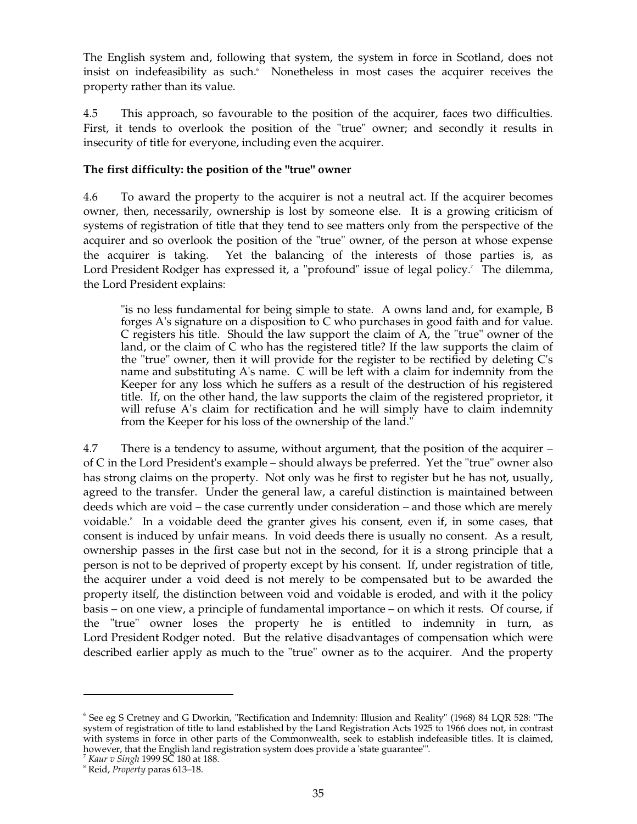The English system and, following that system, the system in force in Scotland, does not insist on indefeasibility as such. 6 Nonetheless in most cases the acquirer receives the property rather than its value.

4.5 This approach, so favourable to the position of the acquirer, faces two difficulties. First, it tends to overlook the position of the "true" owner; and secondly it results in insecurity of title for everyone, including even the acquirer.

#### **The first difficulty: the position of the "true" owner**

4.6 To award the property to the acquirer is not a neutral act. If the acquirer becomes owner, then, necessarily, ownership is lost by someone else. It is a growing criticism of systems of registration of title that they tend to see matters only from the perspective of the acquirer and so overlook the position of the "true" owner, of the person at whose expense the acquirer is taking. Yet the balancing of the interests of those parties is, as Lord President Rodger has expressed it, a "profound" issue of legal policy.<sup>7</sup> The dilemma, the Lord President explains:

"is no less fundamental for being simple to state. A owns land and, for example, B forges A's signature on a disposition to C who purchases in good faith and for value. C registers his title. Should the law support the claim of A, the "true" owner of the land, or the claim of C who has the registered title? If the law supports the claim of the "true" owner, then it will provide for the register to be rectified by deleting C's name and substituting A's name. C will be left with a claim for indemnity from the Keeper for any loss which he suffers as a result of the destruction of his registered title. If, on the other hand, the law supports the claim of the registered proprietor, it will refuse A's claim for rectification and he will simply have to claim indemnity from the Keeper for his loss of the ownership of the land."

4.7 There is a tendency to assume, without argument, that the position of the acquirer – of C in the Lord President's example – should always be preferred. Yet the "true" owner also has strong claims on the property. Not only was he first to register but he has not, usually, agreed to the transfer. Under the general law, a careful distinction is maintained between deeds which are void – the case currently under consideration – and those which are merely voidable. 8 In a voidable deed the granter gives his consent, even if, in some cases, that consent is induced by unfair means. In void deeds there is usually no consent. As a result, ownership passes in the first case but not in the second, for it is a strong principle that a person is not to be deprived of property except by his consent. If, under registration of title, the acquirer under a void deed is not merely to be compensated but to be awarded the property itself, the distinction between void and voidable is eroded, and with it the policy basis – on one view, a principle of fundamental importance – on which it rests. Of course, if the "true" owner loses the property he is entitled to indemnity in turn, as Lord President Rodger noted. But the relative disadvantages of compensation which were described earlier apply as much to the "true" owner as to the acquirer. And the property

<sup>6</sup> See eg S Cretney and G Dworkin, "Rectification and Indemnity: Illusion and Reality" (1968) 84 LQR 528: "The system of registration of title to land established by the Land Registration Acts 1925 to 1966 does not, in contrast with systems in force in other parts of the Commonwealth, seek to establish indefeasible titles. It is claimed, however, that the English land registration system does provide a 'state guarantee'".<br><sup>7</sup> *Kaur v Singh* 1999 SC 180 at 188. 8 *Reid, Property* paras 613–18.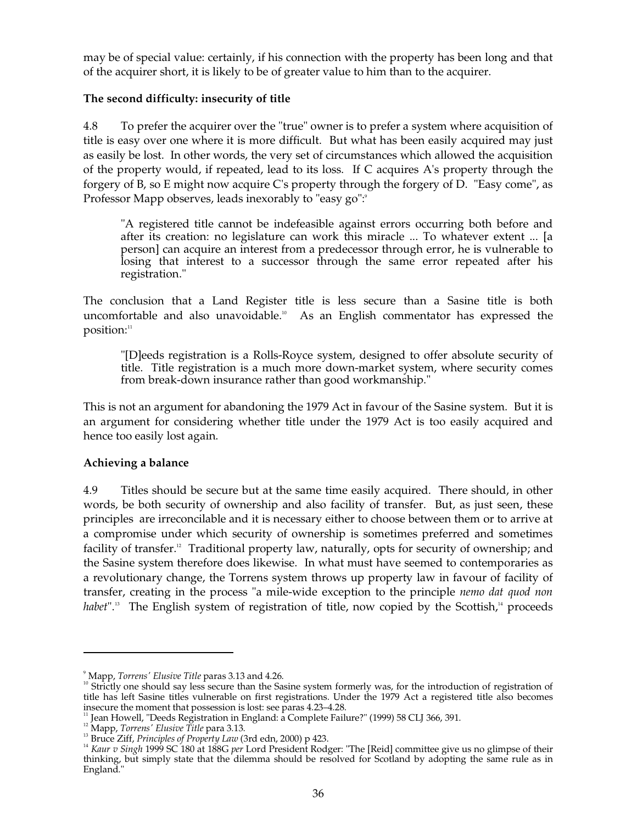may be of special value: certainly, if his connection with the property has been long and that of the acquirer short, it is likely to be of greater value to him than to the acquirer.

## **The second difficulty: insecurity of title**

4.8 To prefer the acquirer over the "true" owner is to prefer a system where acquisition of title is easy over one where it is more difficult. But what has been easily acquired may just as easily be lost. In other words, the very set of circumstances which allowed the acquisition of the property would, if repeated, lead to its loss. If C acquires A's property through the forgery of B, so E might now acquire C's property through the forgery of D. "Easy come", as Professor Mapp observes, leads inexorably to "easy go":<sup>9</sup>

"A registered title cannot be indefeasible against errors occurring both before and after its creation: no legislature can work this miracle ... To whatever extent ... [a person] can acquire an interest from a predecessor through error, he is vulnerable to losing that interest to a successor through the same error repeated after his registration."

The conclusion that a Land Register title is less secure than a Sasine title is both uncomfortable and also unavoidable. 10 As an English commentator has expressed the position: 11

"[D]eeds registration is a Rolls-Royce system, designed to offer absolute security of title. Title registration is a much more down-market system, where security comes from break-down insurance rather than good workmanship."

This is not an argument for abandoning the 1979 Act in favour of the Sasine system. But it is an argument for considering whether title under the 1979 Act is too easily acquired and hence too easily lost again.

#### **Achieving a balance**

4.9 Titles should be secure but at the same time easily acquired. There should, in other words, be both security of ownership and also facility of transfer. But, as just seen, these principles are irreconcilable and it is necessary either to choose between them or to arrive at a compromise under which security of ownership is sometimes preferred and sometimes facility of transfer.<sup>12</sup> Traditional property law, naturally, opts for security of ownership; and the Sasine system therefore does likewise. In what must have seemed to contemporaries as a revolutionary change, the Torrens system throws up property law in favour of facility of transfer, creating in the process "a mile-wide exception to the principle *nemo dat quod non*  habet".<sup>13</sup> The English system of registration of title, now copied by the Scottish,<sup>14</sup> proceeds

<sup>&</sup>lt;sup>9</sup> Mapp, *Torrens' Elusive Title* paras 3.13 and 4.26.<br><sup>10</sup> Strictly one should say less secure than the Sasine system formerly was, for the introduction of registration of title has left Sasine titles vulnerable on first registrations. Under the 1979 Act a registered title also becomes

insecure the moment that possession is lost: see paras 4.23–4.28.<br>
<sup>11</sup> Jean Howell, "Deeds Registration in England: a Complete Failure?" (1999) 58 CLJ 366, 391.<br>
<sup>12</sup> Mapp, *Torrens' Elusive Title* para 3.13.<br>
<sup>13</sup> Bruce thinking, but simply state that the dilemma should be resolved for Scotland by adopting the same rule as in England."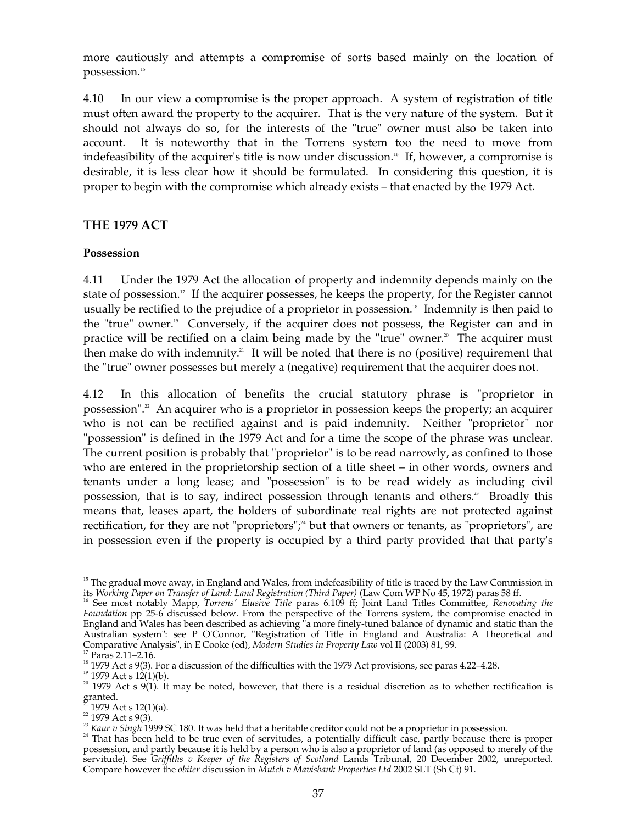more cautiously and attempts a compromise of sorts based mainly on the location of possession. 15

4.10 In our view a compromise is the proper approach. A system of registration of title must often award the property to the acquirer. That is the very nature of the system. But it should not always do so, for the interests of the "true" owner must also be taken into account. It is noteworthy that in the Torrens system too the need to move from indefeasibility of the acquirer's title is now under discussion. 16 If, however, a compromise is desirable, it is less clear how it should be formulated. In considering this question, it is proper to begin with the compromise which already exists – that enacted by the 1979 Act.

## **THE 1979 ACT**

#### **Possession**

4.11 Under the 1979 Act the allocation of property and indemnity depends mainly on the state of possession. 17 If the acquirer possesses, he keeps the property, for the Register cannot usually be rectified to the prejudice of a proprietor in possession. 18 Indemnity is then paid to the "true" owner. 19 Conversely, if the acquirer does not possess, the Register can and in practice will be rectified on a claim being made by the "true" owner.<sup>20</sup> The acquirer must then make do with indemnity.<sup>21</sup> It will be noted that there is no (positive) requirement that the "true" owner possesses but merely a (negative) requirement that the acquirer does not.

4.12 In this allocation of benefits the crucial statutory phrase is "proprietor in possession". 22 An acquirer who is a proprietor in possession keeps the property; an acquirer who is not can be rectified against and is paid indemnity. Neither "proprietor" nor "possession" is defined in the 1979 Act and for a time the scope of the phrase was unclear. The current position is probably that "proprietor" is to be read narrowly, as confined to those who are entered in the proprietorship section of a title sheet – in other words, owners and tenants under a long lease; and "possession" is to be read widely as including civil possession, that is to say, indirect possession through tenants and others.<sup>23</sup> Broadly this means that, leases apart, the holders of subordinate real rights are not protected against rectification, for they are not "proprietors";<sup>24</sup> but that owners or tenants, as "proprietors", are in possession even if the property is occupied by a third party provided that that party's

<sup>&</sup>lt;sup>15</sup> The gradual move away, in England and Wales, from indefeasibility of title is traced by the Law Commission in

its Working Paper on Transfer of Land: Land Registration (Third Paper) (Law Com WP No 45, 1972) paras 58 ff.<br><sup>16</sup> See most notably Mapp*, Torrens' Elusive Title* paras 6.109 ff; Joint Land Titles Committee, *Renovating the Foundation* pp 25-6 discussed below. From the perspective of the Torrens system, the compromise enacted in England and Wales has been described as achieving "a more finely-tuned balance of dynamic and static than the Australian system": see P O'Connor, "Registration of Title in England and Australia: A Theoretical and Comparative Analysis", in E Cooke (ed), *Modern Studies in Property Law* vol II (2003) 81, 99.

<sup>&</sup>lt;sup>17</sup> Paras 2.11–2.16.<br><sup>18</sup> 1979 Act s 9(3). For a discussion of the difficulties with the 1979 Act provisions, see paras 4.22–4.28.<br><sup>19</sup> 1979 Act s 12(1)(b).<br><sup>20</sup> 1979 Act s 9(1). It may be noted, however, that there is a

<sup>&</sup>lt;sup>21</sup> 1979 Act s 12(1)(a).<br><sup>22</sup> 1979 Act s 9(3).<br><sup>23</sup> *Kaur v Singh* 1999 SC 180. It was held that a heritable creditor could not be a proprietor in possession.<br><sup>23</sup> *Kaur v Singh* 1999 SC 180. It was held that a heritable possession, and partly because it is held by a person who is also a proprietor of land (as opposed to merely of the servitude). See *Griffiths v Keeper of the Registers of Scotland* Lands Tribunal, 20 December 2002, unreported. Compare however the *obiter* discussion in *Mutch v Mavisbank Properties Ltd* 2002 SLT (Sh Ct) 91.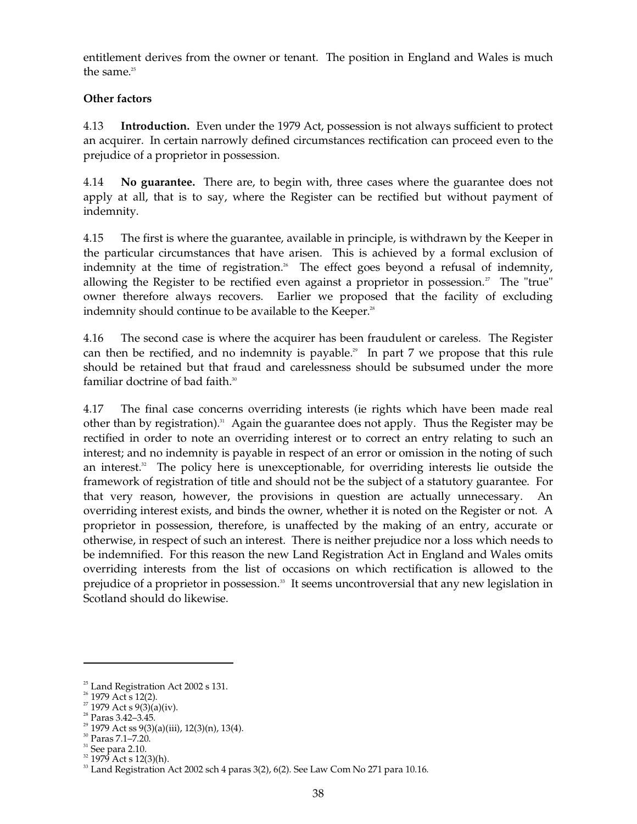entitlement derives from the owner or tenant. The position in England and Wales is much the same. 25

## **Other factors**

4.13 **Introduction.** Even under the 1979 Act, possession is not always sufficient to protect an acquirer. In certain narrowly defined circumstances rectification can proceed even to the prejudice of a proprietor in possession.

4.14 **No guarantee.** There are, to begin with, three cases where the guarantee does not apply at all, that is to say, where the Register can be rectified but without payment of indemnity.

4.15 The first is where the guarantee, available in principle, is withdrawn by the Keeper in the particular circumstances that have arisen. This is achieved by a formal exclusion of indemnity at the time of registration.<sup>26</sup> The effect goes beyond a refusal of indemnity, allowing the Register to be rectified even against a proprietor in possession. $<sup>2</sup>$  The "true"</sup> owner therefore always recovers. Earlier we proposed that the facility of excluding indemnity should continue to be available to the Keeper.<sup>28</sup>

4.16 The second case is where the acquirer has been fraudulent or careless. The Register can then be rectified, and no indemnity is payable. 29 In part 7 we propose that this rule should be retained but that fraud and carelessness should be subsumed under the more familiar doctrine of bad faith. 30

4.17 The final case concerns overriding interests (ie rights which have been made real other than by registration). 31 Again the guarantee does not apply. Thus the Register may be rectified in order to note an overriding interest or to correct an entry relating to such an interest; and no indemnity is payable in respect of an error or omission in the noting of such an interest. 32 The policy here is unexceptionable, for overriding interests lie outside the framework of registration of title and should not be the subject of a statutory guarantee. For that very reason, however, the provisions in question are actually unnecessary. An overriding interest exists, and binds the owner, whether it is noted on the Register or not. A proprietor in possession, therefore, is unaffected by the making of an entry, accurate or otherwise, in respect of such an interest. There is neither prejudice nor a loss which needs to be indemnified. For this reason the new Land Registration Act in England and Wales omits overriding interests from the list of occasions on which rectification is allowed to the prejudice of a proprietor in possession. 33 It seems uncontroversial that any new legislation in Scotland should do likewise.

 $25$  Land Registration Act 2002 s 131.

<sup>&</sup>lt;sup>26</sup> 1979 Act s 12(2).

<sup>&</sup>lt;sup>27</sup> 1979 Act s 9(3)(a)(iv).

<sup>28</sup> Paras 3.42–3.45.

 $2^{29}$  1979 Act ss 9(3)(a)(iii), 12(3)(n), 13(4).

<sup>30</sup> Paras 7.1–7.20.

 $31$  See para 2.10.

<sup>&</sup>lt;sup>32</sup> 1979 Act s 12(3)(h).

 $33$  Land Registration Act 2002 sch 4 paras  $3(2)$ ,  $6(2)$ . See Law Com No 271 para 10.16.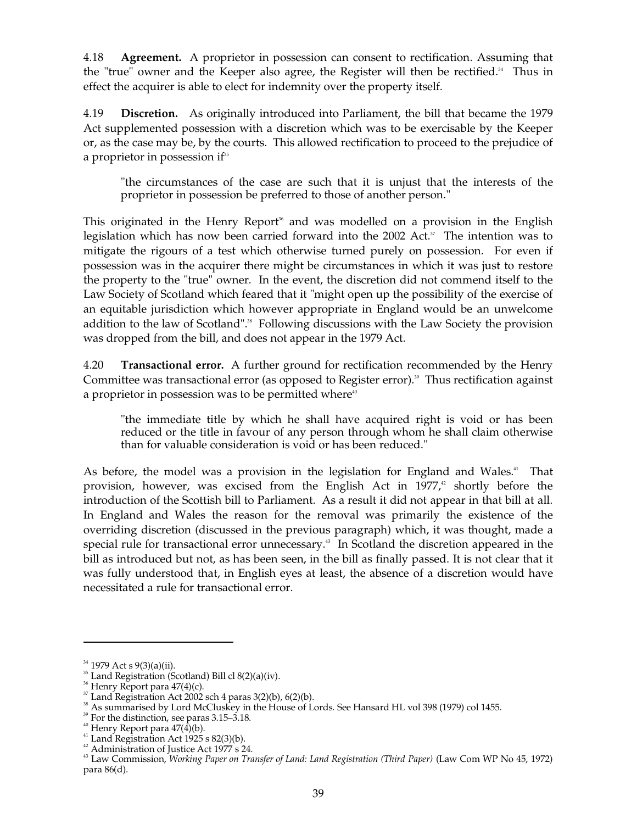4.18 **Agreement.** A proprietor in possession can consent to rectification. Assuming that the "true" owner and the Keeper also agree, the Register will then be rectified.<sup>34</sup> Thus in effect the acquirer is able to elect for indemnity over the property itself.

4.19 **Discretion.** As originally introduced into Parliament, the bill that became the 1979 Act supplemented possession with a discretion which was to be exercisable by the Keeper or, as the case may be, by the courts. This allowed rectification to proceed to the prejudice of a proprietor in possession if 35

"the circumstances of the case are such that it is unjust that the interests of the proprietor in possession be preferred to those of another person."

This originated in the Henry Report<sup>®</sup> and was modelled on a provision in the English legislation which has now been carried forward into the 2002 Act.<sup>37</sup> The intention was to mitigate the rigours of a test which otherwise turned purely on possession. For even if possession was in the acquirer there might be circumstances in which it was just to restore the property to the "true" owner. In the event, the discretion did not commend itself to the Law Society of Scotland which feared that it "might open up the possibility of the exercise of an equitable jurisdiction which however appropriate in England would be an unwelcome addition to the law of Scotland".<sup>38</sup> Following discussions with the Law Society the provision was dropped from the bill, and does not appear in the 1979 Act.

4.20 **Transactional error.** A further ground for rectification recommended by the Henry Committee was transactional error (as opposed to Register error). 39 Thus rectification against a proprietor in possession was to be permitted where<sup>40</sup>

"the immediate title by which he shall have acquired right is void or has been reduced or the title in favour of any person through whom he shall claim otherwise than for valuable consideration is void or has been reduced."

As before, the model was a provision in the legislation for England and Wales.<sup>41</sup> That provision, however, was excised from the English Act in 1977,<sup>2</sup> shortly before the introduction of the Scottish bill to Parliament. As a result it did not appear in that bill at all. In England and Wales the reason for the removal was primarily the existence of the overriding discretion (discussed in the previous paragraph) which, it was thought, made a special rule for transactional error unnecessary. 43 In Scotland the discretion appeared in the bill as introduced but not, as has been seen, in the bill as finally passed. It is not clear that it was fully understood that, in English eyes at least, the absence of a discretion would have necessitated a rule for transactional error.

 $34$  1979 Act s 9(3)(a)(ii).

 $35$  Land Registration (Scotland) Bill cl  $8(2)(a)(iv)$ .

 $36$  Henry Report para  $47(4)(c)$ .

 $37$  Land Registration Act 2002 sch 4 paras 3(2)(b), 6(2)(b).

<sup>&</sup>lt;sup>38</sup> As summarised by Lord McCluskey in the House of Lords. See Hansard HL vol 398 (1979) col 1455.

 $39$  For the distinction, see paras 3.15–3.18.

 $40$  Henry Report para  $47(\dot{4})$ (b).

 $41$  Land Registration Act 1925 s 82(3)(b).

<sup>&</sup>lt;sup>42</sup> Administration of Justice Act 1977 s 24.

<sup>&</sup>lt;sup>43</sup> Law Commission, *Working Paper on Transfer of Land: Land Registration (Third Paper)* (Law Com WP No 45, 1972) para 86(d).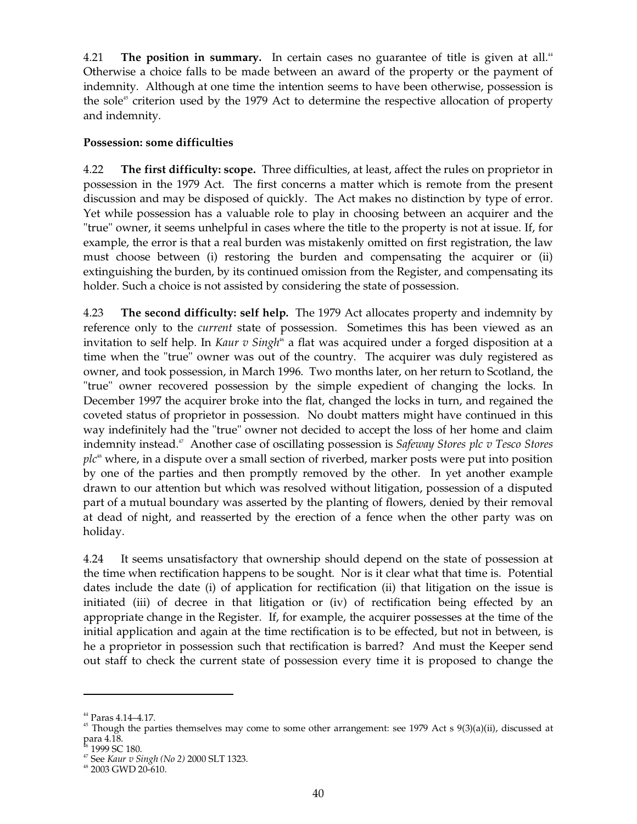4.21 The position in summary. In certain cases no guarantee of title is given at all.<sup>44</sup> Otherwise a choice falls to be made between an award of the property or the payment of indemnity. Although at one time the intention seems to have been otherwise, possession is the sole $<sup>45</sup>$  criterion used by the 1979 Act to determine the respective allocation of property</sup> and indemnity.

## **Possession: some difficulties**

4.22 **The first difficulty: scope.** Three difficulties, at least, affect the rules on proprietor in possession in the 1979 Act. The first concerns a matter which is remote from the present discussion and may be disposed of quickly. The Act makes no distinction by type of error. Yet while possession has a valuable role to play in choosing between an acquirer and the "true" owner, it seems unhelpful in cases where the title to the property is not at issue. If, for example, the error is that a real burden was mistakenly omitted on first registration, the law must choose between (i) restoring the burden and compensating the acquirer or (ii) extinguishing the burden, by its continued omission from the Register, and compensating its holder. Such a choice is not assisted by considering the state of possession.

4.23 **The second difficulty: self help.** The 1979 Act allocates property and indemnity by reference only to the *current* state of possession. Sometimes this has been viewed as an invitation to self help. In *Kaur v Singh*<sup>46</sup> a flat was acquired under a forged disposition at a time when the "true" owner was out of the country. The acquirer was duly registered as owner, and took possession, in March 1996. Two months later, on her return to Scotland, the "true" owner recovered possession by the simple expedient of changing the locks. In December 1997 the acquirer broke into the flat, changed the locks in turn, and regained the coveted status of proprietor in possession. No doubt matters might have continued in this way indefinitely had the "true" owner not decided to accept the loss of her home and claim indemnity instead. 47 Another case of oscillating possession is *Safeway Stores plc v Tesco Stores*  plc<sup>\*</sup> where, in a dispute over a small section of riverbed, marker posts were put into position by one of the parties and then promptly removed by the other. In yet another example drawn to our attention but which was resolved without litigation, possession of a disputed part of a mutual boundary was asserted by the planting of flowers, denied by their removal at dead of night, and reasserted by the erection of a fence when the other party was on holiday.

4.24 It seems unsatisfactory that ownership should depend on the state of possession at the time when rectification happens to be sought. Nor is it clear what that time is. Potential dates include the date (i) of application for rectification (ii) that litigation on the issue is initiated (iii) of decree in that litigation or (iv) of rectification being effected by an appropriate change in the Register. If, for example, the acquirer possesses at the time of the initial application and again at the time rectification is to be effected, but not in between, is he a proprietor in possession such that rectification is barred? And must the Keeper send out staff to check the current state of possession every time it is proposed to change the

<sup>&</sup>lt;sup>44</sup> Paras 4.14–4.17.<br><sup>45</sup> Though the parties themselves may come to some other arrangement: see 1979 Act s 9(3)(a)(ii), discussed at para 4.18.

<sup>&</sup>lt;sup>46</sup> 1999 SC 180.<br><sup>47</sup> See *Kaur v Singh (No 2)* 2000 SLT 1323.<br><sup>48</sup> 2003 GWD 20-610.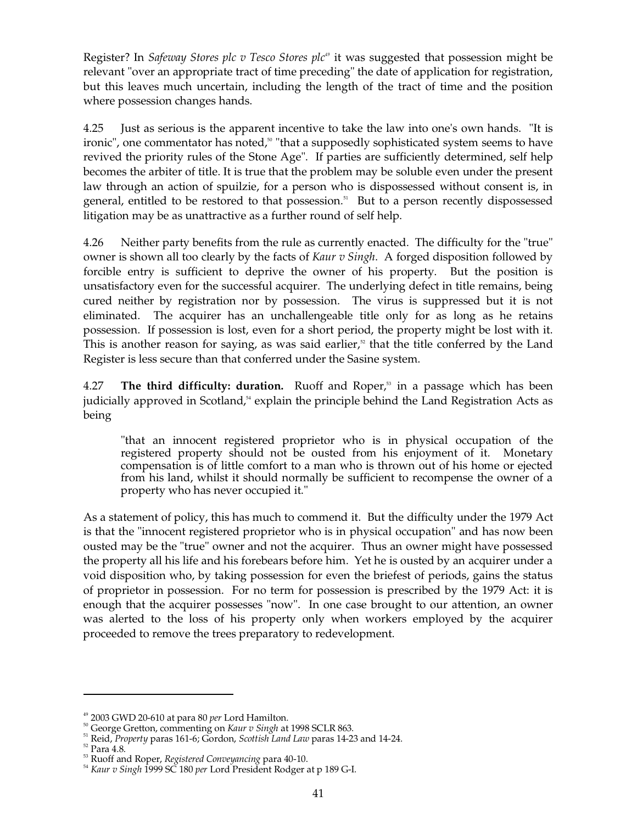Register? In *Safeway Stores plc v Tesco Stores plc<sup>49</sup>* it was suggested that possession might be relevant "over an appropriate tract of time preceding" the date of application for registration, but this leaves much uncertain, including the length of the tract of time and the position where possession changes hands.

4.25 Just as serious is the apparent incentive to take the law into one's own hands. "It is ironic", one commentator has noted,<sup>50</sup> "that a supposedly sophisticated system seems to have revived the priority rules of the Stone Age". If parties are sufficiently determined, self help becomes the arbiter of title. It is true that the problem may be soluble even under the present law through an action of spuilzie, for a person who is dispossessed without consent is, in general, entitled to be restored to that possession. 51 But to a person recently dispossessed litigation may be as unattractive as a further round of self help.

4.26 Neither party benefits from the rule as currently enacted. The difficulty for the "true" owner is shown all too clearly by the facts of *Kaur v Singh*. A forged disposition followed by forcible entry is sufficient to deprive the owner of his property. But the position is unsatisfactory even for the successful acquirer. The underlying defect in title remains, being cured neither by registration nor by possession. The virus is suppressed but it is not eliminated. The acquirer has an unchallengeable title only for as long as he retains possession. If possession is lost, even for a short period, the property might be lost with it. This is another reason for saying, as was said earlier, $\frac{1}{2}$  that the title conferred by the Land Register is less secure than that conferred under the Sasine system.

4.27 **The third difficulty: duration.** Ruoff and Roper, 53 in a passage which has been judicially approved in Scotland,<sup>54</sup> explain the principle behind the Land Registration Acts as being

"that an innocent registered proprietor who is in physical occupation of the registered property should not be ousted from his enjoyment of it. Monetary compensation is of little comfort to a man who is thrown out of his home or ejected from his land, whilst it should normally be sufficient to recompense the owner of a property who has never occupied it."

As a statement of policy, this has much to commend it. But the difficulty under the 1979 Act is that the "innocent registered proprietor who is in physical occupation" and has now been ousted may be the "true" owner and not the acquirer. Thus an owner might have possessed the property all his life and his forebears before him. Yet he is ousted by an acquirer under a void disposition who, by taking possession for even the briefest of periods, gains the status of proprietor in possession. For no term for possession is prescribed by the 1979 Act: it is enough that the acquirer possesses "now". In one case brought to our attention, an owner was alerted to the loss of his property only when workers employed by the acquirer proceeded to remove the trees preparatory to redevelopment.

<sup>49 2003</sup> GWD 20-610 at para 80 *per* Lord Hamilton.

<sup>50</sup> George Gretton, commenting on *Kaur v Singh* at 1998 SCLR 863.

51 Reid, *Property* paras 161-6; Gordon, *Scottish Land Law* paras 14-23 and 14-24.

 $\rm ^{52}$  Para 4.8.

53 Ruoff and Roper, *Registered Conveyancing* para 40-10.

<sup>54</sup>*Kaur v Singh* 1999 SC 180 *per* Lord President Rodger at p 189 G-I.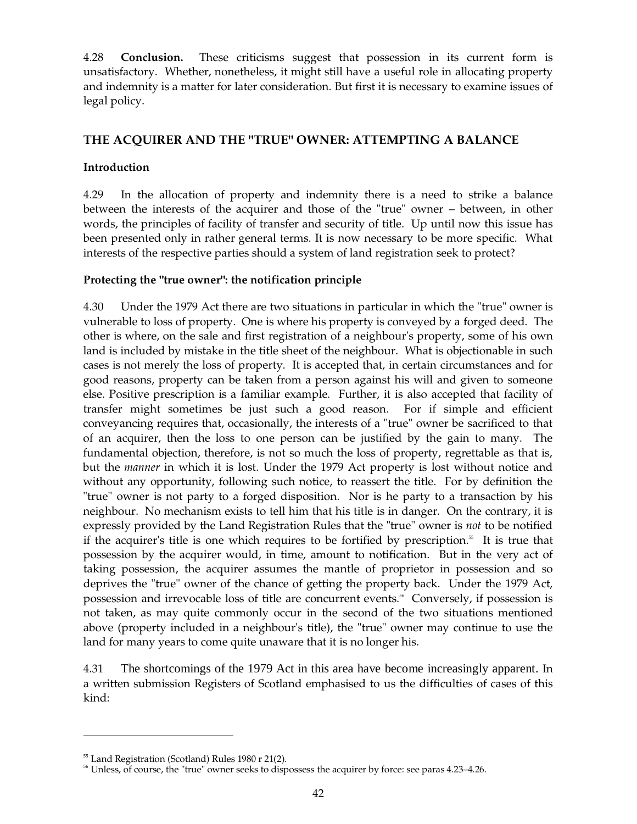4.28 **Conclusion.** These criticisms suggest that possession in its current form is unsatisfactory. Whether, nonetheless, it might still have a useful role in allocating property and indemnity is a matter for later consideration. But first it is necessary to examine issues of legal policy.

# **THE ACQUIRER AND THE "TRUE" OWNER: ATTEMPTING A BALANCE**

## **Introduction**

4.29 In the allocation of property and indemnity there is a need to strike a balance between the interests of the acquirer and those of the "true" owner – between, in other words, the principles of facility of transfer and security of title. Up until now this issue has been presented only in rather general terms. It is now necessary to be more specific. What interests of the respective parties should a system of land registration seek to protect?

## **Protecting the "true owner": the notification principle**

4.30 Under the 1979 Act there are two situations in particular in which the "true" owner is vulnerable to loss of property. One is where his property is conveyed by a forged deed. The other is where, on the sale and first registration of a neighbour's property, some of his own land is included by mistake in the title sheet of the neighbour. What is objectionable in such cases is not merely the loss of property. It is accepted that, in certain circumstances and for good reasons, property can be taken from a person against his will and given to someone else. Positive prescription is a familiar example. Further, it is also accepted that facility of transfer might sometimes be just such a good reason. For if simple and efficient conveyancing requires that, occasionally, the interests of a "true" owner be sacrificed to that of an acquirer, then the loss to one person can be justified by the gain to many. The fundamental objection, therefore, is not so much the loss of property, regrettable as that is, but the *manner* in which it is lost. Under the 1979 Act property is lost without notice and without any opportunity, following such notice, to reassert the title. For by definition the "true" owner is not party to a forged disposition. Nor is he party to a transaction by his neighbour. No mechanism exists to tell him that his title is in danger. On the contrary, it is expressly provided by the Land Registration Rules that the "true" owner is *not* to be notified if the acquirer's title is one which requires to be fortified by prescription. 55 It is true that possession by the acquirer would, in time, amount to notification. But in the very act of taking possession, the acquirer assumes the mantle of proprietor in possession and so deprives the "true" owner of the chance of getting the property back. Under the 1979 Act, possession and irrevocable loss of title are concurrent events.<sup>56</sup> Conversely, if possession is not taken, as may quite commonly occur in the second of the two situations mentioned above (property included in a neighbour's title), the "true" owner may continue to use the land for many years to come quite unaware that it is no longer his.

4.31 The shortcomings of the 1979 Act in this area have become increasingly apparent. In a written submission Registers of Scotland emphasised to us the difficulties of cases of this kind:

<sup>&</sup>lt;sup>55</sup> Land Registration (Scotland) Rules 1980 r 21(2).

<sup>&</sup>lt;sup>56</sup> Unless, of course, the "true" owner seeks to dispossess the acquirer by force: see paras 4.23–4.26.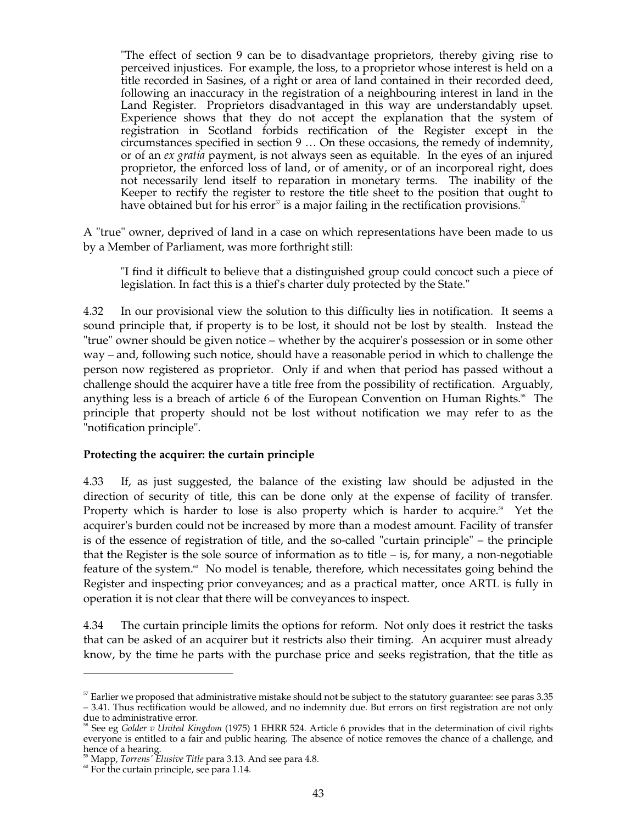"The effect of section 9 can be to disadvantage proprietors, thereby giving rise to perceived injustices. For example, the loss, to a proprietor whose interest is held on a title recorded in Sasines, of a right or area of land contained in their recorded deed, following an inaccuracy in the registration of a neighbouring interest in land in the Land Register. Proprietors disadvantaged in this way are understandably upset. Experience shows that they do not accept the explanation that the system of registration in Scotland forbids rectification of the Register except in the circumstances specified in section 9 … On these occasions, the remedy of indemnity, or of an *ex gratia* payment, is not always seen as equitable. In the eyes of an injured proprietor, the enforced loss of land, or of amenity, or of an incorporeal right, does not necessarily lend itself to reparation in monetary terms. The inability of the Keeper to rectify the register to restore the title sheet to the position that ought to have obtained but for his error<sup>57</sup> is a major failing in the rectification provisions."

A "true" owner, deprived of land in a case on which representations have been made to us by a Member of Parliament, was more forthright still:

"I find it difficult to believe that a distinguished group could concoct such a piece of legislation. In fact this is a thief's charter duly protected by the State."

4.32 In our provisional view the solution to this difficulty lies in notification. It seems a sound principle that, if property is to be lost, it should not be lost by stealth. Instead the "true" owner should be given notice – whether by the acquirer's possession or in some other way – and, following such notice, should have a reasonable period in which to challenge the person now registered as proprietor. Only if and when that period has passed without a challenge should the acquirer have a title free from the possibility of rectification. Arguably, anything less is a breach of article 6 of the European Convention on Human Rights. 58 The principle that property should not be lost without notification we may refer to as the "notification principle".

#### **Protecting the acquirer: the curtain principle**

4.33 If, as just suggested, the balance of the existing law should be adjusted in the direction of security of title, this can be done only at the expense of facility of transfer. Property which is harder to lose is also property which is harder to acquire.<sup>59</sup> Yet the acquirer's burden could not be increased by more than a modest amount. Facility of transfer is of the essence of registration of title, and the so-called "curtain principle" – the principle that the Register is the sole source of information as to title  $-$  is, for many, a non-negotiable feature of the system.<sup>6</sup> No model is tenable, therefore, which necessitates going behind the Register and inspecting prior conveyances; and as a practical matter, once ARTL is fully in operation it is not clear that there will be conveyances to inspect.

4.34 The curtain principle limits the options for reform. Not only does it restrict the tasks that can be asked of an acquirer but it restricts also their timing. An acquirer must already know, by the time he parts with the purchase price and seeks registration, that the title as

 $57$  Earlier we proposed that administrative mistake should not be subject to the statutory guarantee: see paras 3.35 – 3.41. Thus rectification would be allowed, and no indemnity due. But errors on first registration are not only

<sup>&</sup>lt;sup>58</sup> See eg *Golder v United Kingdom* (1975) 1 EHRR 524. Article 6 provides that in the determination of civil rights everyone is entitled to a fair and public hearing. The absence of notice removes the chance of a challenge, and hence of a hearing.<br><sup>59</sup> Mapp*, Torrens' Elusive Title* para 3.13. And see para 4.8. <sup>60</sup> For the curtain principle, see para 1.14.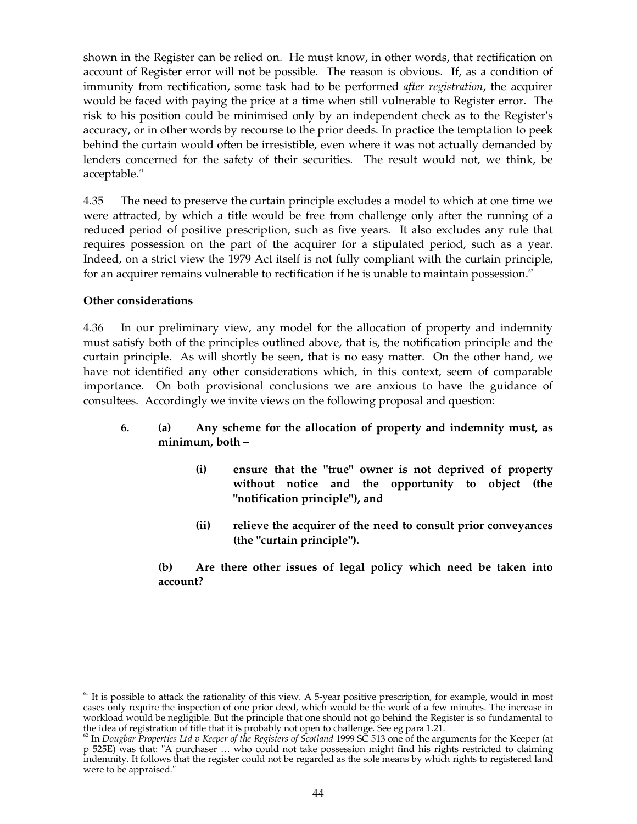shown in the Register can be relied on. He must know, in other words, that rectification on account of Register error will not be possible. The reason is obvious. If, as a condition of immunity from rectification, some task had to be performed *after registration*, the acquirer would be faced with paying the price at a time when still vulnerable to Register error. The risk to his position could be minimised only by an independent check as to the Register's accuracy, or in other words by recourse to the prior deeds. In practice the temptation to peek behind the curtain would often be irresistible, even where it was not actually demanded by lenders concerned for the safety of their securities. The result would not, we think, be acceptable. 61

4.35 The need to preserve the curtain principle excludes a model to which at one time we were attracted, by which a title would be free from challenge only after the running of a reduced period of positive prescription, such as five years. It also excludes any rule that requires possession on the part of the acquirer for a stipulated period, such as a year. Indeed, on a strict view the 1979 Act itself is not fully compliant with the curtain principle, for an acquirer remains vulnerable to rectification if he is unable to maintain possession.<sup>62</sup>

## **Other considerations**

4.36 In our preliminary view, any model for the allocation of property and indemnity must satisfy both of the principles outlined above, that is, the notification principle and the curtain principle. As will shortly be seen, that is no easy matter. On the other hand, we have not identified any other considerations which, in this context, seem of comparable importance. On both provisional conclusions we are anxious to have the guidance of consultees. Accordingly we invite views on the following proposal and question:

## **6. (a) Any scheme for the allocation of property and indemnity must, as minimum, both –**

- **(i) ensure that the "true" owner is not deprived of property without notice and the opportunity to object (the "notification principle"), and**
- **(ii) relieve the acquirer of the need to consult prior conveyances (the "curtain principle").**

**(b) Are there other issues of legal policy which need be taken into account?** 

 $<sup>61</sup>$  It is possible to attack the rationality of this view. A 5-year positive prescription, for example, would in most</sup> cases only require the inspection of one prior deed, which would be the work of a few minutes. The increase in workload would be negligible. But the principle that one should not go behind the Register is so fundamental to the idea of registration of title that it is probably not open to challenge. See eg para 1.21.

<sup>&</sup>lt;sup>62</sup> In *Dougbar Properties Ltd v Keeper of the Registers of Scotland 1999 SC 513* one of the arguments for the Keeper (at p 525E) was that: "A purchaser … who could not take possession might find his rights restricted to claiming indemnity. It follows that the register could not be regarded as the sole means by which rights to registered land were to be appraised."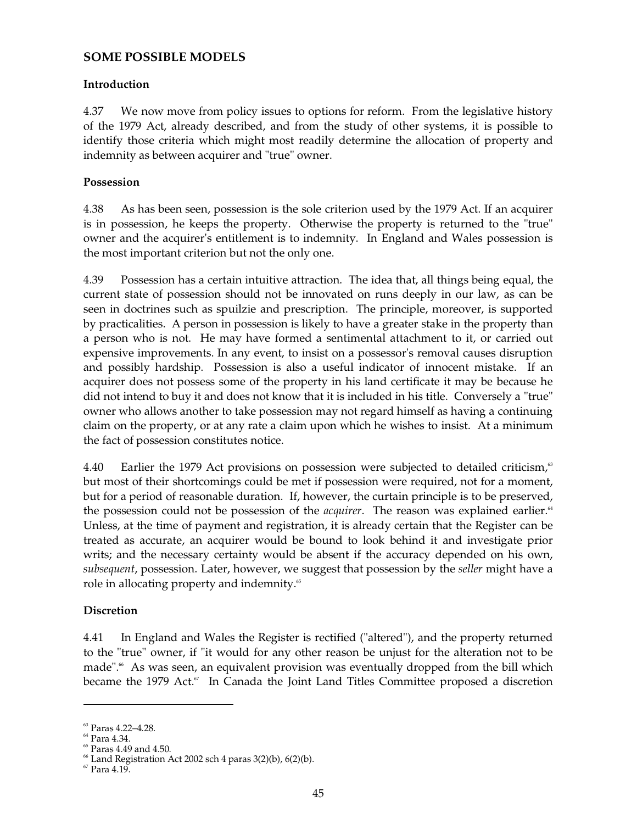## **SOME POSSIBLE MODELS**

#### **Introduction**

4.37 We now move from policy issues to options for reform. From the legislative history of the 1979 Act, already described, and from the study of other systems, it is possible to identify those criteria which might most readily determine the allocation of property and indemnity as between acquirer and "true" owner.

#### **Possession**

4.38 As has been seen, possession is the sole criterion used by the 1979 Act. If an acquirer is in possession, he keeps the property. Otherwise the property is returned to the "true" owner and the acquirer's entitlement is to indemnity. In England and Wales possession is the most important criterion but not the only one.

4.39 Possession has a certain intuitive attraction. The idea that, all things being equal, the current state of possession should not be innovated on runs deeply in our law, as can be seen in doctrines such as spuilzie and prescription. The principle, moreover, is supported by practicalities. A person in possession is likely to have a greater stake in the property than a person who is not. He may have formed a sentimental attachment to it, or carried out expensive improvements. In any event, to insist on a possessor's removal causes disruption and possibly hardship. Possession is also a useful indicator of innocent mistake. If an acquirer does not possess some of the property in his land certificate it may be because he did not intend to buy it and does not know that it is included in his title. Conversely a "true" owner who allows another to take possession may not regard himself as having a continuing claim on the property, or at any rate a claim upon which he wishes to insist. At a minimum the fact of possession constitutes notice.

4.40 Earlier the 1979 Act provisions on possession were subjected to detailed criticism,<sup>63</sup> but most of their shortcomings could be met if possession were required, not for a moment, but for a period of reasonable duration. If, however, the curtain principle is to be preserved, the possession could not be possession of the *acquirer*. The reason was explained earlier.<sup>44</sup> Unless, at the time of payment and registration, it is already certain that the Register can be treated as accurate, an acquirer would be bound to look behind it and investigate prior writs; and the necessary certainty would be absent if the accuracy depended on his own, *subsequent*, possession. Later, however, we suggest that possession by the *seller* might have a role in allocating property and indemnity.<sup>65</sup>

#### **Discretion**

4.41 In England and Wales the Register is rectified ("altered"), and the property returned to the "true" owner, if "it would for any other reason be unjust for the alteration not to be made". 66 As was seen, an equivalent provision was eventually dropped from the bill which became the 1979 Act.<sup>67</sup> In Canada the Joint Land Titles Committee proposed a discretion

<sup>&</sup>lt;sup>63</sup> Paras 4.22-4.28.

<sup>64</sup> Para 4.34.

 $65$  Paras 4.49 and 4.50.

 $66$  Land Registration Act 2002 sch 4 paras  $3(2)(b)$ ,  $6(2)(b)$ .

 $67$  Para  $4.19$ .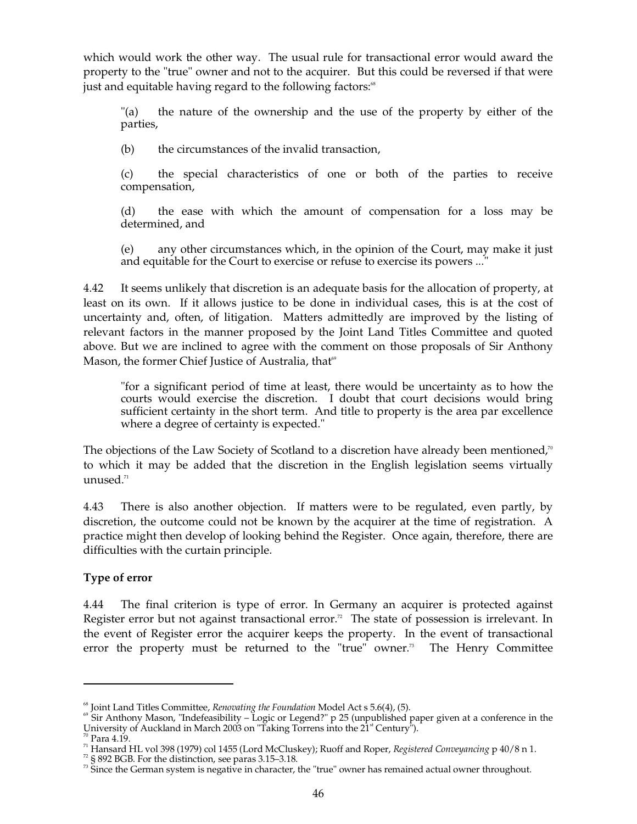which would work the other way. The usual rule for transactional error would award the property to the "true" owner and not to the acquirer. But this could be reversed if that were just and equitable having regard to the following factors:<sup>®</sup>

"(a) the nature of the ownership and the use of the property by either of the parties,

(b) the circumstances of the invalid transaction,

(c) the special characteristics of one or both of the parties to receive compensation,

(d) the ease with which the amount of compensation for a loss may be determined, and

(e) any other circumstances which, in the opinion of the Court, may make it just and equitable for the Court to exercise or refuse to exercise its powers ...'

4.42 It seems unlikely that discretion is an adequate basis for the allocation of property, at least on its own. If it allows justice to be done in individual cases, this is at the cost of uncertainty and, often, of litigation. Matters admittedly are improved by the listing of relevant factors in the manner proposed by the Joint Land Titles Committee and quoted above. But we are inclined to agree with the comment on those proposals of Sir Anthony Mason, the former Chief Justice of Australia, that<sup>69</sup>

"for a significant period of time at least, there would be uncertainty as to how the courts would exercise the discretion. I doubt that court decisions would bring sufficient certainty in the short term. And title to property is the area par excellence where a degree of certainty is expected."

The objections of the Law Society of Scotland to a discretion have already been mentioned,<sup>70</sup> to which it may be added that the discretion in the English legislation seems virtually unused. 71

4.43 There is also another objection. If matters were to be regulated, even partly, by discretion, the outcome could not be known by the acquirer at the time of registration. A practice might then develop of looking behind the Register. Once again, therefore, there are difficulties with the curtain principle.

## **Type of error**

4.44 The final criterion is type of error. In Germany an acquirer is protected against Register error but not against transactional error.<sup>72</sup> The state of possession is irrelevant. In the event of Register error the acquirer keeps the property. In the event of transactional error the property must be returned to the "true" owner. 73 The Henry Committee

<sup>&</sup>lt;sup>68</sup> Joint Land Titles Committee, *Renovating the Foundation* Model Act s 5.6(4), (5).<br><sup>69</sup> Sir Anthony Mason, "Indefeasibility – Logic or Legend?" p 25 (unpublished paper given at a conference in the  $\sum_{n=1}^{\infty}$  Centu

<sup>&</sup>lt;sup>70</sup> Para 4.19.<br><sup>71</sup> Hansard HL vol 398 (1979) col 1455 (Lord McCluskey); Ruoff and Roper, *Registered Conveyancing* p 40/8 n 1.<br><sup>72</sup> § 892 BGB. For the distinction, see paras 3.15–3.18.<br><sup>73</sup> Since the German system is ne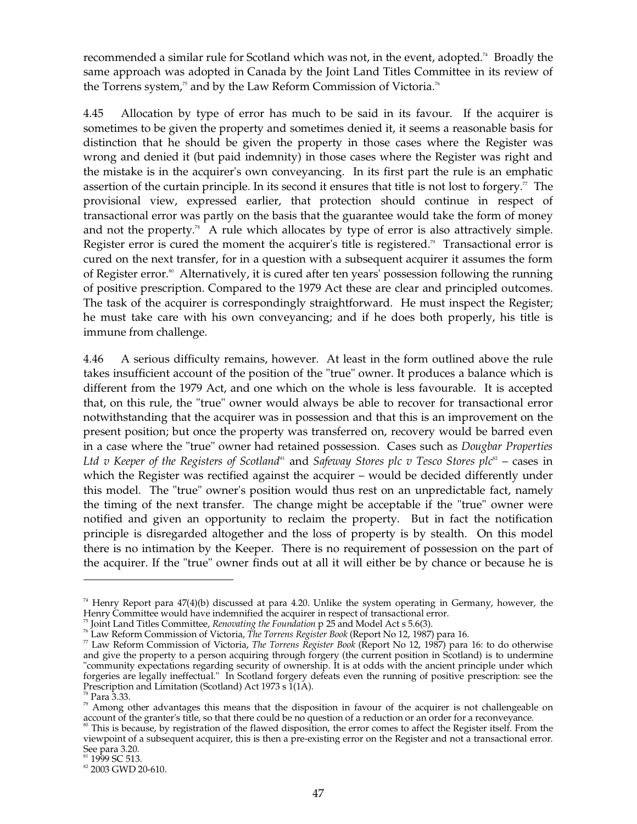recommended a similar rule for Scotland which was not, in the event, adopted. 74 Broadly the same approach was adopted in Canada by the Joint Land Titles Committee in its review of the Torrens system,<sup>75</sup> and by the Law Reform Commission of Victoria.<sup>76</sup>

4.45 Allocation by type of error has much to be said in its favour. If the acquirer is sometimes to be given the property and sometimes denied it, it seems a reasonable basis for distinction that he should be given the property in those cases where the Register was wrong and denied it (but paid indemnity) in those cases where the Register was right and the mistake is in the acquirer's own conveyancing. In its first part the rule is an emphatic assertion of the curtain principle. In its second it ensures that title is not lost to forgery. $\sigma$  The provisional view, expressed earlier, that protection should continue in respect of transactional error was partly on the basis that the guarantee would take the form of money and not the property.<sup>78</sup> A rule which allocates by type of error is also attractively simple. Register error is cured the moment the acquirer's title is registered.<sup>"</sup> Transactional error is cured on the next transfer, for in a question with a subsequent acquirer it assumes the form of Register error. 80 Alternatively, it is cured after ten years' possession following the running of positive prescription. Compared to the 1979 Act these are clear and principled outcomes. The task of the acquirer is correspondingly straightforward. He must inspect the Register; he must take care with his own conveyancing; and if he does both properly, his title is immune from challenge.

4.46 A serious difficulty remains, however. At least in the form outlined above the rule takes insufficient account of the position of the "true" owner. It produces a balance which is different from the 1979 Act, and one which on the whole is less favourable. It is accepted that, on this rule, the "true" owner would always be able to recover for transactional error notwithstanding that the acquirer was in possession and that this is an improvement on the present position; but once the property was transferred on, recovery would be barred even in a case where the "true" owner had retained possession. Cases such as *Dougbar Properties*  Ltd v Keeper of the Registers of Scotland<sup>81</sup> and Safeway Stores plc v Tesco Stores plc<sup>82</sup> – cases in which the Register was rectified against the acquirer – would be decided differently under this model. The "true" owner's position would thus rest on an unpredictable fact, namely the timing of the next transfer. The change might be acceptable if the "true" owner were notified and given an opportunity to reclaim the property. But in fact the notification principle is disregarded altogether and the loss of property is by stealth. On this model there is no intimation by the Keeper. There is no requirement of possession on the part of the acquirer. If the "true" owner finds out at all it will either be by chance or because he is

<sup>&</sup>lt;sup>74</sup> Henry Report para  $47(4)(b)$  discussed at para 4.20. Unlike the system operating in Germany, however, the Henry Committee would have indemnified the acquirer in respect of transactional error.

Termy Commune would nave indemnified the acquired in respect to introduction errors.<br>
<sup>75</sup> Joint Land Titles Committee, *Renovating the Foundation* p 25 and Model Act s 5.6(3).<br>
<sup>76</sup> Law Reform Commission of Victoria, *Th* and give the property to a person acquiring through forgery (the current position in Scotland) is to undermine "community expectations regarding security of ownership. It is at odds with the ancient principle under which forgeries are legally ineffectual." In Scotland forgery defeats even the running of positive prescription: see the

<sup>&</sup>lt;sup>78</sup> Para 3.33. Para 3.33. *Para act advantages this means that the disposition in favour of the acquirer is not challengeable on* account of the granter's title, so that there could be no question of a reduction or an order for a reconveyance.<br><sup>80</sup> This is because, by registration of the flawed disposition, the error comes to affect the Register itse

viewpoint of a subsequent acquirer, this is then a pre-existing error on the Register and not a transactional error.

 $\frac{\text{81}}{\text{82}}$  1999 SC 513.<br><sup>82</sup> 2003 GWD 20-610.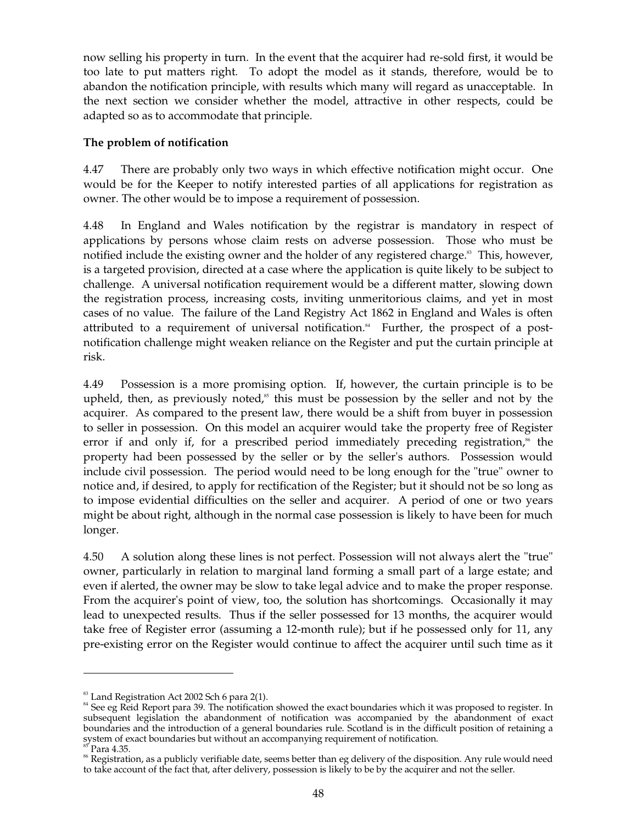now selling his property in turn. In the event that the acquirer had re-sold first, it would be too late to put matters right. To adopt the model as it stands, therefore, would be to abandon the notification principle, with results which many will regard as unacceptable. In the next section we consider whether the model, attractive in other respects, could be adapted so as to accommodate that principle.

## **The problem of notification**

4.47 There are probably only two ways in which effective notification might occur. One would be for the Keeper to notify interested parties of all applications for registration as owner. The other would be to impose a requirement of possession.

4.48 In England and Wales notification by the registrar is mandatory in respect of applications by persons whose claim rests on adverse possession. Those who must be notified include the existing owner and the holder of any registered charge. 83 This, however, is a targeted provision, directed at a case where the application is quite likely to be subject to challenge. A universal notification requirement would be a different matter, slowing down the registration process, increasing costs, inviting unmeritorious claims, and yet in most cases of no value. The failure of the Land Registry Act 1862 in England and Wales is often attributed to a requirement of universal notification. 84 Further, the prospect of a postnotification challenge might weaken reliance on the Register and put the curtain principle at risk.

4.49 Possession is a more promising option. If, however, the curtain principle is to be upheld, then, as previously noted,<sup>85</sup> this must be possession by the seller and not by the acquirer. As compared to the present law, there would be a shift from buyer in possession to seller in possession. On this model an acquirer would take the property free of Register error if and only if, for a prescribed period immediately preceding registration,<sup>\*</sup> the property had been possessed by the seller or by the seller's authors. Possession would include civil possession. The period would need to be long enough for the "true" owner to notice and, if desired, to apply for rectification of the Register; but it should not be so long as to impose evidential difficulties on the seller and acquirer. A period of one or two years might be about right, although in the normal case possession is likely to have been for much longer.

4.50 A solution along these lines is not perfect. Possession will not always alert the "true" owner, particularly in relation to marginal land forming a small part of a large estate; and even if alerted, the owner may be slow to take legal advice and to make the proper response. From the acquirer's point of view, too, the solution has shortcomings. Occasionally it may lead to unexpected results. Thus if the seller possessed for 13 months, the acquirer would take free of Register error (assuming a 12-month rule); but if he possessed only for 11, any pre-existing error on the Register would continue to affect the acquirer until such time as it

 $83$  Land Registration Act 2002 Sch 6 para 2(1).

<sup>&</sup>lt;sup>84</sup> See eg Reid Report para 39. The notification showed the exact boundaries which it was proposed to register. In subsequent legislation the abandonment of notification was accompanied by the abandonment of exact boundaries and the introduction of a general boundaries rule. Scotland is in the difficult position of retaining a system of exact boundaries but without an accompanying requirement of notification.

 $85$ <sup>85</sup> Para 4.35.

<sup>&</sup>lt;sup>86</sup> Registration, as a publicly verifiable date, seems better than eg delivery of the disposition. Any rule would need to take account of the fact that, after delivery, possession is likely to be by the acquirer and not the seller.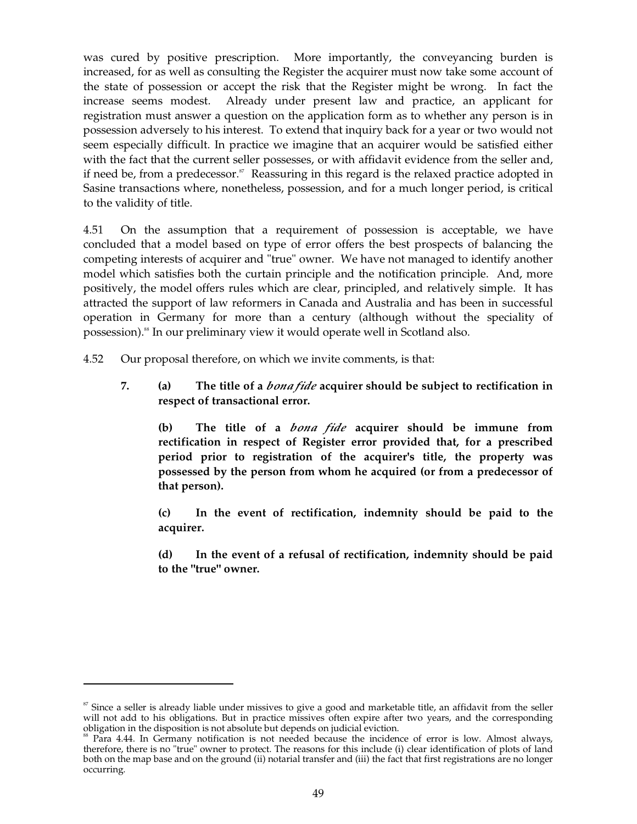was cured by positive prescription. More importantly, the conveyancing burden is increased, for as well as consulting the Register the acquirer must now take some account of the state of possession or accept the risk that the Register might be wrong. In fact the increase seems modest. Already under present law and practice, an applicant for registration must answer a question on the application form as to whether any person is in possession adversely to his interest. To extend that inquiry back for a year or two would not seem especially difficult. In practice we imagine that an acquirer would be satisfied either with the fact that the current seller possesses, or with affidavit evidence from the seller and, if need be, from a predecessor.<sup>87</sup> Reassuring in this regard is the relaxed practice adopted in Sasine transactions where, nonetheless, possession, and for a much longer period, is critical to the validity of title.

4.51 On the assumption that a requirement of possession is acceptable, we have concluded that a model based on type of error offers the best prospects of balancing the competing interests of acquirer and "true" owner. We have not managed to identify another model which satisfies both the curtain principle and the notification principle. And, more positively, the model offers rules which are clear, principled, and relatively simple. It has attracted the support of law reformers in Canada and Australia and has been in successful operation in Germany for more than a century (although without the speciality of possession). 88 In our preliminary view it would operate well in Scotland also.

- 4.52 Our proposal therefore, on which we invite comments, is that:
	- **7. (a) The title of a** *bona fide* **acquirer should be subject to rectification in respect of transactional error.**

**(b) The title of a** *bona fide* **acquirer should be immune from rectification in respect of Register error provided that, for a prescribed period prior to registration of the acquirer's title, the property was possessed by the person from whom he acquired (or from a predecessor of that person).** 

**(c) In the event of rectification, indemnity should be paid to the acquirer.** 

**(d) In the event of a refusal of rectification, indemnity should be paid to the "true" owner.** 

 $87$  Since a seller is already liable under missives to give a good and marketable title, an affidavit from the seller will not add to his obligations. But in practice missives often expire after two years, and the corresponding obligation in the disposition is not absolute but depends on judicial eviction.

 $\delta$ <sup>8</sup> Para 4.44. In Germany notification is not needed because the incidence of error is low. Almost always, therefore, there is no "true" owner to protect. The reasons for this include (i) clear identification of plots of land both on the map base and on the ground (ii) notarial transfer and (iii) the fact that first registrations are no longer occurring.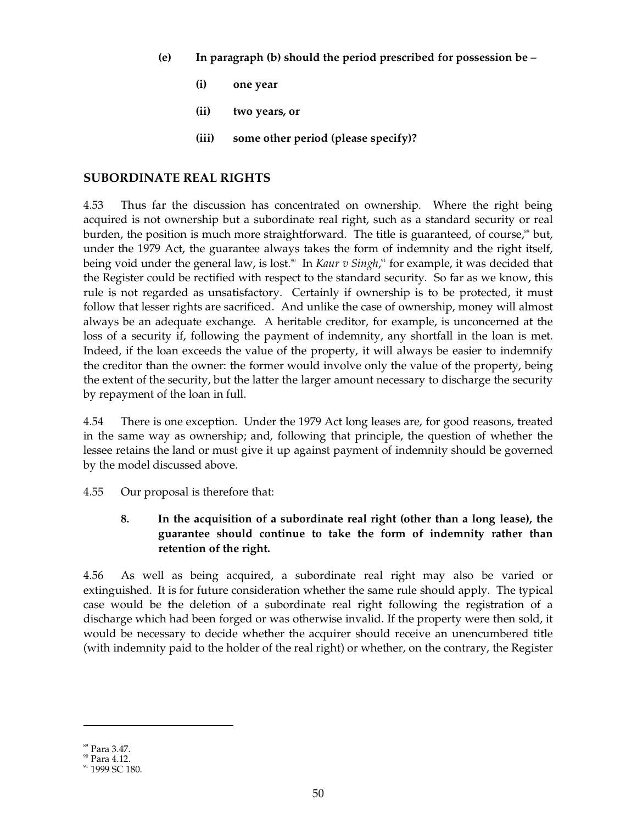- **(e) In paragraph (b) should the period prescribed for possession be** 
	- **(i) one year**
	- **(ii) two years, or**
	- **(iii) some other period (please specify)?**

## **SUBORDINATE REAL RIGHTS**

4.53 Thus far the discussion has concentrated on ownership. Where the right being acquired is not ownership but a subordinate real right, such as a standard security or real burden, the position is much more straightforward. The title is guaranteed, of course,<sup>89</sup> but, under the 1979 Act, the guarantee always takes the form of indemnity and the right itself, being void under the general law, is lost.<sup>30</sup> In *Kaur v Singh*,<sup>31</sup> for example, it was decided that the Register could be rectified with respect to the standard security. So far as we know, this rule is not regarded as unsatisfactory. Certainly if ownership is to be protected, it must follow that lesser rights are sacrificed. And unlike the case of ownership, money will almost always be an adequate exchange. A heritable creditor, for example, is unconcerned at the loss of a security if, following the payment of indemnity, any shortfall in the loan is met. Indeed, if the loan exceeds the value of the property, it will always be easier to indemnify the creditor than the owner: the former would involve only the value of the property, being the extent of the security, but the latter the larger amount necessary to discharge the security by repayment of the loan in full.

4.54 There is one exception. Under the 1979 Act long leases are, for good reasons, treated in the same way as ownership; and, following that principle, the question of whether the lessee retains the land or must give it up against payment of indemnity should be governed by the model discussed above.

4.55 Our proposal is therefore that:

# **8. In the acquisition of a subordinate real right (other than a long lease), the guarantee should continue to take the form of indemnity rather than retention of the right.**

4.56 As well as being acquired, a subordinate real right may also be varied or extinguished. It is for future consideration whether the same rule should apply. The typical case would be the deletion of a subordinate real right following the registration of a discharge which had been forged or was otherwise invalid. If the property were then sold, it would be necessary to decide whether the acquirer should receive an unencumbered title (with indemnity paid to the holder of the real right) or whether, on the contrary, the Register

 $\frac{89}{90}$  Para 3.47.<br>
91 Para 4.12.<br>
91 1999 SC 180.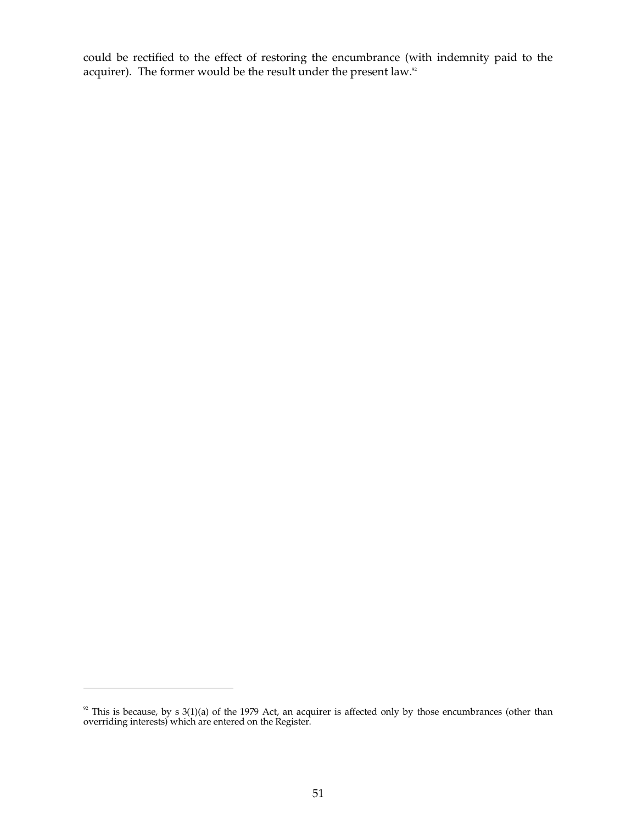could be rectified to the effect of restoring the encumbrance (with indemnity paid to the acquirer). The former would be the result under the present law.<sup>32</sup>

This is because, by s 3(1)(a) of the 1979 Act, an acquirer is affected only by those encumbrances (other than overriding interests) which are entered on the Register. 92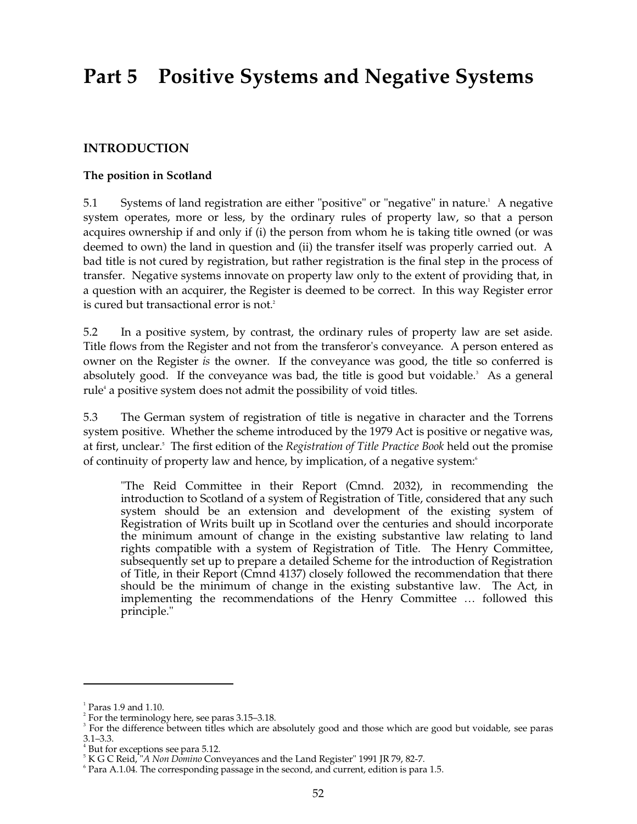# **Part 5 Positive Systems and Negative Systems**

# **INTRODUCTION**

#### **The position in Scotland**

5.1 Systems of land registration are either "positive" or "negative" in nature. 1 A negative system operates, more or less, by the ordinary rules of property law, so that a person acquires ownership if and only if (i) the person from whom he is taking title owned (or was deemed to own) the land in question and (ii) the transfer itself was properly carried out. A bad title is not cured by registration, but rather registration is the final step in the process of transfer. Negative systems innovate on property law only to the extent of providing that, in a question with an acquirer, the Register is deemed to be correct. In this way Register error is cured but transactional error is not. 2

5.2 In a positive system, by contrast, the ordinary rules of property law are set aside. Title flows from the Register and not from the transferor's conveyance. A person entered as owner on the Register *is* the owner. If the conveyance was good, the title so conferred is absolutely good. If the conveyance was bad, the title is good but voidable. 3 As a general rule<sup>4</sup> a positive system does not admit the possibility of void titles.

5.3 The German system of registration of title is negative in character and the Torrens system positive. Whether the scheme introduced by the 1979 Act is positive or negative was, at first, unclear. 5 The first edition of the *Registration of Title Practice Book* held out the promise of continuity of property law and hence, by implication, of a negative system:<sup>6</sup>

"The Reid Committee in their Report (Cmnd. 2032), in recommending the introduction to Scotland of a system of Registration of Title, considered that any such system should be an extension and development of the existing system of Registration of Writs built up in Scotland over the centuries and should incorporate the minimum amount of change in the existing substantive law relating to land rights compatible with a system of Registration of Title. The Henry Committee, subsequently set up to prepare a detailed Scheme for the introduction of Registration of Title, in their Report (Cmnd 4137) closely followed the recommendation that there should be the minimum of change in the existing substantive law. The Act, in implementing the recommendations of the Henry Committee … followed this principle."

 $<sup>1</sup>$  Paras 1.9 and 1.10.</sup>

 $2^{2}$  For the terminology here, see paras 3.15–3.18.

<sup>&</sup>lt;sup>3</sup> For the difference between titles which are absolutely good and those which are good but voidable, see paras 3.1–3.3.<br><sup>4</sup> But for exceptions see para 5.12.<br><sup>5</sup> K G C Reid, "*A Non Domino* Conveyances and the Land Register" 1991 JR 79, 82-7.<br><sup>6</sup> Para A.1.04. The corresponding passage in the second, and current, edition is para 1.5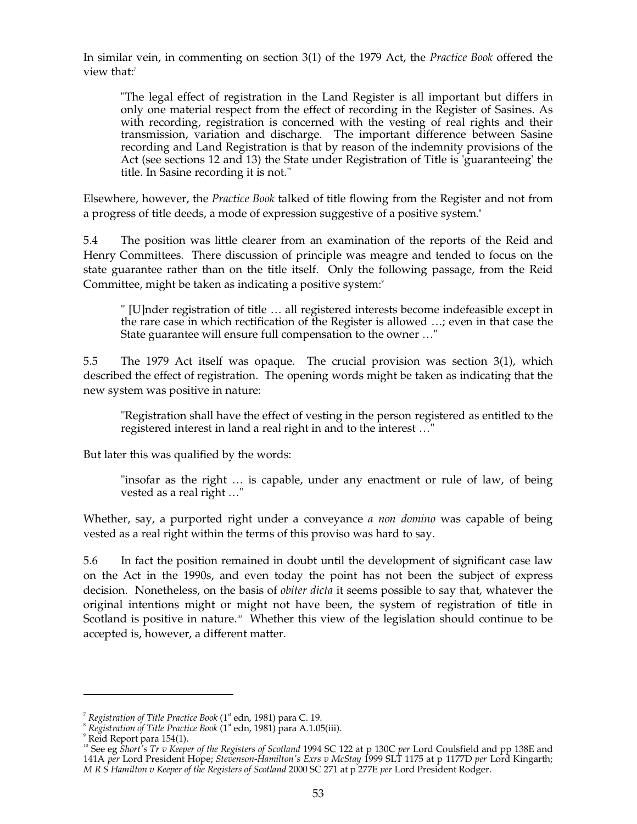In similar vein, in commenting on section 3(1) of the 1979 Act, the *Practice Book* offered the view that:<sup>7</sup>

"The legal effect of registration in the Land Register is all important but differs in only one material respect from the effect of recording in the Register of Sasines. As with recording, registration is concerned with the vesting of real rights and their transmission, variation and discharge. The important difference between Sasine recording and Land Registration is that by reason of the indemnity provisions of the Act (see sections 12 and 13) the State under Registration of Title is 'guaranteeing' the title. In Sasine recording it is not."

Elsewhere, however, the *Practice Book* talked of title flowing from the Register and not from a progress of title deeds, a mode of expression suggestive of a positive system. 8

5.4 The position was little clearer from an examination of the reports of the Reid and Henry Committees. There discussion of principle was meagre and tended to focus on the state guarantee rather than on the title itself. Only the following passage, from the Reid Committee, might be taken as indicating a positive system:<sup>9</sup>

" [U]nder registration of title … all registered interests become indefeasible except in the rare case in which rectification of the Register is allowed …; even in that case the State guarantee will ensure full compensation to the owner …"

5.5 The 1979 Act itself was opaque. The crucial provision was section 3(1), which described the effect of registration. The opening words might be taken as indicating that the new system was positive in nature:

"Registration shall have the effect of vesting in the person registered as entitled to the registered interest in land a real right in and to the interest …"

But later this was qualified by the words:

"insofar as the right … is capable, under any enactment or rule of law, of being vested as a real right …"

Whether, say, a purported right under a conveyance *a non domino* was capable of being vested as a real right within the terms of this proviso was hard to say.

5.6 In fact the position remained in doubt until the development of significant case law on the Act in the 1990s, and even today the point has not been the subject of express decision. Nonetheless, on the basis of *obiter dicta* it seems possible to say that, whatever the original intentions might or might not have been, the system of registration of title in Scotland is positive in nature.<sup>10</sup> Whether this view of the legislation should continue to be accepted is, however, a different matter.

<sup>&</sup>lt;sup>7</sup> Registration of Title Practice Book (1<sup>st</sup> edn, 1981) para C. 19.

<sup>&</sup>lt;sup>8</sup> Registration of Title Practice Book (1<sup>st</sup> edn, 1981) para A.1.05(iii).

<sup>9</sup> Reid Report para 154(1).

<sup>&</sup>lt;sup>10</sup> See eg *Short's Tr v Keeper of the Registers of Scotland* 1994 SC 122 at p 130C *per* Lord Coulsfield and pp 138E and 141A *per* Lord President Hope; *Stevenson-Hamilton's Exrs v McStay* 1999 SLT 1175 at p 1177D *per* Lord Kingarth; *M R S Hamilton v Keeper of the Registers of Scotland* 2000 SC 271 at p 277E *per* Lord President Rodger.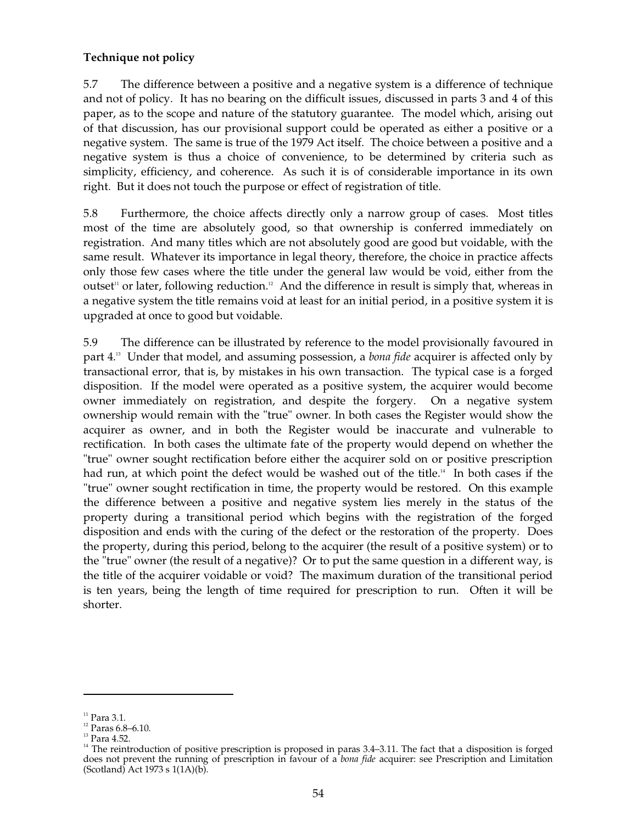## **Technique not policy**

5.7 The difference between a positive and a negative system is a difference of technique and not of policy. It has no bearing on the difficult issues, discussed in parts 3 and 4 of this paper, as to the scope and nature of the statutory guarantee. The model which, arising out of that discussion, has our provisional support could be operated as either a positive or a negative system. The same is true of the 1979 Act itself. The choice between a positive and a negative system is thus a choice of convenience, to be determined by criteria such as simplicity, efficiency, and coherence. As such it is of considerable importance in its own right. But it does not touch the purpose or effect of registration of title.

5.8 Furthermore, the choice affects directly only a narrow group of cases. Most titles most of the time are absolutely good, so that ownership is conferred immediately on registration. And many titles which are not absolutely good are good but voidable, with the same result. Whatever its importance in legal theory, therefore, the choice in practice affects only those few cases where the title under the general law would be void, either from the outset<sup>11</sup> or later, following reduction.<sup>12</sup> And the difference in result is simply that, whereas in a negative system the title remains void at least for an initial period, in a positive system it is upgraded at once to good but voidable.

5.9 The difference can be illustrated by reference to the model provisionally favoured in part 4. 13 Under that model, and assuming possession, a *bona fide* acquirer is affected only by transactional error, that is, by mistakes in his own transaction. The typical case is a forged disposition. If the model were operated as a positive system, the acquirer would become owner immediately on registration, and despite the forgery. On a negative system ownership would remain with the "true" owner. In both cases the Register would show the acquirer as owner, and in both the Register would be inaccurate and vulnerable to rectification. In both cases the ultimate fate of the property would depend on whether the "true" owner sought rectification before either the acquirer sold on or positive prescription had run, at which point the defect would be washed out of the title.<sup>14</sup> In both cases if the "true" owner sought rectification in time, the property would be restored. On this example the difference between a positive and negative system lies merely in the status of the property during a transitional period which begins with the registration of the forged disposition and ends with the curing of the defect or the restoration of the property. Does the property, during this period, belong to the acquirer (the result of a positive system) or to the "true" owner (the result of a negative)? Or to put the same question in a different way, is the title of the acquirer voidable or void? The maximum duration of the transitional period is ten years, being the length of time required for prescription to run. Often it will be shorter.

<sup>&</sup>lt;sup>11</sup> Para 3.1.<br><sup>12</sup> Paras 6.8–6.10.<br><sup>13</sup> Para 4.52.

 $14$  The reintroduction of positive prescription is proposed in paras 3.4–3.11. The fact that a disposition is forged does not prevent the running of prescription in favour of a *bona fide* acquirer: see Prescription and Limitation (Scotland) Act 1973 s 1(1A)(b).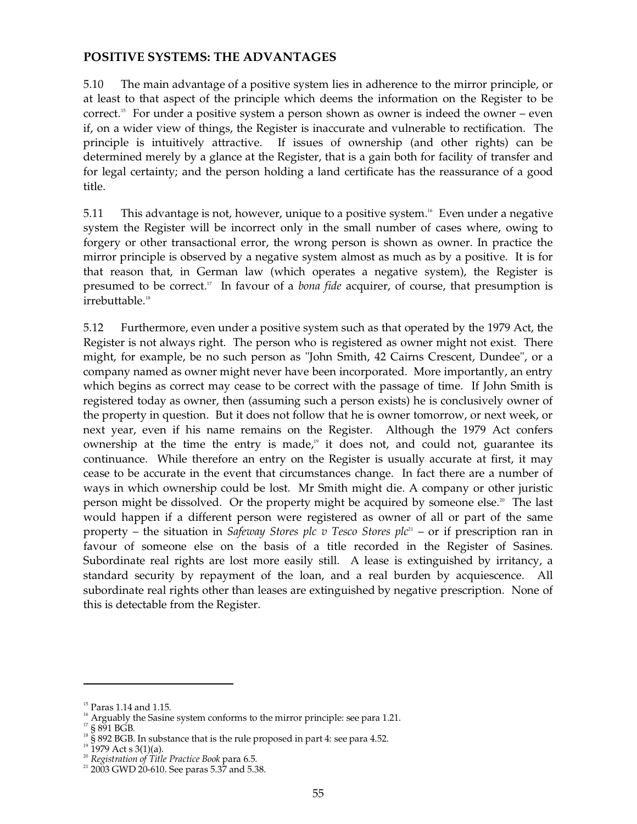# **POSITIVE SYSTEMS: THE ADVANTAGES**

5.10 The main advantage of a positive system lies in adherence to the mirror principle, or at least to that aspect of the principle which deems the information on the Register to be correct. 15 For under a positive system a person shown as owner is indeed the owner – even if, on a wider view of things, the Register is inaccurate and vulnerable to rectification. The principle is intuitively attractive. If issues of ownership (and other rights) can be determined merely by a glance at the Register, that is a gain both for facility of transfer and for legal certainty; and the person holding a land certificate has the reassurance of a good title.

5.11 This advantage is not, however, unique to a positive system. 16 Even under a negative system the Register will be incorrect only in the small number of cases where, owing to forgery or other transactional error, the wrong person is shown as owner. In practice the mirror principle is observed by a negative system almost as much as by a positive. It is for that reason that, in German law (which operates a negative system), the Register is presumed to be correct. 17 In favour of a *bona fide* acquirer, of course, that presumption is irrebuttable. 18

5.12 Furthermore, even under a positive system such as that operated by the 1979 Act, the Register is not always right. The person who is registered as owner might not exist. There might, for example, be no such person as "John Smith, 42 Cairns Crescent, Dundee", or a company named as owner might never have been incorporated. More importantly, an entry which begins as correct may cease to be correct with the passage of time. If John Smith is registered today as owner, then (assuming such a person exists) he is conclusively owner of the property in question. But it does not follow that he is owner tomorrow, or next week, or next year, even if his name remains on the Register. Although the 1979 Act confers ownership at the time the entry is made,<sup>19</sup> it does not, and could not, guarantee its continuance. While therefore an entry on the Register is usually accurate at first, it may cease to be accurate in the event that circumstances change. In fact there are a number of ways in which ownership could be lost. Mr Smith might die. A company or other juristic person might be dissolved. Or the property might be acquired by someone else. 20 The last would happen if a different person were registered as owner of all or part of the same property – the situation in *Safeway Stores plc v Tesco Stores plc* 21 – or if prescription ran in favour of someone else on the basis of a title recorded in the Register of Sasines. Subordinate real rights are lost more easily still. A lease is extinguished by irritancy, a standard security by repayment of the loan, and a real burden by acquiescence. All subordinate real rights other than leases are extinguished by negative prescription. None of this is detectable from the Register.

<sup>&</sup>lt;sup>15</sup> Paras 1.14 and 1.15.

<sup>&</sup>lt;sup>16</sup> Arguably the Sasine system conforms to the mirror principle: see para 1.21.

<sup>&</sup>lt;sup>17</sup> § 891 BGB.

<sup>&</sup>lt;sup>18</sup> § 892 BGB. In substance that is the rule proposed in part 4: see para 4.52.

 $1979$  Act s 3(1)(a).

<sup>20</sup>*Registration of Title Practice Book* para 6.5.

 $21$  2003 GWD 20-610. See paras 5.37 and 5.38.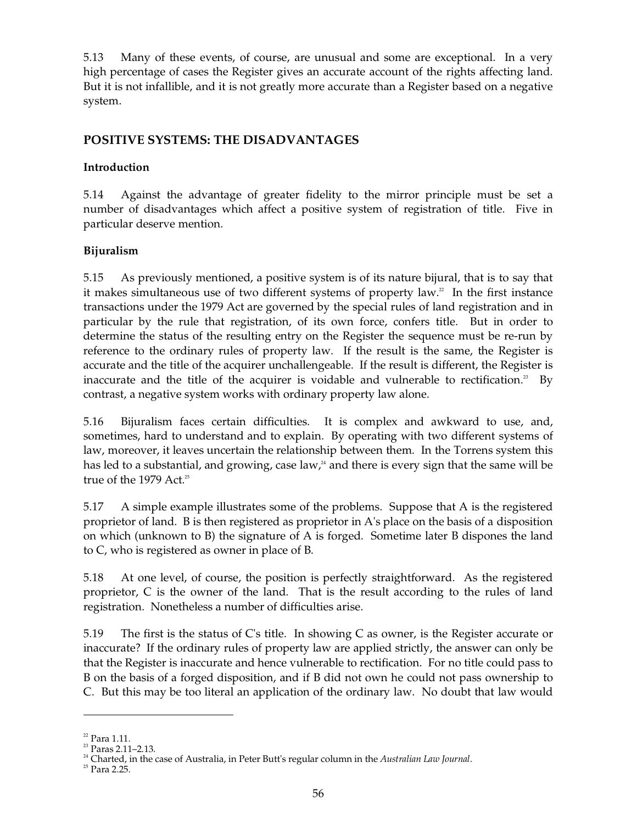5.13 Many of these events, of course, are unusual and some are exceptional. In a very high percentage of cases the Register gives an accurate account of the rights affecting land. But it is not infallible, and it is not greatly more accurate than a Register based on a negative system.

# **POSITIVE SYSTEMS: THE DISADVANTAGES**

# **Introduction**

5.14 Against the advantage of greater fidelity to the mirror principle must be set a number of disadvantages which affect a positive system of registration of title. Five in particular deserve mention.

# **Bijuralism**

5.15 As previously mentioned, a positive system is of its nature bijural, that is to say that it makes simultaneous use of two different systems of property law. $2^2$  In the first instance transactions under the 1979 Act are governed by the special rules of land registration and in particular by the rule that registration, of its own force, confers title. But in order to determine the status of the resulting entry on the Register the sequence must be re-run by reference to the ordinary rules of property law. If the result is the same, the Register is accurate and the title of the acquirer unchallengeable. If the result is different, the Register is inaccurate and the title of the acquirer is voidable and vulnerable to rectification.<sup>23</sup> By contrast, a negative system works with ordinary property law alone.

5.16 Bijuralism faces certain difficulties. It is complex and awkward to use, and, sometimes, hard to understand and to explain. By operating with two different systems of law, moreover, it leaves uncertain the relationship between them. In the Torrens system this has led to a substantial, and growing, case law,<sup>24</sup> and there is every sign that the same will be true of the 1979 Act. 25

5.17 A simple example illustrates some of the problems. Suppose that A is the registered proprietor of land. B is then registered as proprietor in A's place on the basis of a disposition on which (unknown to B) the signature of A is forged. Sometime later B dispones the land to C, who is registered as owner in place of B.

5.18 At one level, of course, the position is perfectly straightforward. As the registered proprietor, C is the owner of the land. That is the result according to the rules of land registration. Nonetheless a number of difficulties arise.

5.19 The first is the status of C's title. In showing C as owner, is the Register accurate or inaccurate? If the ordinary rules of property law are applied strictly, the answer can only be that the Register is inaccurate and hence vulnerable to rectification. For no title could pass to B on the basis of a forged disposition, and if B did not own he could not pass ownership to C. But this may be too literal an application of the ordinary law. No doubt that law would

 $22$  Para 1.11.

<sup>23</sup> Paras 2.11–2.13.

24 Charted, in the case of Australia, in Peter Butt's regular column in the *Australian Law Journal*.

 $^{25}$  Para 2.25.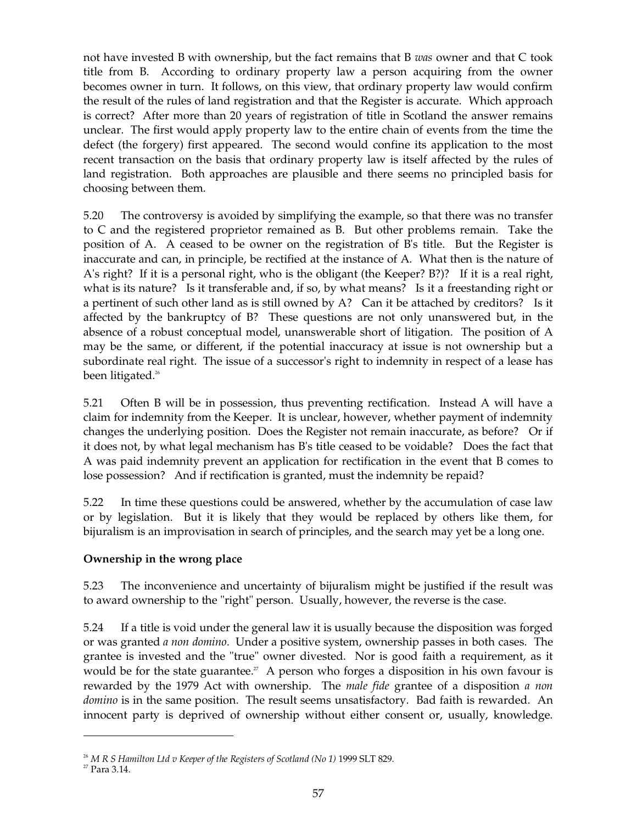not have invested B with ownership, but the fact remains that B *was* owner and that C took title from B. According to ordinary property law a person acquiring from the owner becomes owner in turn. It follows, on this view, that ordinary property law would confirm the result of the rules of land registration and that the Register is accurate. Which approach is correct? After more than 20 years of registration of title in Scotland the answer remains unclear. The first would apply property law to the entire chain of events from the time the defect (the forgery) first appeared. The second would confine its application to the most recent transaction on the basis that ordinary property law is itself affected by the rules of land registration. Both approaches are plausible and there seems no principled basis for choosing between them.

5.20 The controversy is avoided by simplifying the example, so that there was no transfer to C and the registered proprietor remained as B. But other problems remain. Take the position of A. A ceased to be owner on the registration of B's title. But the Register is inaccurate and can, in principle, be rectified at the instance of A. What then is the nature of A's right? If it is a personal right, who is the obligant (the Keeper? B?)? If it is a real right, what is its nature? Is it transferable and, if so, by what means? Is it a freestanding right or a pertinent of such other land as is still owned by A? Can it be attached by creditors? Is it affected by the bankruptcy of B? These questions are not only unanswered but, in the absence of a robust conceptual model, unanswerable short of litigation. The position of A may be the same, or different, if the potential inaccuracy at issue is not ownership but a subordinate real right. The issue of a successor's right to indemnity in respect of a lease has been litigated. 26

5.21 Often B will be in possession, thus preventing rectification. Instead A will have a claim for indemnity from the Keeper. It is unclear, however, whether payment of indemnity changes the underlying position. Does the Register not remain inaccurate, as before? Or if it does not, by what legal mechanism has B's title ceased to be voidable? Does the fact that A was paid indemnity prevent an application for rectification in the event that B comes to lose possession? And if rectification is granted, must the indemnity be repaid?

5.22 In time these questions could be answered, whether by the accumulation of case law or by legislation. But it is likely that they would be replaced by others like them, for bijuralism is an improvisation in search of principles, and the search may yet be a long one.

## **Ownership in the wrong place**

5.23 The inconvenience and uncertainty of bijuralism might be justified if the result was to award ownership to the "right" person. Usually, however, the reverse is the case.

5.24 If a title is void under the general law it is usually because the disposition was forged or was granted *a non domino*. Under a positive system, ownership passes in both cases. The grantee is invested and the "true" owner divested. Nor is good faith a requirement, as it would be for the state guarantee.<sup>27</sup> A person who forges a disposition in his own favour is rewarded by the 1979 Act with ownership. The *male fide* grantee of a disposition *a non domino* is in the same position. The result seems unsatisfactory. Bad faith is rewarded. An innocent party is deprived of ownership without either consent or, usually, knowledge.

<sup>&</sup>lt;sup>26</sup> M R S Hamilton Ltd *v* Keeper of the Registers of Scotland (No 1) 1999 SLT 829.<br><sup>27</sup> Para 3.14.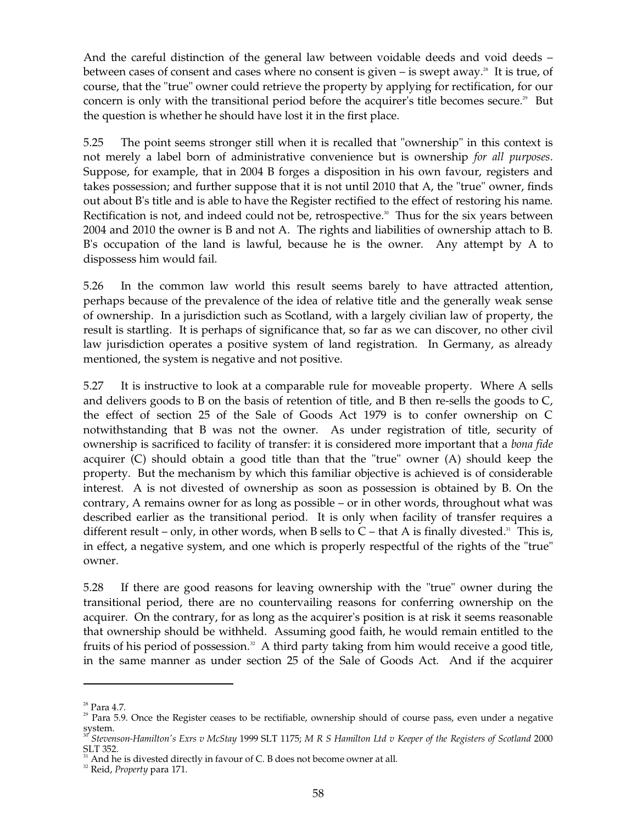And the careful distinction of the general law between voidable deeds and void deeds – between cases of consent and cases where no consent is given  $-$  is swept away.<sup>38</sup> It is true, of course, that the "true" owner could retrieve the property by applying for rectification, for our concern is only with the transitional period before the acquirer's title becomes secure.<sup>29</sup> But the question is whether he should have lost it in the first place.

5.25 The point seems stronger still when it is recalled that "ownership" in this context is not merely a label born of administrative convenience but is ownership *for all purposes*. Suppose, for example, that in 2004 B forges a disposition in his own favour, registers and takes possession; and further suppose that it is not until 2010 that A, the "true" owner, finds out about B's title and is able to have the Register rectified to the effect of restoring his name. Rectification is not, and indeed could not be, retrospective.<sup>30</sup> Thus for the six years between 2004 and 2010 the owner is B and not A. The rights and liabilities of ownership attach to B. B's occupation of the land is lawful, because he is the owner. Any attempt by A to dispossess him would fail.

5.26 In the common law world this result seems barely to have attracted attention, perhaps because of the prevalence of the idea of relative title and the generally weak sense of ownership. In a jurisdiction such as Scotland, with a largely civilian law of property, the result is startling. It is perhaps of significance that, so far as we can discover, no other civil law jurisdiction operates a positive system of land registration. In Germany, as already mentioned, the system is negative and not positive.

5.27 It is instructive to look at a comparable rule for moveable property. Where A sells and delivers goods to B on the basis of retention of title, and B then re-sells the goods to C, the effect of section 25 of the Sale of Goods Act 1979 is to confer ownership on C notwithstanding that B was not the owner. As under registration of title, security of ownership is sacrificed to facility of transfer: it is considered more important that a *bona fide*  acquirer (C) should obtain a good title than that the "true" owner (A) should keep the property. But the mechanism by which this familiar objective is achieved is of considerable interest. A is not divested of ownership as soon as possession is obtained by B. On the contrary, A remains owner for as long as possible – or in other words, throughout what was described earlier as the transitional period. It is only when facility of transfer requires a different result – only, in other words, when B sells to  $C$  – that A is finally divested.<sup>31</sup> This is, in effect, a negative system, and one which is properly respectful of the rights of the "true" owner.

5.28 If there are good reasons for leaving ownership with the "true" owner during the transitional period, there are no countervailing reasons for conferring ownership on the acquirer. On the contrary, for as long as the acquirer's position is at risk it seems reasonable that ownership should be withheld. Assuming good faith, he would remain entitled to the fruits of his period of possession.<sup>32</sup> A third party taking from him would receive a good title, in the same manner as under section 25 of the Sale of Goods Act. And if the acquirer

<sup>&</sup>lt;sup>28</sup> Para 4.7.<br><sup>29</sup> Para 5.9. Once the Register ceases to be rectifiable, ownership should of course pass, even under a negative system. <sup>30</sup>*Stevenson-Hamilton's Exrs v McStay* 1999 SLT 1175; *M R S Hamilton Ltd v Keeper of the Registers of Scotland* <sup>2000</sup>

SLT 352. 31 And he is divested directly in favour of C. B does not become owner at all. 32 Reid, *Property* para 171.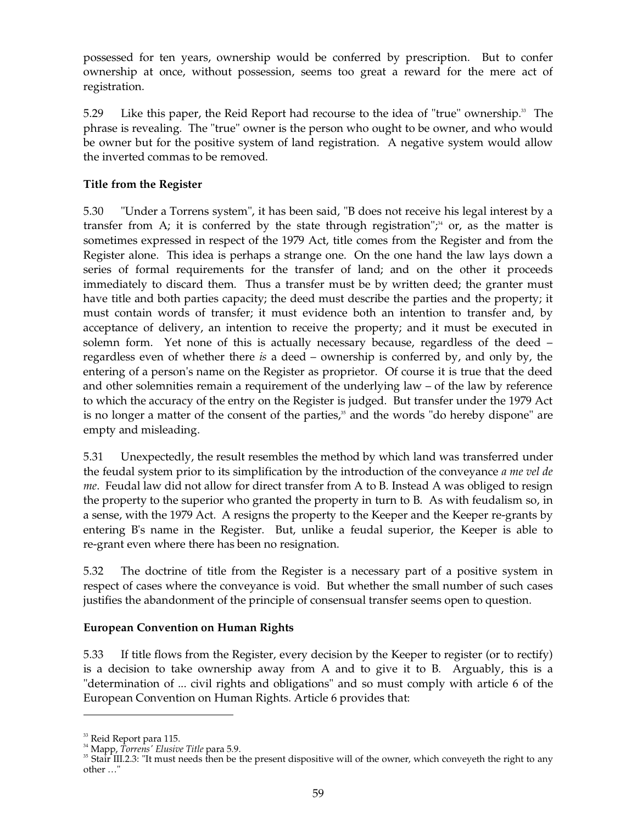possessed for ten years, ownership would be conferred by prescription. But to confer ownership at once, without possession, seems too great a reward for the mere act of registration.

5.29 Like this paper, the Reid Report had recourse to the idea of "true" ownership.<sup>33</sup> The phrase is revealing. The "true" owner is the person who ought to be owner, and who would be owner but for the positive system of land registration. A negative system would allow the inverted commas to be removed.

## **Title from the Register**

5.30 "Under a Torrens system", it has been said, "B does not receive his legal interest by a transfer from A; it is conferred by the state through registration"; 34 or, as the matter is sometimes expressed in respect of the 1979 Act, title comes from the Register and from the Register alone. This idea is perhaps a strange one. On the one hand the law lays down a series of formal requirements for the transfer of land; and on the other it proceeds immediately to discard them. Thus a transfer must be by written deed; the granter must have title and both parties capacity; the deed must describe the parties and the property; it must contain words of transfer; it must evidence both an intention to transfer and, by acceptance of delivery, an intention to receive the property; and it must be executed in solemn form. Yet none of this is actually necessary because, regardless of the deed – regardless even of whether there *is* a deed – ownership is conferred by, and only by, the entering of a person's name on the Register as proprietor. Of course it is true that the deed and other solemnities remain a requirement of the underlying law – of the law by reference to which the accuracy of the entry on the Register is judged. But transfer under the 1979 Act is no longer a matter of the consent of the parties, 35 and the words "do hereby dispone" are empty and misleading.

5.31 Unexpectedly, the result resembles the method by which land was transferred under the feudal system prior to its simplification by the introduction of the conveyance *a me vel de me*. Feudal law did not allow for direct transfer from A to B. Instead A was obliged to resign the property to the superior who granted the property in turn to B. As with feudalism so, in a sense, with the 1979 Act. A resigns the property to the Keeper and the Keeper re-grants by entering B's name in the Register. But, unlike a feudal superior, the Keeper is able to re-grant even where there has been no resignation.

5.32 The doctrine of title from the Register is a necessary part of a positive system in respect of cases where the conveyance is void. But whether the small number of such cases justifies the abandonment of the principle of consensual transfer seems open to question.

## **European Convention on Human Rights**

5.33 If title flows from the Register, every decision by the Keeper to register (or to rectify) is a decision to take ownership away from A and to give it to B. Arguably, this is a "determination of ... civil rights and obligations" and so must comply with article 6 of the European Convention on Human Rights. Article 6 provides that:

<sup>&</sup>lt;sup>33</sup> Reid Report para 115.<br><sup>34</sup> Mapp*, Torrens' Elusive Title* para 5.9.<br><sup>35</sup> Stair III.2.3: "It must needs then be the present dispositive will of the owner, which conveyeth the right to any other …"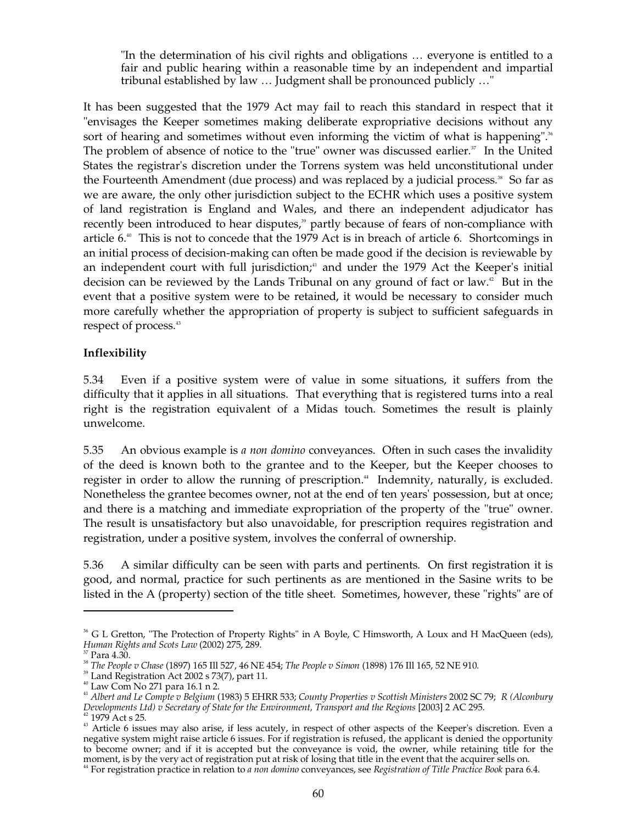"In the determination of his civil rights and obligations … everyone is entitled to a fair and public hearing within a reasonable time by an independent and impartial tribunal established by law … Judgment shall be pronounced publicly …"

It has been suggested that the 1979 Act may fail to reach this standard in respect that it "envisages the Keeper sometimes making deliberate expropriative decisions without any sort of hearing and sometimes without even informing the victim of what is happening".<sup>36</sup> The problem of absence of notice to the "true" owner was discussed earlier.<sup>37</sup> In the United States the registrar's discretion under the Torrens system was held unconstitutional under the Fourteenth Amendment (due process) and was replaced by a judicial process.<sup>38</sup> So far as we are aware, the only other jurisdiction subject to the ECHR which uses a positive system of land registration is England and Wales, and there an independent adjudicator has recently been introduced to hear disputes,<sup>39</sup> partly because of fears of non-compliance with article 6. 40 This is not to concede that the 1979 Act is in breach of article 6. Shortcomings in an initial process of decision-making can often be made good if the decision is reviewable by an independent court with full jurisdiction;<sup>11</sup> and under the 1979 Act the Keeper's initial decision can be reviewed by the Lands Tribunal on any ground of fact or law. 42 But in the event that a positive system were to be retained, it would be necessary to consider much more carefully whether the appropriation of property is subject to sufficient safeguards in respect of process. 43

#### **Inflexibility**

5.34 Even if a positive system were of value in some situations, it suffers from the difficulty that it applies in all situations. That everything that is registered turns into a real right is the registration equivalent of a Midas touch. Sometimes the result is plainly unwelcome.

5.35 An obvious example is *a non domino* conveyances. Often in such cases the invalidity of the deed is known both to the grantee and to the Keeper, but the Keeper chooses to register in order to allow the running of prescription. 44 Indemnity, naturally, is excluded. Nonetheless the grantee becomes owner, not at the end of ten years' possession, but at once; and there is a matching and immediate expropriation of the property of the "true" owner. The result is unsatisfactory but also unavoidable, for prescription requires registration and registration, under a positive system, involves the conferral of ownership.

5.36 A similar difficulty can be seen with parts and pertinents. On first registration it is good, and normal, practice for such pertinents as are mentioned in the Sasine writs to be listed in the A (property) section of the title sheet. Sometimes, however, these "rights" are of

<sup>&</sup>lt;sup>36</sup> G L Gretton, "The Protection of Property Rights" in A Boyle, C Himsworth, A Loux and H MacQueen (eds),

Human Rights and Scots Law (2002) 275, 289.<br><sup>37</sup> Para 4.30.<br><sup>38</sup> The People v Chase (1897) 165 Ill 527, 46 NE 454; *The People v Simon* (1898) 176 Ill 165, 52 NE 910.<br><sup>39</sup> Land Registration Act 2002 s 73(7), part 11.<br><sup>40</sup> Developments Ltd) v Secretary of State for the Environment, Transport and the Regions [2003] 2 AC 295.<br><sup>42</sup> 1979 Act s 25.<br><sup>43</sup> Article 6 issues may also arise, if less acutely, in respect of other aspects of the Keeper's

negative system might raise article 6 issues. For if registration is refused, the applicant is denied the opportunity to become owner; and if it is accepted but the conveyance is void, the owner, while retaining title for the moment, is by the very act of registration put at risk of losing that title in the event that the acquirer sells on.<br><sup>44</sup> For registration practice in relation to *a non domino* conveyances, see *Registration of Title Prac*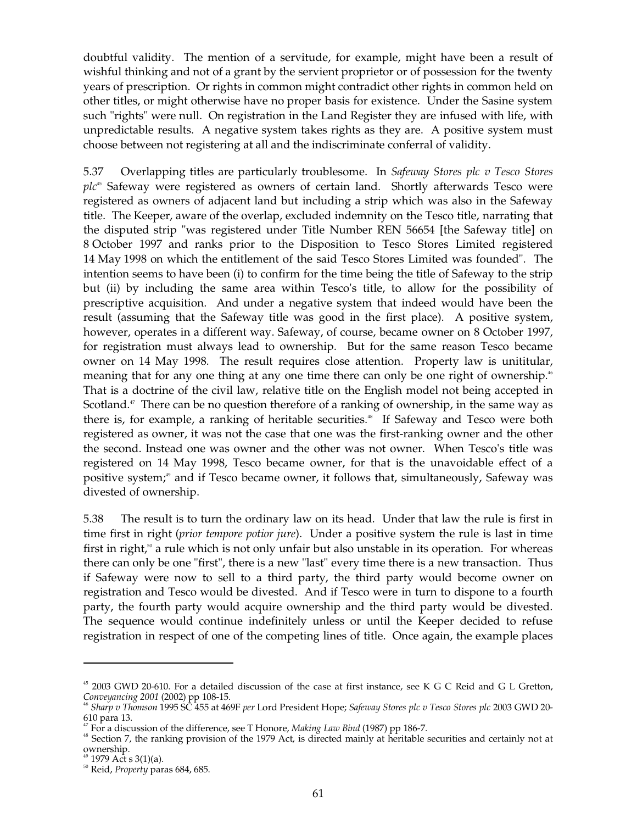doubtful validity. The mention of a servitude, for example, might have been a result of wishful thinking and not of a grant by the servient proprietor or of possession for the twenty years of prescription. Or rights in common might contradict other rights in common held on other titles, or might otherwise have no proper basis for existence. Under the Sasine system such "rights" were null. On registration in the Land Register they are infused with life, with unpredictable results. A negative system takes rights as they are. A positive system must choose between not registering at all and the indiscriminate conferral of validity.

5.37 Overlapping titles are particularly troublesome. In *Safeway Stores plc v Tesco Stores*  plc<sup>45</sup> Safeway were registered as owners of certain land. Shortly afterwards Tesco were registered as owners of adjacent land but including a strip which was also in the Safeway title. The Keeper, aware of the overlap, excluded indemnity on the Tesco title, narrating that the disputed strip "was registered under Title Number REN 56654 [the Safeway title] on 8 October 1997 and ranks prior to the Disposition to Tesco Stores Limited registered 14 May 1998 on which the entitlement of the said Tesco Stores Limited was founded". The intention seems to have been (i) to confirm for the time being the title of Safeway to the strip but (ii) by including the same area within Tesco's title, to allow for the possibility of prescriptive acquisition. And under a negative system that indeed would have been the result (assuming that the Safeway title was good in the first place). A positive system, however, operates in a different way. Safeway, of course, became owner on 8 October 1997, for registration must always lead to ownership. But for the same reason Tesco became owner on 14 May 1998. The result requires close attention. Property law is unititular, meaning that for any one thing at any one time there can only be one right of ownership.<sup>46</sup> That is a doctrine of the civil law, relative title on the English model not being accepted in Scotland.<sup>47</sup> There can be no question therefore of a ranking of ownership, in the same way as there is, for example, a ranking of heritable securities. 48 If Safeway and Tesco were both registered as owner, it was not the case that one was the first-ranking owner and the other the second. Instead one was owner and the other was not owner. When Tesco's title was registered on 14 May 1998, Tesco became owner, for that is the unavoidable effect of a positive system;<sup>49</sup> and if Tesco became owner, it follows that, simultaneously, Safeway was divested of ownership.

5.38 The result is to turn the ordinary law on its head. Under that law the rule is first in time first in right (*prior tempore potior jure*). Under a positive system the rule is last in time first in right,<sup>50</sup> a rule which is not only unfair but also unstable in its operation. For whereas there can only be one "first", there is a new "last" every time there is a new transaction. Thus if Safeway were now to sell to a third party, the third party would become owner on registration and Tesco would be divested. And if Tesco were in turn to dispone to a fourth party, the fourth party would acquire ownership and the third party would be divested. The sequence would continue indefinitely unless or until the Keeper decided to refuse registration in respect of one of the competing lines of title. Once again, the example places

<sup>&</sup>lt;sup>45</sup> 2003 GWD 20-610. For a detailed discussion of the case at first instance, see K G C Reid and G L Gretton,

*Conveyancing 2001* (2002) pp 108-15. 46 *Sharp v Thomson* 1995 SC 455 at 469F *per* Lord President Hope; *Safeway Stores plc v Tesco Stores plc* 2003 GWD 20

<sup>&</sup>lt;sup>47</sup> For a discussion of the difference, see T Honore, *Making Law Bind* (1987) pp 186-7.<br><sup>48</sup> Section 7, the ranking provision of the 1979 Act, is directed mainly at heritable securities and certainly not at ownership. 49 1979 Act s 3(1)(a). 50 Reid, *Property* paras 684, 685.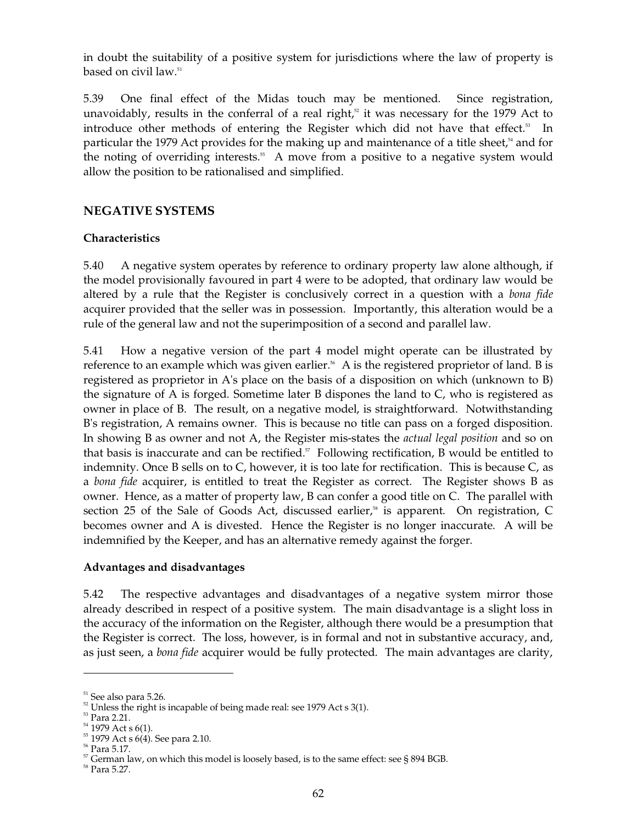in doubt the suitability of a positive system for jurisdictions where the law of property is based on civil law. 51

5.39 One final effect of the Midas touch may be mentioned. Since registration, unavoidably, results in the conferral of a real right, $52$  it was necessary for the 1979 Act to introduce other methods of entering the Register which did not have that effect.<sup>53</sup> In particular the 1979 Act provides for the making up and maintenance of a title sheet,<sup>54</sup> and for the noting of overriding interests. 55 A move from a positive to a negative system would allow the position to be rationalised and simplified.

# **NEGATIVE SYSTEMS**

## **Characteristics**

5.40 A negative system operates by reference to ordinary property law alone although, if the model provisionally favoured in part 4 were to be adopted, that ordinary law would be altered by a rule that the Register is conclusively correct in a question with a *bona fide*  acquirer provided that the seller was in possession. Importantly, this alteration would be a rule of the general law and not the superimposition of a second and parallel law.

5.41 How a negative version of the part 4 model might operate can be illustrated by reference to an example which was given earlier.<sup>56</sup> A is the registered proprietor of land. B is registered as proprietor in A's place on the basis of a disposition on which (unknown to B) the signature of A is forged. Sometime later B dispones the land to C, who is registered as owner in place of B. The result, on a negative model, is straightforward. Notwithstanding B's registration, A remains owner. This is because no title can pass on a forged disposition. In showing B as owner and not A, the Register mis-states the *actual legal position* and so on that basis is inaccurate and can be rectified.<sup>37</sup> Following rectification, B would be entitled to indemnity. Once B sells on to C, however, it is too late for rectification. This is because C, as a *bona fide* acquirer, is entitled to treat the Register as correct. The Register shows B as owner. Hence, as a matter of property law, B can confer a good title on C. The parallel with section 25 of the Sale of Goods Act, discussed earlier,<sup>58</sup> is apparent. On registration, C becomes owner and A is divested. Hence the Register is no longer inaccurate. A will be indemnified by the Keeper, and has an alternative remedy against the forger.

#### **Advantages and disadvantages**

5.42 The respective advantages and disadvantages of a negative system mirror those already described in respect of a positive system. The main disadvantage is a slight loss in the accuracy of the information on the Register, although there would be a presumption that the Register is correct. The loss, however, is in formal and not in substantive accuracy, and, as just seen, a *bona fide* acquirer would be fully protected. The main advantages are clarity,

<sup>51</sup> See also para 5.26.

 $52$  Unless the right is incapable of being made real: see 1979 Act s 3(1).

<sup>53</sup> Para 2.21.

<sup>54 1979</sup> Act s 6(1).

 $55$  1979 Act s  $6(4)$ . See para 2.10.

<sup>56</sup> Para 5.17.

 $57$  German law, on which this model is loosely based, is to the same effect: see § 894 BGB.

<sup>58</sup> Para 5.27.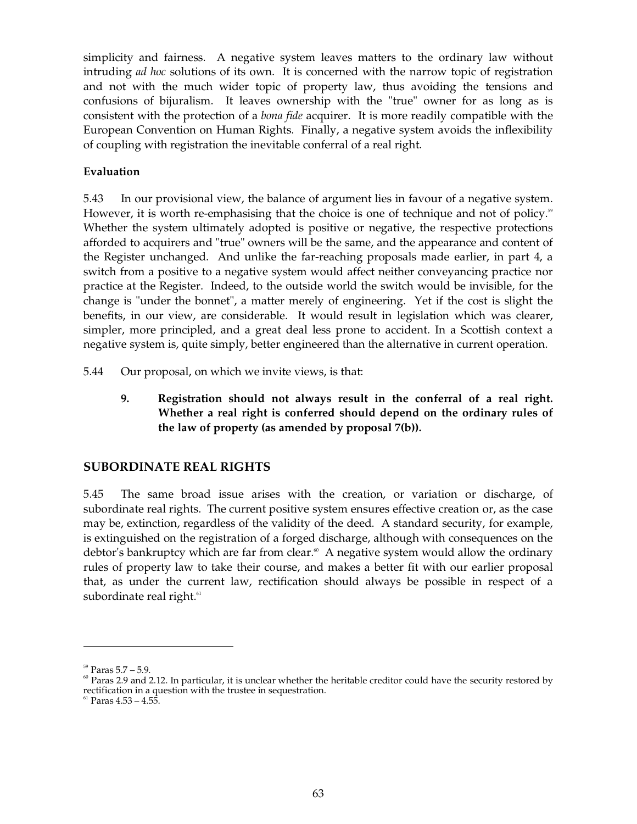simplicity and fairness. A negative system leaves matters to the ordinary law without intruding *ad hoc* solutions of its own. It is concerned with the narrow topic of registration and not with the much wider topic of property law, thus avoiding the tensions and confusions of bijuralism. It leaves ownership with the "true" owner for as long as is consistent with the protection of a *bona fide* acquirer. It is more readily compatible with the European Convention on Human Rights. Finally, a negative system avoids the inflexibility of coupling with registration the inevitable conferral of a real right.

## **Evaluation**

5.43 In our provisional view, the balance of argument lies in favour of a negative system. However, it is worth re-emphasising that the choice is one of technique and not of policy.<sup>59</sup> Whether the system ultimately adopted is positive or negative, the respective protections afforded to acquirers and "true" owners will be the same, and the appearance and content of the Register unchanged. And unlike the far-reaching proposals made earlier, in part 4, a switch from a positive to a negative system would affect neither conveyancing practice nor practice at the Register. Indeed, to the outside world the switch would be invisible, for the change is "under the bonnet", a matter merely of engineering. Yet if the cost is slight the benefits, in our view, are considerable. It would result in legislation which was clearer, simpler, more principled, and a great deal less prone to accident. In a Scottish context a negative system is, quite simply, better engineered than the alternative in current operation.

- 5.44 Our proposal, on which we invite views, is that:
	- **9. Registration should not always result in the conferral of a real right. Whether a real right is conferred should depend on the ordinary rules of the law of property (as amended by proposal 7(b)).**

## **SUBORDINATE REAL RIGHTS**

5.45 The same broad issue arises with the creation, or variation or discharge, of subordinate real rights. The current positive system ensures effective creation or, as the case may be, extinction, regardless of the validity of the deed. A standard security, for example, is extinguished on the registration of a forged discharge, although with consequences on the debtor's bankruptcy which are far from clear.<sup>®</sup> A negative system would allow the ordinary rules of property law to take their course, and makes a better fit with our earlier proposal that, as under the current law, rectification should always be possible in respect of a subordinate real right.<sup>61</sup>

 $59$  Paras  $5.7 - 5.9$ .

 $60$  Paras 2.9 and 2.12. In particular, it is unclear whether the heritable creditor could have the security restored by rectification in a question with the trustee in sequestration.

 $61$  Paras  $4.53 - 4.55$ .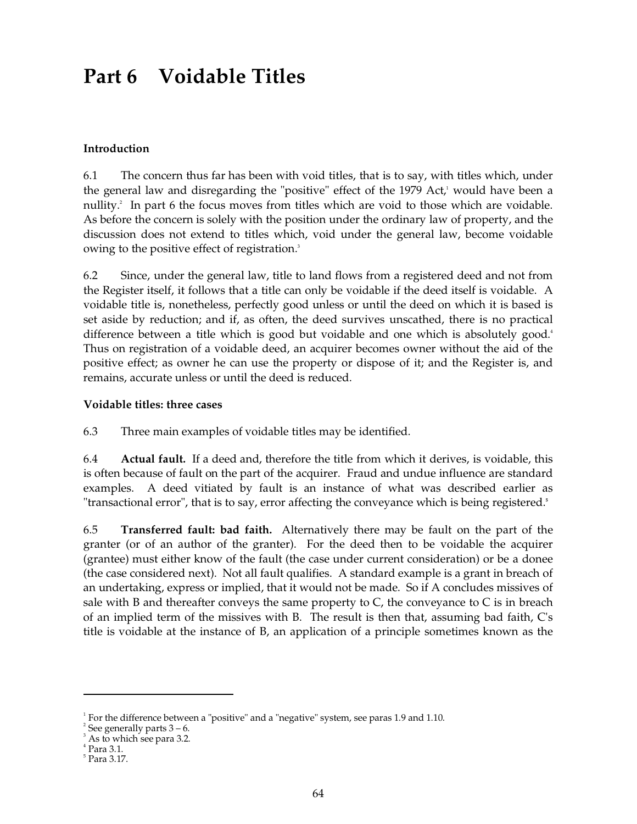# **Part 6 Voidable Titles**

## **Introduction**

6.1 The concern thus far has been with void titles, that is to say, with titles which, under the general law and disregarding the "positive" effect of the 1979 Act, 1 would have been a nullity. 2 In part 6 the focus moves from titles which are void to those which are voidable. As before the concern is solely with the position under the ordinary law of property, and the discussion does not extend to titles which, void under the general law, become voidable owing to the positive effect of registration. 3

6.2 Since, under the general law, title to land flows from a registered deed and not from the Register itself, it follows that a title can only be voidable if the deed itself is voidable. A voidable title is, nonetheless, perfectly good unless or until the deed on which it is based is set aside by reduction; and if, as often, the deed survives unscathed, there is no practical difference between a title which is good but voidable and one which is absolutely good.<sup>4</sup> Thus on registration of a voidable deed, an acquirer becomes owner without the aid of the positive effect; as owner he can use the property or dispose of it; and the Register is, and remains, accurate unless or until the deed is reduced.

#### **Voidable titles: three cases**

6.3 Three main examples of voidable titles may be identified.

6.4 **Actual fault.** If a deed and, therefore the title from which it derives, is voidable, this is often because of fault on the part of the acquirer. Fraud and undue influence are standard examples. A deed vitiated by fault is an instance of what was described earlier as "transactional error", that is to say, error affecting the conveyance which is being registered. **5** 

6.5 **Transferred fault: bad faith.** Alternatively there may be fault on the part of the granter (or of an author of the granter). For the deed then to be voidable the acquirer (grantee) must either know of the fault (the case under current consideration) or be a donee (the case considered next). Not all fault qualifies. A standard example is a grant in breach of an undertaking, express or implied, that it would not be made. So if A concludes missives of sale with B and thereafter conveys the same property to  $C$ , the conveyance to  $C$  is in breach of an implied term of the missives with B. The result is then that, assuming bad faith, C's title is voidable at the instance of B, an application of a principle sometimes known as the

 $1$ <sup>1</sup> For the difference between a "positive" and a "negative" system, see paras 1.9 and 1.10.

 $2$  See generally parts  $3 - 6$ .

<sup>&</sup>lt;sup>3</sup> As to which see para 3.2.

 $4$  Para 3.1.

<sup>5</sup> Para 3.17.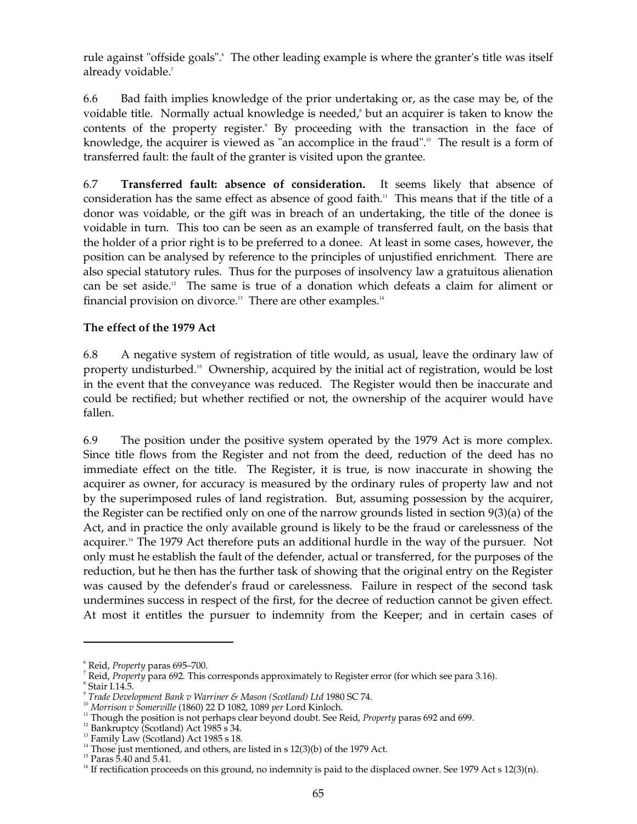rule against "offside goals". The other leading example is where the granter's title was itself already voidable. 7

6.6 Bad faith implies knowledge of the prior undertaking or, as the case may be, of the voidable title. Normally actual knowledge is needed,<sup>8</sup> but an acquirer is taken to know the contents of the property register.<sup>9</sup> By proceeding with the transaction in the face of knowledge, the acquirer is viewed as "an accomplice in the fraud".<sup>10</sup> The result is a form of transferred fault: the fault of the granter is visited upon the grantee.

6.7 **Transferred fault: absence of consideration.** It seems likely that absence of consideration has the same effect as absence of good faith. 11 This means that if the title of a donor was voidable, or the gift was in breach of an undertaking, the title of the donee is voidable in turn. This too can be seen as an example of transferred fault, on the basis that the holder of a prior right is to be preferred to a donee. At least in some cases, however, the position can be analysed by reference to the principles of unjustified enrichment. There are also special statutory rules. Thus for the purposes of insolvency law a gratuitous alienation can be set aside. 12 The same is true of a donation which defeats a claim for aliment or financial provision on divorce.<sup>13</sup> There are other examples.<sup>14</sup>

## **The effect of the 1979 Act**

6.8 A negative system of registration of title would, as usual, leave the ordinary law of property undisturbed. 15 Ownership, acquired by the initial act of registration, would be lost in the event that the conveyance was reduced. The Register would then be inaccurate and could be rectified; but whether rectified or not, the ownership of the acquirer would have fallen.

6.9 The position under the positive system operated by the 1979 Act is more complex. Since title flows from the Register and not from the deed, reduction of the deed has no immediate effect on the title. The Register, it is true, is now inaccurate in showing the acquirer as owner, for accuracy is measured by the ordinary rules of property law and not by the superimposed rules of land registration. But, assuming possession by the acquirer, the Register can be rectified only on one of the narrow grounds listed in section 9(3)(a) of the Act, and in practice the only available ground is likely to be the fraud or carelessness of the acquirer. 16 The 1979 Act therefore puts an additional hurdle in the way of the pursuer. Not only must he establish the fault of the defender, actual or transferred, for the purposes of the reduction, but he then has the further task of showing that the original entry on the Register was caused by the defender's fraud or carelessness. Failure in respect of the second task undermines success in respect of the first, for the decree of reduction cannot be given effect. At most it entitles the pursuer to indemnity from the Keeper; and in certain cases of

<sup>6</sup> Reid, *Property* paras 695–700.

<sup>7</sup> Reid, *Property* para 692. This corresponds approximately to Register error (for which see para 3.16).

Stair I.14.5.

<sup>9</sup>*Trade Development Bank v Warriner & Mason (Scotland) Ltd* 1980 SC 74.

<sup>10</sup>*Morrison v Somerville* (1860) 22 D 1082, 1089 *per* Lord Kinloch.

<sup>&</sup>lt;sup>11</sup> Though the position is not perhaps clear beyond doubt. See Reid, *Property* paras 692 and 699.

 $12$  Bankruptcy (Scotland) Act 1985 s 34.

 $^{13}$  Family Law (Scotland) Act 1985 s 18.

 $14$  Those just mentioned, and others, are listed in s 12(3)(b) of the 1979 Act.

 $15$  Paras 5.40 and 5.41.

<sup>&</sup>lt;sup>16</sup> If rectification proceeds on this ground, no indemnity is paid to the displaced owner. See 1979 Act s 12(3)(n).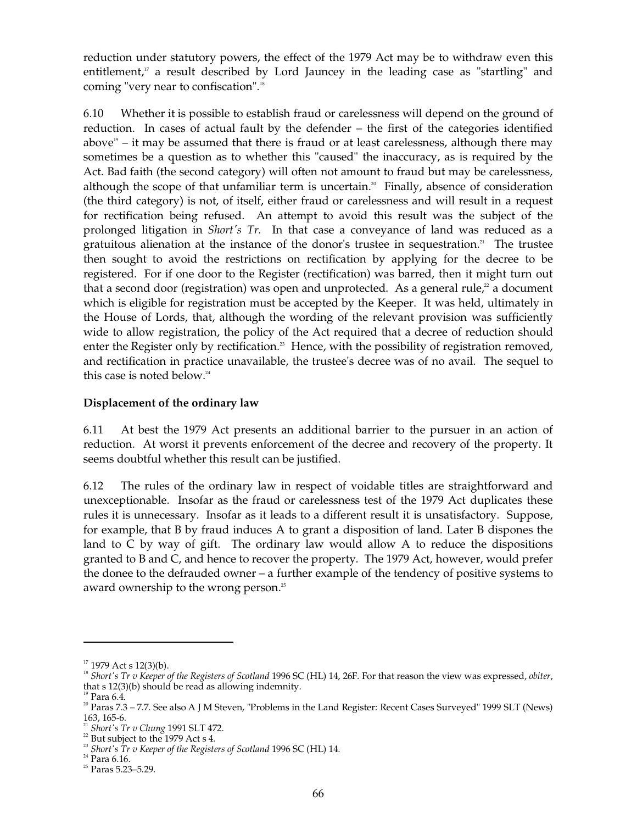reduction under statutory powers, the effect of the 1979 Act may be to withdraw even this entitlement, 17 a result described by Lord Jauncey in the leading case as "startling" and coming "very near to confiscation". 18

6.10 Whether it is possible to establish fraud or carelessness will depend on the ground of reduction. In cases of actual fault by the defender – the first of the categories identified above<sup>19</sup> – it may be assumed that there is fraud or at least carelessness, although there may sometimes be a question as to whether this "caused" the inaccuracy, as is required by the Act. Bad faith (the second category) will often not amount to fraud but may be carelessness, although the scope of that unfamiliar term is uncertain. 20 Finally, absence of consideration (the third category) is not, of itself, either fraud or carelessness and will result in a request for rectification being refused. An attempt to avoid this result was the subject of the prolonged litigation in *Short's Tr.* In that case a conveyance of land was reduced as a gratuitous alienation at the instance of the donor's trustee in sequestration. 21 The trustee then sought to avoid the restrictions on rectification by applying for the decree to be registered. For if one door to the Register (rectification) was barred, then it might turn out that a second door (registration) was open and unprotected. As a general rule, $\alpha$  a document which is eligible for registration must be accepted by the Keeper. It was held, ultimately in the House of Lords, that, although the wording of the relevant provision was sufficiently wide to allow registration, the policy of the Act required that a decree of reduction should enter the Register only by rectification.<sup>23</sup> Hence, with the possibility of registration removed, and rectification in practice unavailable, the trustee's decree was of no avail. The sequel to this case is noted below. 24

### **Displacement of the ordinary law**

6.11 At best the 1979 Act presents an additional barrier to the pursuer in an action of reduction. At worst it prevents enforcement of the decree and recovery of the property. It seems doubtful whether this result can be justified.

6.12 The rules of the ordinary law in respect of voidable titles are straightforward and unexceptionable. Insofar as the fraud or carelessness test of the 1979 Act duplicates these rules it is unnecessary. Insofar as it leads to a different result it is unsatisfactory. Suppose, for example, that B by fraud induces A to grant a disposition of land. Later B dispones the land to C by way of gift. The ordinary law would allow A to reduce the dispositions granted to B and C, and hence to recover the property. The 1979 Act, however, would prefer the donee to the defrauded owner – a further example of the tendency of positive systems to award ownership to the wrong person. 25

 $17$  1979 Act s 12(3)(b).

<sup>18</sup>*Short's Tr v Keeper of the Registers of Scotland* 1996 SC (HL) 14, 26F. For that reason the view was expressed, *obiter*, that s 12(3)(b) should be read as allowing indemnity.

 $19$  Para 6.4.

 $20$  Paras  $7.3$  –  $7.7$ . See also A J M Steven, "Problems in the Land Register: Recent Cases Surveyed" 1999 SLT (News) 163, 165-6.

<sup>21</sup>*Short's Tr v Chung* 1991 SLT 472.

 $22$  But subject to the 1979 Act s 4.

<sup>23</sup>*Short's Tr v Keeper of the Registers of Scotland* 1996 SC (HL) 14.

 $24$  Para 6.16.

 $25$  Paras 5.23–5.29.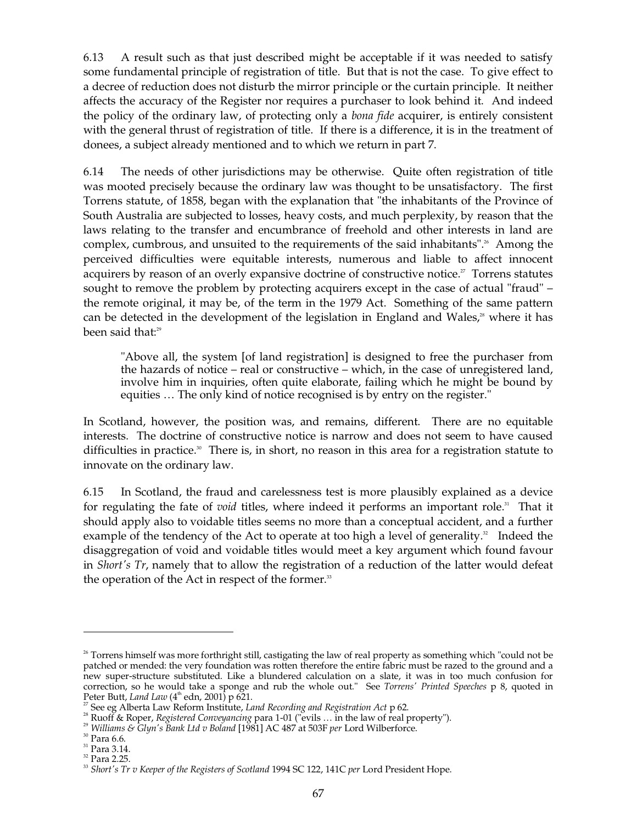6.13 A result such as that just described might be acceptable if it was needed to satisfy some fundamental principle of registration of title. But that is not the case. To give effect to a decree of reduction does not disturb the mirror principle or the curtain principle. It neither affects the accuracy of the Register nor requires a purchaser to look behind it. And indeed the policy of the ordinary law, of protecting only a *bona fide* acquirer, is entirely consistent with the general thrust of registration of title. If there is a difference, it is in the treatment of donees, a subject already mentioned and to which we return in part 7.

6.14 The needs of other jurisdictions may be otherwise. Quite often registration of title was mooted precisely because the ordinary law was thought to be unsatisfactory. The first Torrens statute, of 1858, began with the explanation that "the inhabitants of the Province of South Australia are subjected to losses, heavy costs, and much perplexity, by reason that the laws relating to the transfer and encumbrance of freehold and other interests in land are complex, cumbrous, and unsuited to the requirements of the said inhabitants". 26 Among the perceived difficulties were equitable interests, numerous and liable to affect innocent acquirers by reason of an overly expansive doctrine of constructive notice.<sup>27</sup> Torrens statutes sought to remove the problem by protecting acquirers except in the case of actual "fraud" – the remote original, it may be, of the term in the 1979 Act. Something of the same pattern can be detected in the development of the legislation in England and Wales,<sup>28</sup> where it has been said that: 29

"Above all, the system [of land registration] is designed to free the purchaser from the hazards of notice – real or constructive – which, in the case of unregistered land, involve him in inquiries, often quite elaborate, failing which he might be bound by equities … The only kind of notice recognised is by entry on the register."

In Scotland, however, the position was, and remains, different. There are no equitable interests. The doctrine of constructive notice is narrow and does not seem to have caused difficulties in practice.<sup>30</sup> There is, in short, no reason in this area for a registration statute to innovate on the ordinary law.

6.15 In Scotland, the fraud and carelessness test is more plausibly explained as a device for regulating the fate of *void* titles, where indeed it performs an important role.<sup>31</sup> That it should apply also to voidable titles seems no more than a conceptual accident, and a further example of the tendency of the Act to operate at too high a level of generality.<sup>32</sup> Indeed the disaggregation of void and voidable titles would meet a key argument which found favour in *Short's Tr*, namely that to allow the registration of a reduction of the latter would defeat the operation of the Act in respect of the former.<sup>33</sup>

 $26$ <sup>26</sup> Torrens himself was more forthright still, castigating the law of real property as something which "could not be patched or mended: the very foundation was rotten therefore the entire fabric must be razed to the ground and a new super-structure substituted. Like a blundered calculation on a slate, it was in too much confusion for correction, so he would take a sponge and rub the whole out." See *Torrens' Printed Speeches* p 8, quoted in Peter Butt*, Land Law* (4<sup>th</sup> edn, 2001) p 621.

<sup>27</sup> See eg Alberta Law Reform Institute, *Land Recording and Registration Act* p 62.

28 Ruoff & Roper, *Registered Conveyancing* para 1-01 ("evils … in the law of real property").

<sup>29</sup>*Williams & Glyn's Bank Ltd v Boland* [1981] AC 487 at 503F *per* Lord Wilberforce.

 $30$  Para 6.6.

 $31$  Para 3.14.

<sup>&</sup>lt;sup>32</sup> Para 2.25.

<sup>33</sup>*Short's Tr v Keeper of the Registers of Scotland* 1994 SC 122, 141C *per* Lord President Hope.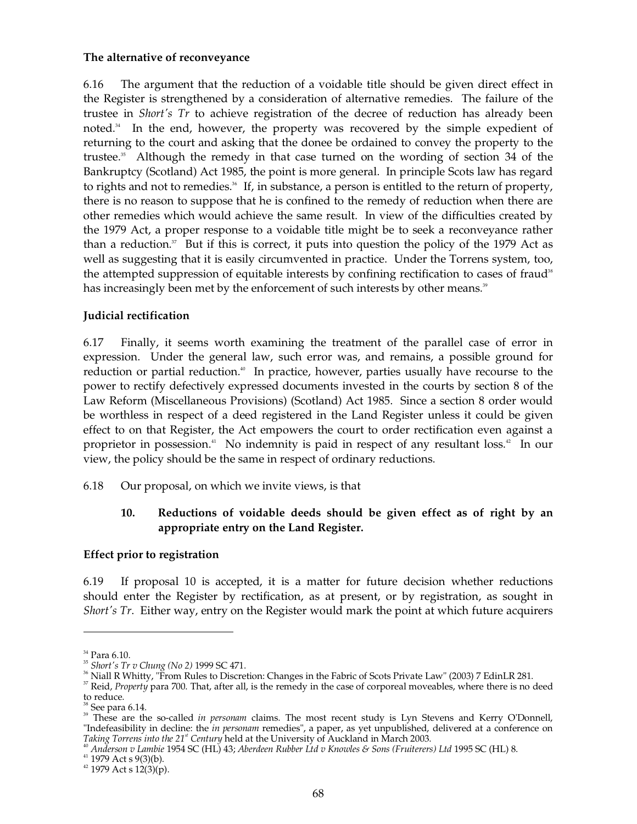### **The alternative of reconveyance**

6.16 The argument that the reduction of a voidable title should be given direct effect in the Register is strengthened by a consideration of alternative remedies. The failure of the trustee in *Short's Tr* to achieve registration of the decree of reduction has already been noted. 34 In the end, however, the property was recovered by the simple expedient of returning to the court and asking that the donee be ordained to convey the property to the trustee. 35 Although the remedy in that case turned on the wording of section 34 of the Bankruptcy (Scotland) Act 1985, the point is more general. In principle Scots law has regard to rights and not to remedies.<sup>36</sup> If, in substance, a person is entitled to the return of property, there is no reason to suppose that he is confined to the remedy of reduction when there are other remedies which would achieve the same result. In view of the difficulties created by the 1979 Act, a proper response to a voidable title might be to seek a reconveyance rather than a reduction.<sup>37</sup> But if this is correct, it puts into question the policy of the 1979 Act as well as suggesting that it is easily circumvented in practice. Under the Torrens system, too, the attempted suppression of equitable interests by confining rectification to cases of fraud<sup>38</sup> has increasingly been met by the enforcement of such interests by other means."

### **Judicial rectification**

6.17 Finally, it seems worth examining the treatment of the parallel case of error in expression. Under the general law, such error was, and remains, a possible ground for reduction or partial reduction.<sup>40</sup> In practice, however, parties usually have recourse to the power to rectify defectively expressed documents invested in the courts by section 8 of the Law Reform (Miscellaneous Provisions) (Scotland) Act 1985. Since a section 8 order would be worthless in respect of a deed registered in the Land Register unless it could be given effect to on that Register, the Act empowers the court to order rectification even against a proprietor in possession. 41 No indemnity is paid in respect of any resultant loss. 42 In our view, the policy should be the same in respect of ordinary reductions.

6.18 Our proposal, on which we invite views, is that

## **10. Reductions of voidable deeds should be given effect as of right by an appropriate entry on the Land Register.**

#### **Effect prior to registration**

6.19 If proposal 10 is accepted, it is a matter for future decision whether reductions should enter the Register by rectification, as at present, or by registration, as sought in *Short's Tr*. Either way, entry on the Register would mark the point at which future acquirers

 $^{34}$  Para 6.10.

<sup>35</sup>*Short's Tr v Chung (No 2)* 1999 SC 471.

<sup>36</sup> Niall R Whitty, "From Rules to Discretion: Changes in the Fabric of Scots Private Law" (2003) 7 EdinLR 281.

<sup>&</sup>lt;sup>37</sup> Reid, *Property* para 700. That, after all, is the remedy in the case of corporeal moveables, where there is no deed to reduce.

 $38$  See para 6.14.

<sup>&</sup>lt;sup>39</sup> These are the so-called *in personam* claims. The most recent study is Lyn Stevens and Kerry O'Donnell, "Indefeasibility in decline: the *in personam* remedies", a paper, as yet unpublished, delivered at a conference on *Taking Torrens into the* 21<sup>st</sup> Century held at the University of Auckland in March 2003.

<sup>&</sup>lt;sup>40</sup> Anderson v Lambie 1954 SC (HL) 43; Aberdeen Rubber Ltd v Knowles & Sons (Fruiterers) Ltd 1995 SC (HL) 8.<br><sup>41</sup> 1979 Act s 9(3)(b).<br><sup>42</sup> 1979 Act s 12(3)(p).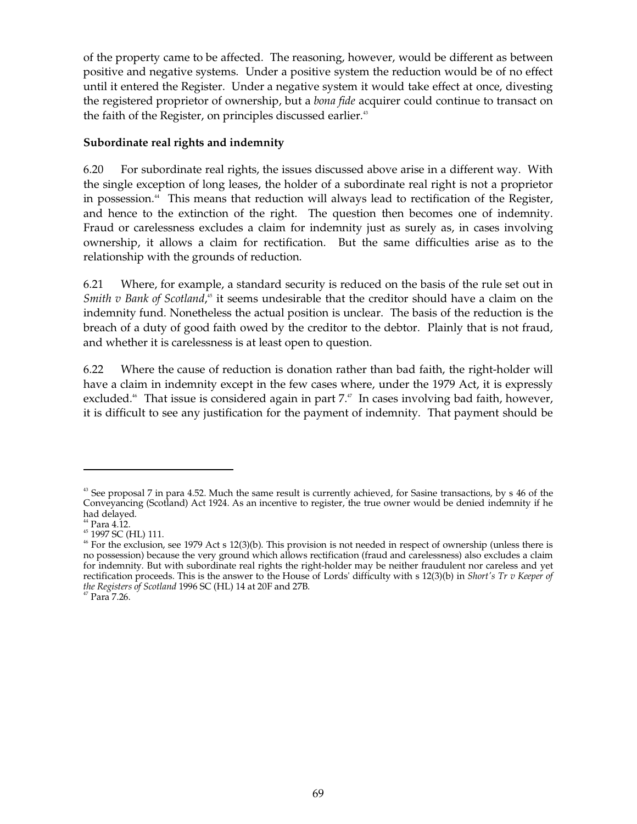of the property came to be affected. The reasoning, however, would be different as between positive and negative systems. Under a positive system the reduction would be of no effect until it entered the Register. Under a negative system it would take effect at once, divesting the registered proprietor of ownership, but a *bona fide* acquirer could continue to transact on the faith of the Register, on principles discussed earlier.<sup>43</sup>

## **Subordinate real rights and indemnity**

6.20 For subordinate real rights, the issues discussed above arise in a different way. With the single exception of long leases, the holder of a subordinate real right is not a proprietor in possession. 44 This means that reduction will always lead to rectification of the Register, and hence to the extinction of the right. The question then becomes one of indemnity. Fraud or carelessness excludes a claim for indemnity just as surely as, in cases involving ownership, it allows a claim for rectification. But the same difficulties arise as to the relationship with the grounds of reduction.

6.21 Where, for example, a standard security is reduced on the basis of the rule set out in *Smith v Bank of Scotland*,<sup>45</sup> it seems undesirable that the creditor should have a claim on the indemnity fund. Nonetheless the actual position is unclear. The basis of the reduction is the breach of a duty of good faith owed by the creditor to the debtor. Plainly that is not fraud, and whether it is carelessness is at least open to question.

6.22 Where the cause of reduction is donation rather than bad faith, the right-holder will have a claim in indemnity except in the few cases where, under the 1979 Act, it is expressly excluded.<sup>46</sup> That issue is considered again in part 7.<sup>47</sup> In cases involving bad faith, however, it is difficult to see any justification for the payment of indemnity. That payment should be

<sup>&</sup>lt;sup>43</sup> See proposal 7 in para 4.52. Much the same result is currently achieved, for Sasine transactions, by s 46 of the Conveyancing (Scotland) Act 1924. As an incentive to register, the true owner would be denied indemnity if he

had delayed. <sup>44</sup> Para 4.12.<br><sup>44</sup> Para 4.12.<br><sup>45</sup> 1997 SC (HL) 111. 46 Horse 1979 Act s 12(3)(b). This provision is not needed in respect of ownership (unless there is no possession) because the very ground which allows rectification (fraud and carelessness) also excludes a claim for indemnity. But with subordinate real rights the right-holder may be neither fraudulent nor careless and yet rectification proceeds. This is the answer to the House of Lords' difficulty with s 12(3)(b) in *Short's Tr v Keeper of the Registers of Scotland 1996 SC (HL) 14 at 20F and 27B.* <sup>47</sup> Para 7.26.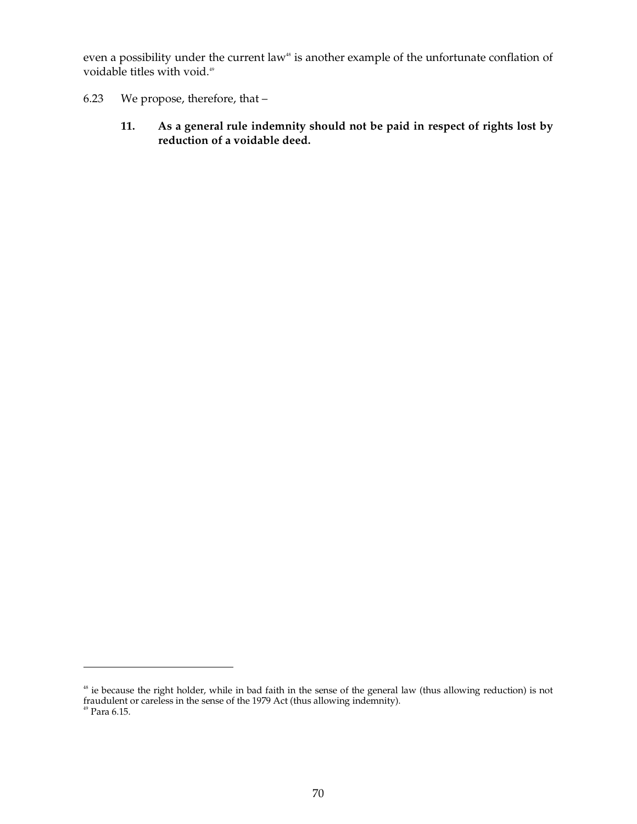even a possibility under the current law<sup>48</sup> is another example of the unfortunate conflation of voidable titles with void. 49

- 6.23 We propose, therefore, that
	- **11. As a general rule indemnity should not be paid in respect of rights lost by reduction of a voidable deed.**

ie because the right holder, while in bad faith in the sense of the general law (thus allowing reduction) is not fraudulent or careless in the sense of the 1979 Act (thus allowing indemnity).<br><sup>49</sup> Para 6.15. 48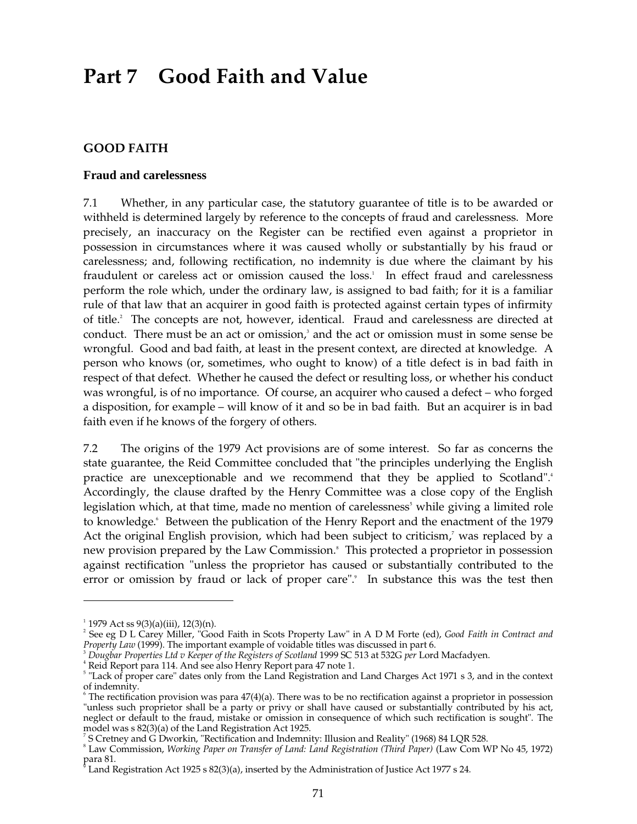# **Part 7 Good Faith and Value**

### **GOOD FAITH**

#### **Fraud and carelessness**

7.1 Whether, in any particular case, the statutory guarantee of title is to be awarded or withheld is determined largely by reference to the concepts of fraud and carelessness. More precisely, an inaccuracy on the Register can be rectified even against a proprietor in possession in circumstances where it was caused wholly or substantially by his fraud or carelessness; and, following rectification, no indemnity is due where the claimant by his fraudulent or careless act or omission caused the loss. 1 In effect fraud and carelessness perform the role which, under the ordinary law, is assigned to bad faith; for it is a familiar rule of that law that an acquirer in good faith is protected against certain types of infirmity of title. 2 The concepts are not, however, identical. Fraud and carelessness are directed at conduct. There must be an act or omission, 3 and the act or omission must in some sense be wrongful. Good and bad faith, at least in the present context, are directed at knowledge. A person who knows (or, sometimes, who ought to know) of a title defect is in bad faith in respect of that defect. Whether he caused the defect or resulting loss, or whether his conduct was wrongful, is of no importance. Of course, an acquirer who caused a defect – who forged a disposition, for example – will know of it and so be in bad faith. But an acquirer is in bad faith even if he knows of the forgery of others.

7.2 The origins of the 1979 Act provisions are of some interest. So far as concerns the state guarantee, the Reid Committee concluded that "the principles underlying the English practice are unexceptionable and we recommend that they be applied to Scotland". 4 Accordingly, the clause drafted by the Henry Committee was a close copy of the English legislation which, at that time, made no mention of carelessness<sup>5</sup> while giving a limited role to knowledge. 6 Between the publication of the Henry Report and the enactment of the 1979 Act the original English provision, which had been subject to criticism,<sup>7</sup> was replaced by a new provision prepared by the Law Commission. 8 This protected a proprietor in possession against rectification "unless the proprietor has caused or substantially contributed to the error or omission by fraud or lack of proper care".<sup>9</sup> In substance this was the test then

<sup>&</sup>lt;sup>1</sup> 1979 Act ss 9(3)(a)(iii), 12(3)(n).<br><sup>2</sup> See eg D L Carey Miller, "Good Faith in Scots Property Law" in A D M Forte (ed), *Good Faith in Contract and Property Law* (1999). The important example of voidable titles was di

<sup>&</sup>lt;sup>3</sup> Dougbar Properties Ltd v Keeper of the Registers of Scotland 1999 SC 513 at 532G per Lord Macfadyen.<br><sup>4</sup> Reid Report para 114. And see also Henry Report para 47 note 1.<br><sup>5</sup> "Lack of proper care" dates only from the La of indemnity.<br>
<sup>6</sup> The rectification provision was para 47(4)(a). There was to be no rectification against a proprietor in possession

<sup>&</sup>quot;unless such proprietor shall be a party or privy or shall have caused or substantially contributed by his act, neglect or default to the fraud, mistake or omission in consequence of which such rectification is sought". The model was s 82(3)(a) of the Land Registration Act 1925.

<sup>&</sup>lt;sup>7</sup> S Cretney and G Dworkin, "Rectification and Indemnity: Illusion and Reality" (1968) 84 LQR 528.<br><sup>8</sup> Law Commission, *Working Paper on Transfer of Land: Land Registration (Third Paper)* (Law Com WP No 45, 1972) para 81.

Land Registration Act 1925 s  $82(3)(a)$ , inserted by the Administration of Justice Act 1977 s 24.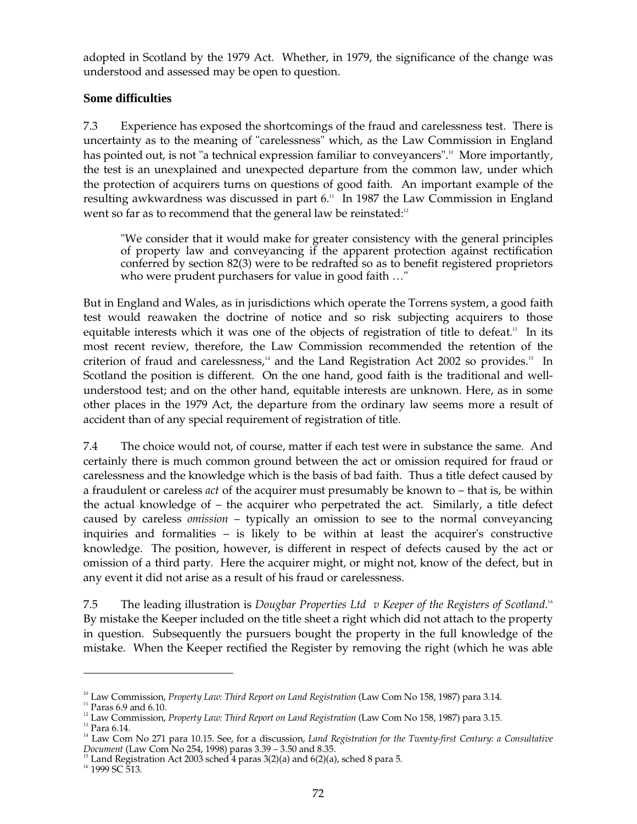adopted in Scotland by the 1979 Act. Whether, in 1979, the significance of the change was understood and assessed may be open to question.

## **Some difficulties**

7.3 Experience has exposed the shortcomings of the fraud and carelessness test. There is uncertainty as to the meaning of "carelessness" which, as the Law Commission in England has pointed out, is not "a technical expression familiar to conveyancers".<sup>10</sup> More importantly, the test is an unexplained and unexpected departure from the common law, under which the protection of acquirers turns on questions of good faith. An important example of the resulting awkwardness was discussed in part 6. 11 In 1987 the Law Commission in England went so far as to recommend that the general law be reinstated: $22$ 

"We consider that it would make for greater consistency with the general principles of property law and conveyancing if the apparent protection against rectification conferred by section 82(3) were to be redrafted so as to benefit registered proprietors who were prudent purchasers for value in good faith …"

But in England and Wales, as in jurisdictions which operate the Torrens system, a good faith test would reawaken the doctrine of notice and so risk subjecting acquirers to those equitable interests which it was one of the objects of registration of title to defeat.<sup>13</sup> In its most recent review, therefore, the Law Commission recommended the retention of the criterion of fraud and carelessness,<sup>14</sup> and the Land Registration Act 2002 so provides.<sup>15</sup> In Scotland the position is different. On the one hand, good faith is the traditional and wellunderstood test; and on the other hand, equitable interests are unknown. Here, as in some other places in the 1979 Act, the departure from the ordinary law seems more a result of accident than of any special requirement of registration of title.

7.4 The choice would not, of course, matter if each test were in substance the same. And certainly there is much common ground between the act or omission required for fraud or carelessness and the knowledge which is the basis of bad faith. Thus a title defect caused by a fraudulent or careless *act* of the acquirer must presumably be known to – that is, be within the actual knowledge of – the acquirer who perpetrated the act. Similarly, a title defect caused by careless *omission* – typically an omission to see to the normal conveyancing inquiries and formalities – is likely to be within at least the acquirer's constructive knowledge. The position, however, is different in respect of defects caused by the act or omission of a third party. Here the acquirer might, or might not, know of the defect, but in any event it did not arise as a result of his fraud or carelessness.

7.5 The leading illustration is *Dougbar Properties Ltd v Keeper of the Registers of Scotland*. 16 By mistake the Keeper included on the title sheet a right which did not attach to the property in question. Subsequently the pursuers bought the property in the full knowledge of the mistake. When the Keeper rectified the Register by removing the right (which he was able

<sup>&</sup>lt;sup>10</sup> Law Commission, *Property Law: Third Report on Land Registration* (Law Com No 158, 1987) para 3.14.

 $\rm ^{11}$  Paras 6.9 and 6.10.

<sup>&</sup>lt;sup>12</sup> Law Commission, *Property Law: Third Report on Land Registration* (Law Com No 158, 1987) para 3.15.

 $^{13}$  Para 6.14.

14 Law Com No 271 para 10.15. See, for a discussion, *Land Registration for the Twenty-first Century: a Consultative Document (Law Com No 254, 1998) paras 3.39 – 3.50 and 8.35.* <sup>15</sup> Land Registration Act 2003 sched 4 paras 3(2)(a) and 6(2)(a), sched 8 para 5. <sup>16</sup> 1999 SC 513.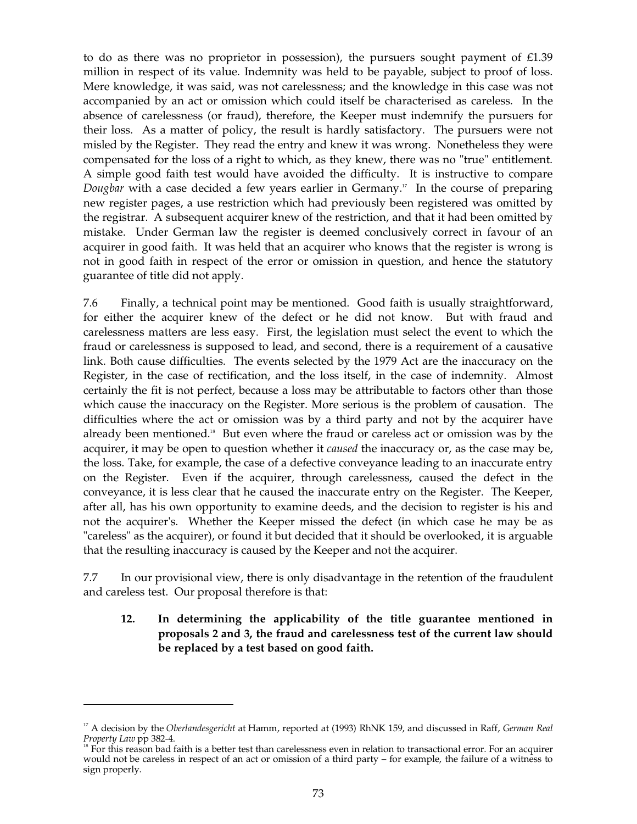to do as there was no proprietor in possession), the pursuers sought payment of  $£1.39$ million in respect of its value. Indemnity was held to be payable, subject to proof of loss. Mere knowledge, it was said, was not carelessness; and the knowledge in this case was not accompanied by an act or omission which could itself be characterised as careless. In the absence of carelessness (or fraud), therefore, the Keeper must indemnify the pursuers for their loss. As a matter of policy, the result is hardly satisfactory. The pursuers were not misled by the Register. They read the entry and knew it was wrong. Nonetheless they were compensated for the loss of a right to which, as they knew, there was no "true" entitlement. A simple good faith test would have avoided the difficulty. It is instructive to compare *Dougbar* with a case decided a few years earlier in Germany. 17 In the course of preparing new register pages, a use restriction which had previously been registered was omitted by the registrar. A subsequent acquirer knew of the restriction, and that it had been omitted by mistake. Under German law the register is deemed conclusively correct in favour of an acquirer in good faith. It was held that an acquirer who knows that the register is wrong is not in good faith in respect of the error or omission in question, and hence the statutory guarantee of title did not apply.

7.6 Finally, a technical point may be mentioned. Good faith is usually straightforward, for either the acquirer knew of the defect or he did not know. But with fraud and carelessness matters are less easy. First, the legislation must select the event to which the fraud or carelessness is supposed to lead, and second, there is a requirement of a causative link. Both cause difficulties. The events selected by the 1979 Act are the inaccuracy on the Register, in the case of rectification, and the loss itself, in the case of indemnity. Almost certainly the fit is not perfect, because a loss may be attributable to factors other than those which cause the inaccuracy on the Register. More serious is the problem of causation. The difficulties where the act or omission was by a third party and not by the acquirer have already been mentioned.<sup>18</sup> But even where the fraud or careless act or omission was by the acquirer, it may be open to question whether it *caused* the inaccuracy or, as the case may be, the loss. Take, for example, the case of a defective conveyance leading to an inaccurate entry on the Register. Even if the acquirer, through carelessness, caused the defect in the conveyance, it is less clear that he caused the inaccurate entry on the Register. The Keeper, after all, has his own opportunity to examine deeds, and the decision to register is his and not the acquirer's. Whether the Keeper missed the defect (in which case he may be as "careless" as the acquirer), or found it but decided that it should be overlooked, it is arguable that the resulting inaccuracy is caused by the Keeper and not the acquirer.

7.7 In our provisional view, there is only disadvantage in the retention of the fraudulent and careless test. Our proposal therefore is that:

## **12. In determining the applicability of the title guarantee mentioned in proposals 2 and 3, the fraud and carelessness test of the current law should be replaced by a test based on good faith.**

<sup>&</sup>lt;sup>17</sup> A decision by the *Oberlandesgericht* at Hamm, reported at (1993) RhNK 159, and discussed in Raff, *German Real Property Law* pp 382-4.

<sup>&</sup>lt;sup>18</sup> For this reason bad faith is a better test than carelessness even in relation to transactional error. For an acquirer would not be careless in respect of an act or omission of a third party – for example, the failure of a witness to sign properly.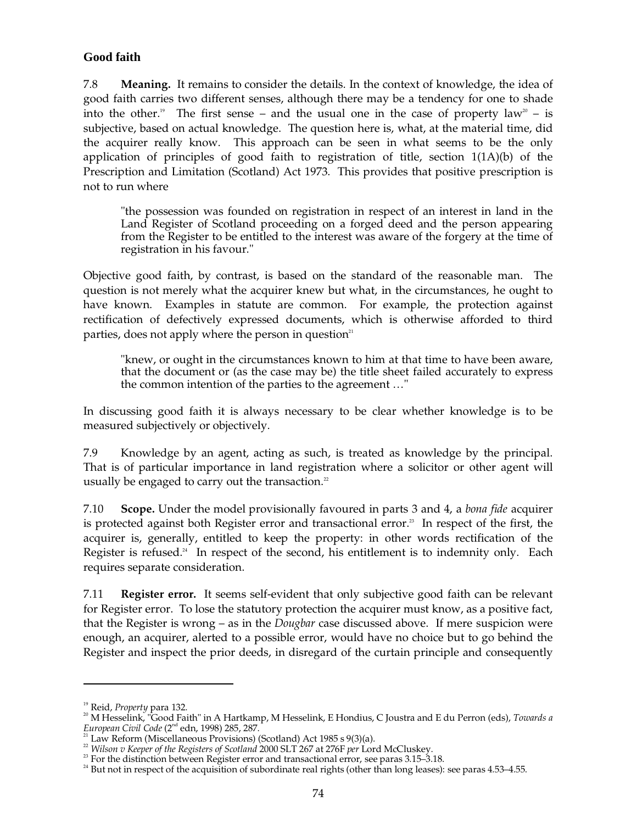## **Good faith**

7.8 **Meaning.** It remains to consider the details. In the context of knowledge, the idea of good faith carries two different senses, although there may be a tendency for one to shade into the other.<sup>19</sup> The first sense – and the usual one in the case of property law<sup>20</sup> – is subjective, based on actual knowledge. The question here is, what, at the material time, did the acquirer really know. This approach can be seen in what seems to be the only application of principles of good faith to registration of title, section  $1(1A)(b)$  of the Prescription and Limitation (Scotland) Act 1973. This provides that positive prescription is not to run where

"the possession was founded on registration in respect of an interest in land in the Land Register of Scotland proceeding on a forged deed and the person appearing from the Register to be entitled to the interest was aware of the forgery at the time of registration in his favour."

Objective good faith, by contrast, is based on the standard of the reasonable man. The question is not merely what the acquirer knew but what, in the circumstances, he ought to have known. Examples in statute are common. For example, the protection against rectification of defectively expressed documents, which is otherwise afforded to third parties, does not apply where the person in question $21$ 

"knew, or ought in the circumstances known to him at that time to have been aware, that the document or (as the case may be) the title sheet failed accurately to express the common intention of the parties to the agreement …"

In discussing good faith it is always necessary to be clear whether knowledge is to be measured subjectively or objectively.

7.9 Knowledge by an agent, acting as such, is treated as knowledge by the principal. That is of particular importance in land registration where a solicitor or other agent will usually be engaged to carry out the transaction.<sup>22</sup>

7.10 **Scope.** Under the model provisionally favoured in parts 3 and 4, a *bona fide* acquirer is protected against both Register error and transactional error. 23 In respect of the first, the acquirer is, generally, entitled to keep the property: in other words rectification of the Register is refused.<sup>24</sup> In respect of the second, his entitlement is to indemnity only. Each requires separate consideration.

7.11 **Register error.** It seems self-evident that only subjective good faith can be relevant for Register error. To lose the statutory protection the acquirer must know, as a positive fact, that the Register is wrong – as in the *Dougbar* case discussed above. If mere suspicion were enough, an acquirer, alerted to a possible error, would have no choice but to go behind the Register and inspect the prior deeds, in disregard of the curtain principle and consequently

<sup>19</sup> Reid, *Property* para 132.

<sup>&</sup>lt;sup>20</sup> M Hesselink, "Good Faith" in A Hartkamp, M Hesselink, E Hondius, C Joustra and E du Perron (eds), *Towards a*<br>*European Civil Code* (2<sup>nd</sup> edn, 1998) 285, 287.

 $21$  Law Reform (Miscellaneous Provisions) (Scotland) Act 1985 s 9(3)(a).

<sup>22</sup>*Wilson v Keeper of the Registers of Scotland* 2000 SLT 267 at 276F *per* Lord McCluskey.

 $23$  For the distinction between Register error and transactional error, see paras 3.15–3.18.

<sup>&</sup>lt;sup>24</sup> But not in respect of the acquisition of subordinate real rights (other than long leases): see paras 4.53–4.55.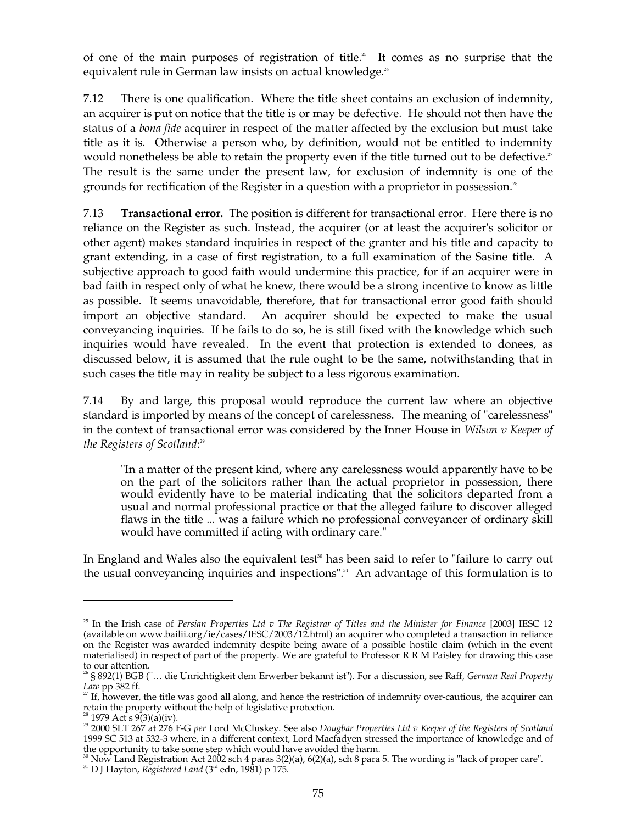of one of the main purposes of registration of title.<sup>25</sup> It comes as no surprise that the equivalent rule in German law insists on actual knowledge. 26

7.12 There is one qualification. Where the title sheet contains an exclusion of indemnity, an acquirer is put on notice that the title is or may be defective. He should not then have the status of a *bona fide* acquirer in respect of the matter affected by the exclusion but must take title as it is. Otherwise a person who, by definition, would not be entitled to indemnity would nonetheless be able to retain the property even if the title turned out to be defective.<sup>27</sup> The result is the same under the present law, for exclusion of indemnity is one of the grounds for rectification of the Register in a question with a proprietor in possession.<sup>28</sup>

7.13 **Transactional error.** The position is different for transactional error. Here there is no reliance on the Register as such. Instead, the acquirer (or at least the acquirer's solicitor or other agent) makes standard inquiries in respect of the granter and his title and capacity to grant extending, in a case of first registration, to a full examination of the Sasine title. A subjective approach to good faith would undermine this practice, for if an acquirer were in bad faith in respect only of what he knew, there would be a strong incentive to know as little as possible. It seems unavoidable, therefore, that for transactional error good faith should import an objective standard. An acquirer should be expected to make the usual conveyancing inquiries. If he fails to do so, he is still fixed with the knowledge which such inquiries would have revealed. In the event that protection is extended to donees, as discussed below, it is assumed that the rule ought to be the same, notwithstanding that in such cases the title may in reality be subject to a less rigorous examination.

7.14 By and large, this proposal would reproduce the current law where an objective standard is imported by means of the concept of carelessness. The meaning of "carelessness" in the context of transactional error was considered by the Inner House in *Wilson v Keeper of the Registers of Scotland*: 29

"In a matter of the present kind, where any carelessness would apparently have to be on the part of the solicitors rather than the actual proprietor in possession, there would evidently have to be material indicating that the solicitors departed from a usual and normal professional practice or that the alleged failure to discover alleged flaws in the title ... was a failure which no professional conveyancer of ordinary skill would have committed if acting with ordinary care."

In England and Wales also the equivalent test<sup>30</sup> has been said to refer to "failure to carry out the usual conveyancing inquiries and inspections". 31 An advantage of this formulation is to

<sup>&</sup>lt;sup>25</sup> In the Irish case of *Persian Properties Ltd v The Registrar of Titles and the Minister for Finance* [2003] IESC 12 (available on www.bailii.org/ie/cases/IESC/2003/12.html) an acquirer who completed a transaction in reliance on the Register was awarded indemnity despite being aware of a possible hostile claim (which in the event materialised) in respect of part of the property. We are grateful to Professor R R M Paisley for drawing this case to our attention.

<sup>§ 892(1)</sup> BGB ("... die Unrichtigkeit dem Erwerber bekannt ist"). For a discussion, see Raff, *German Real Property Law* pp 382 ff. <br><sup>27</sup> If, however, the title was good all along, and hence the restriction of indemnity over-cautious, the acquirer can

retain the property without the help of legislative protection.<br><sup>28</sup> 1979 Act s 9(3)(a)(iv).<br><sup>29</sup> 2000 SLT 267 at 276 F-G *per* Lord McCluskey. See also *Dougbar Properties Ltd v Keeper of the Registers of Scotland* 

<sup>1999</sup> SC 513 at 532-3 where, in a different context, Lord Macfadyen stressed the importance of knowledge and of

<sup>&</sup>lt;sup>30</sup> Now Land Registration Act 2002 sch 4 paras 3(2)(a), 6(2)(a), sch 8 para 5. The wording is "lack of proper care".

rd edn, 1981) p 175.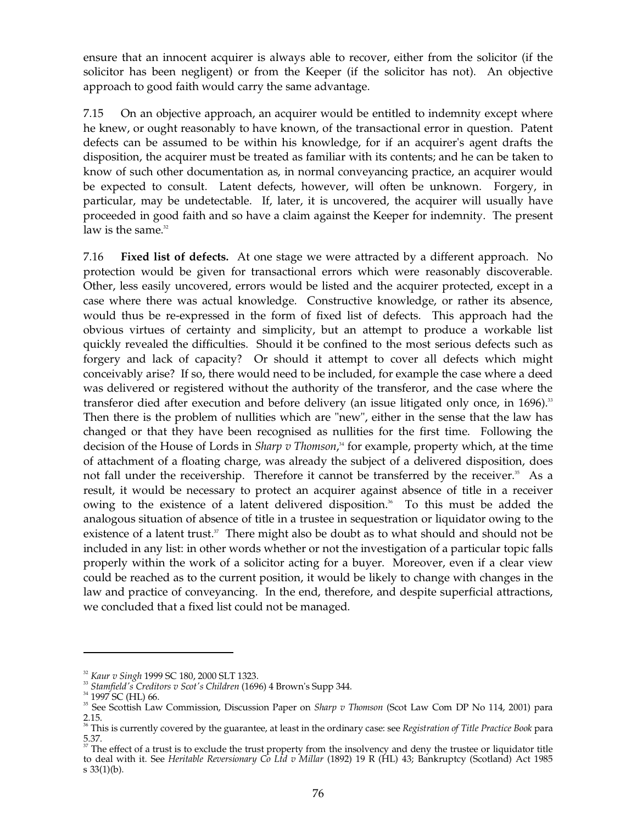ensure that an innocent acquirer is always able to recover, either from the solicitor (if the solicitor has been negligent) or from the Keeper (if the solicitor has not). An objective approach to good faith would carry the same advantage.

7.15 On an objective approach, an acquirer would be entitled to indemnity except where he knew, or ought reasonably to have known, of the transactional error in question. Patent defects can be assumed to be within his knowledge, for if an acquirer's agent drafts the disposition, the acquirer must be treated as familiar with its contents; and he can be taken to know of such other documentation as, in normal conveyancing practice, an acquirer would be expected to consult. Latent defects, however, will often be unknown. Forgery, in particular, may be undetectable. If, later, it is uncovered, the acquirer will usually have proceeded in good faith and so have a claim against the Keeper for indemnity. The present law is the same. 32

7.16 **Fixed list of defects.** At one stage we were attracted by a different approach. No protection would be given for transactional errors which were reasonably discoverable. Other, less easily uncovered, errors would be listed and the acquirer protected, except in a case where there was actual knowledge. Constructive knowledge, or rather its absence, would thus be re-expressed in the form of fixed list of defects. This approach had the obvious virtues of certainty and simplicity, but an attempt to produce a workable list quickly revealed the difficulties. Should it be confined to the most serious defects such as forgery and lack of capacity? Or should it attempt to cover all defects which might conceivably arise? If so, there would need to be included, for example the case where a deed was delivered or registered without the authority of the transferor, and the case where the transferor died after execution and before delivery (an issue litigated only once, in 1696).<sup>33</sup> Then there is the problem of nullities which are "new", either in the sense that the law has changed or that they have been recognised as nullities for the first time. Following the decision of the House of Lords in *Sharp v Thomson*, 34 for example, property which, at the time of attachment of a floating charge, was already the subject of a delivered disposition, does not fall under the receivership. Therefore it cannot be transferred by the receiver.<sup>35</sup> As a result, it would be necessary to protect an acquirer against absence of title in a receiver owing to the existence of a latent delivered disposition. 36 To this must be added the analogous situation of absence of title in a trustee in sequestration or liquidator owing to the existence of a latent trust.<sup>37</sup> There might also be doubt as to what should and should not be included in any list: in other words whether or not the investigation of a particular topic falls properly within the work of a solicitor acting for a buyer. Moreover, even if a clear view could be reached as to the current position, it would be likely to change with changes in the law and practice of conveyancing. In the end, therefore, and despite superficial attractions, we concluded that a fixed list could not be managed.

<sup>32</sup>*Kaur v Singh* 1999 SC 180, 2000 SLT 1323.

<sup>33</sup>*Stamfield's Creditors v Scot's Children* (1696) 4 Brown's Supp 344.

<sup>&</sup>lt;sup>34</sup> 1997 SC (HL) 66.

35 See Scottish Law Commission, Discussion Paper on *Sharp v Thomson* (Scot Law Com DP No 114, 2001) para 2.15. 36 This is currently covered by the guarantee, at least in the ordinary case: see *Registration of Title Practice Book* para

<sup>5.37.</sup> 

 $37$  The effect of a trust is to exclude the trust property from the insolvency and deny the trustee or liquidator title to deal with it. See *Heritable Reversionary Co Ltd v Millar* (1892) 19 R (HL) 43; Bankruptcy (Scotland) Act 1985 s 33(1)(b).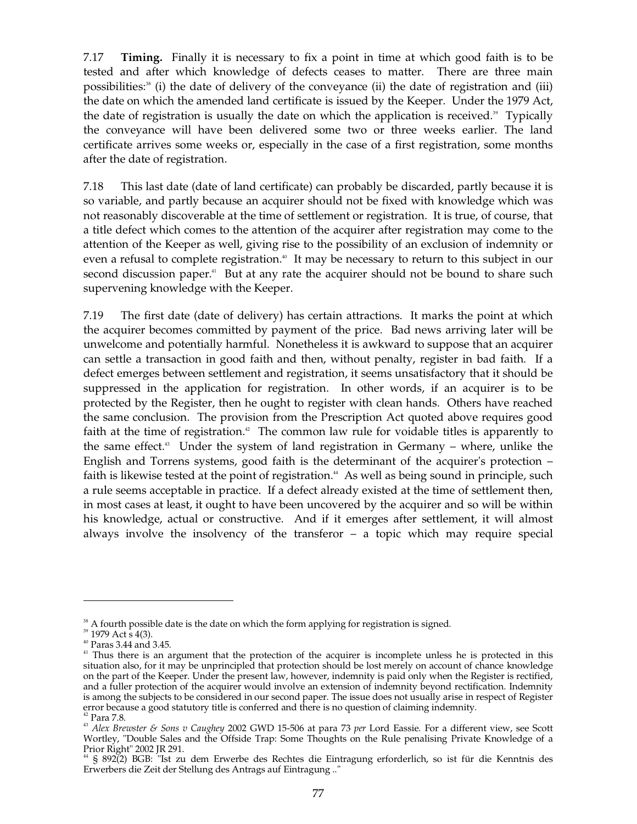7.17 **Timing.** Finally it is necessary to fix a point in time at which good faith is to be tested and after which knowledge of defects ceases to matter. There are three main possibilities: 38 (i) the date of delivery of the conveyance (ii) the date of registration and (iii) the date on which the amended land certificate is issued by the Keeper. Under the 1979 Act, the date of registration is usually the date on which the application is received.<sup>39</sup> Typically the conveyance will have been delivered some two or three weeks earlier. The land certificate arrives some weeks or, especially in the case of a first registration, some months after the date of registration.

7.18 This last date (date of land certificate) can probably be discarded, partly because it is so variable, and partly because an acquirer should not be fixed with knowledge which was not reasonably discoverable at the time of settlement or registration. It is true, of course, that a title defect which comes to the attention of the acquirer after registration may come to the attention of the Keeper as well, giving rise to the possibility of an exclusion of indemnity or even a refusal to complete registration.<sup>40</sup> It may be necessary to return to this subject in our second discussion paper.<sup>41</sup> But at any rate the acquirer should not be bound to share such supervening knowledge with the Keeper.

7.19 The first date (date of delivery) has certain attractions. It marks the point at which the acquirer becomes committed by payment of the price. Bad news arriving later will be unwelcome and potentially harmful. Nonetheless it is awkward to suppose that an acquirer can settle a transaction in good faith and then, without penalty, register in bad faith. If a defect emerges between settlement and registration, it seems unsatisfactory that it should be suppressed in the application for registration. In other words, if an acquirer is to be protected by the Register, then he ought to register with clean hands. Others have reached the same conclusion. The provision from the Prescription Act quoted above requires good faith at the time of registration.<sup>42</sup> The common law rule for voidable titles is apparently to the same effect. 43 Under the system of land registration in Germany – where, unlike the English and Torrens systems, good faith is the determinant of the acquirer's protection – faith is likewise tested at the point of registration.<sup>44</sup> As well as being sound in principle, such a rule seems acceptable in practice. If a defect already existed at the time of settlement then, in most cases at least, it ought to have been uncovered by the acquirer and so will be within his knowledge, actual or constructive. And if it emerges after settlement, it will almost always involve the insolvency of the transferor  $-$  a topic which may require special

 $38$  A fourth possible date is the date on which the form applying for registration is signed.

<sup>&</sup>lt;sup>39</sup> 1979 Act s 4(3).

40 Paras 3.44 and 3.45.

<sup>&</sup>lt;sup>41</sup> Thus there is an argument that the protection of the acquirer is incomplete unless he is protected in this situation also, for it may be unprincipled that protection should be lost merely on account of chance knowledge on the part of the Keeper. Under the present law, however, indemnity is paid only when the Register is rectified, and a fuller protection of the acquirer would involve an extension of indemnity beyond rectification. Indemnity is among the subjects to be considered in our second paper. The issue does not usually arise in respect of Register

<sup>&</sup>lt;sup>42</sup> Para 7.8.<br><sup>43</sup> Alex Brewster & Sons v Caughey 2002 GWD 15-506 at para 73 per Lord Eassie. For a different view, see Scott Wortley, "Double Sales and the Offside Trap: Some Thoughts on the Rule penalising Private Knowledge of a

<sup>&</sup>lt;sup>44</sup> § 892(2) BGB: "Ist zu dem Erwerbe des Rechtes die Eintragung erforderlich, so ist für die Kenntnis des Erwerbers die Zeit der Stellung des Antrags auf Eintragung .."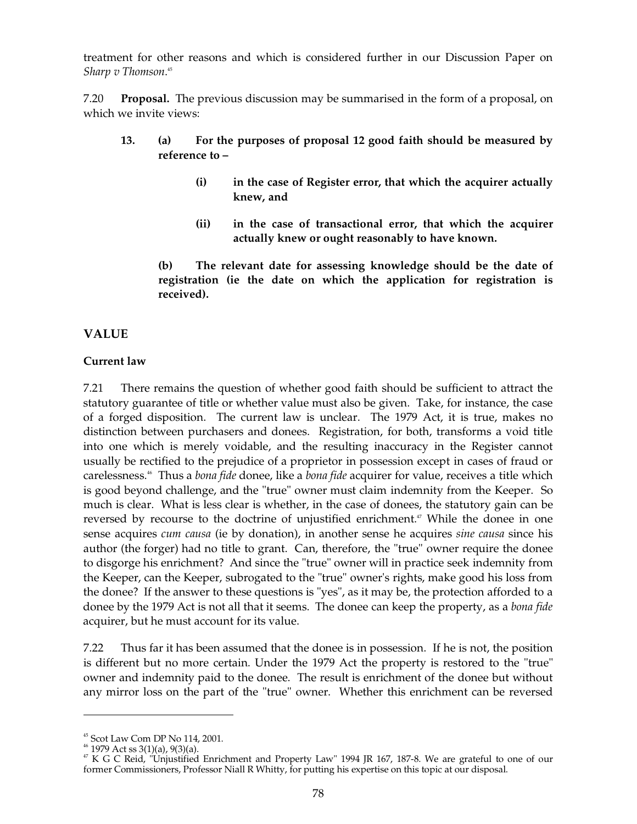treatment for other reasons and which is considered further in our Discussion Paper on *Sharp v Thomson*. 45

7.20 **Proposal.** The previous discussion may be summarised in the form of a proposal, on which we invite views:

- **13. (a) For the purposes of proposal 12 good faith should be measured by reference to –** 
	- **(i) in the case of Register error, that which the acquirer actually knew, and**
	- **(ii) in the case of transactional error, that which the acquirer actually knew or ought reasonably to have known.**

**(b) The relevant date for assessing knowledge should be the date of registration (ie the date on which the application for registration is received).** 

## **VALUE**

## **Current law**

7.21 There remains the question of whether good faith should be sufficient to attract the statutory guarantee of title or whether value must also be given. Take, for instance, the case of a forged disposition. The current law is unclear. The 1979 Act, it is true, makes no distinction between purchasers and donees. Registration, for both, transforms a void title into one which is merely voidable, and the resulting inaccuracy in the Register cannot usually be rectified to the prejudice of a proprietor in possession except in cases of fraud or carelessness. 46 Thus a *bona fide* donee, like a *bona fide* acquirer for value, receives a title which is good beyond challenge, and the "true" owner must claim indemnity from the Keeper. So much is clear. What is less clear is whether, in the case of donees, the statutory gain can be reversed by recourse to the doctrine of unjustified enrichment. 47 While the donee in one sense acquires *cum causa* (ie by donation), in another sense he acquires *sine causa* since his author (the forger) had no title to grant. Can, therefore, the "true" owner require the donee to disgorge his enrichment? And since the "true" owner will in practice seek indemnity from the Keeper, can the Keeper, subrogated to the "true" owner's rights, make good his loss from the donee? If the answer to these questions is "yes", as it may be, the protection afforded to a donee by the 1979 Act is not all that it seems. The donee can keep the property, as a *bona fide*  acquirer, but he must account for its value.

7.22 Thus far it has been assumed that the donee is in possession. If he is not, the position is different but no more certain. Under the 1979 Act the property is restored to the "true" owner and indemnity paid to the donee. The result is enrichment of the donee but without any mirror loss on the part of the "true" owner. Whether this enrichment can be reversed

<sup>&</sup>lt;sup>45</sup> Scot Law Com DP No 114, 2001.<br><sup>46</sup> 1979 Act ss 3(1)(a), 9(3)(a).<br><sup>47</sup> K G C Reid, "Unjustified Enrichment and Property Law" 1994 JR 167, 187-8. We are grateful to one of our former Commissioners, Professor Niall R Whitty, for putting his expertise on this topic at our disposal.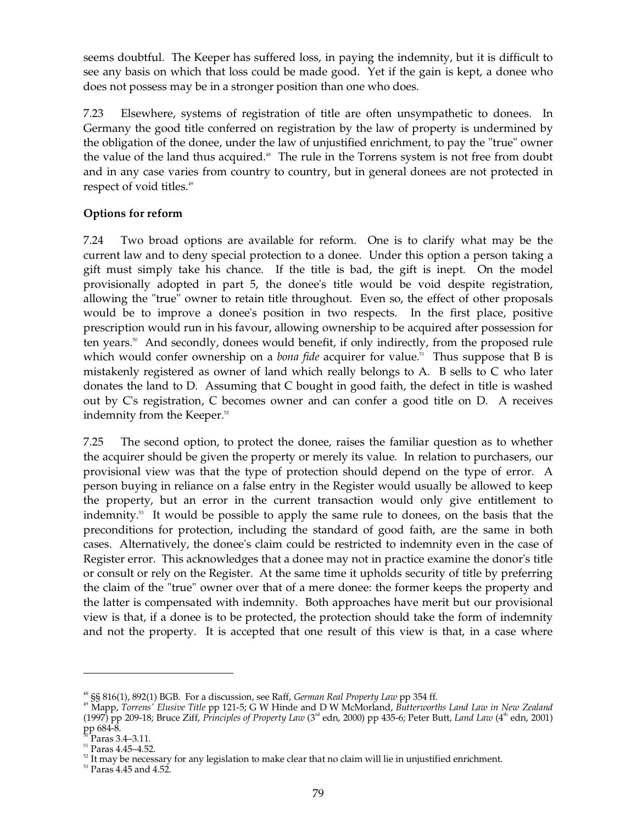seems doubtful. The Keeper has suffered loss, in paying the indemnity, but it is difficult to see any basis on which that loss could be made good. Yet if the gain is kept, a donee who does not possess may be in a stronger position than one who does.

7.23 Elsewhere, systems of registration of title are often unsympathetic to donees. In Germany the good title conferred on registration by the law of property is undermined by the obligation of the donee, under the law of unjustified enrichment, to pay the "true" owner the value of the land thus acquired. 48 The rule in the Torrens system is not free from doubt and in any case varies from country to country, but in general donees are not protected in respect of void titles. 49

## **Options for reform**

7.24 Two broad options are available for reform. One is to clarify what may be the current law and to deny special protection to a donee. Under this option a person taking a gift must simply take his chance. If the title is bad, the gift is inept. On the model provisionally adopted in part 5, the donee's title would be void despite registration, allowing the "true" owner to retain title throughout. Even so, the effect of other proposals would be to improve a donee's position in two respects. In the first place, positive prescription would run in his favour, allowing ownership to be acquired after possession for ten years.<sup>50</sup> And secondly, donees would benefit, if only indirectly, from the proposed rule which would confer ownership on a *bona fide* acquirer for value.<sup>51</sup> Thus suppose that B is mistakenly registered as owner of land which really belongs to A. B sells to C who later donates the land to D. Assuming that C bought in good faith, the defect in title is washed out by C's registration, C becomes owner and can confer a good title on D. A receives indemnity from the Keeper. 52

7.25 The second option, to protect the donee, raises the familiar question as to whether the acquirer should be given the property or merely its value. In relation to purchasers, our provisional view was that the type of protection should depend on the type of error. A person buying in reliance on a false entry in the Register would usually be allowed to keep the property, but an error in the current transaction would only give entitlement to indemnity. 53 It would be possible to apply the same rule to donees, on the basis that the preconditions for protection, including the standard of good faith, are the same in both cases. Alternatively, the donee's claim could be restricted to indemnity even in the case of Register error. This acknowledges that a donee may not in practice examine the donor's title or consult or rely on the Register. At the same time it upholds security of title by preferring the claim of the "true" owner over that of a mere donee: the former keeps the property and the latter is compensated with indemnity. Both approaches have merit but our provisional view is that, if a donee is to be protected, the protection should take the form of indemnity and not the property. It is accepted that one result of this view is that, in a case where

<sup>&</sup>lt;sup>48</sup> §§ 816(1), 892(1) BGB. For a discussion, see Raff, *German Real Property Law* pp 354 ff.<br><sup>49</sup> Mapp, *Torrens' Elusive Title pp 121-5; G W Hinde and D W McMorland, <i>Butterworths Land Law in New Zealand*  $(1997)$  pp 209-18; Bruce Ziff, *Principles of Property Law*  $(3<sup>rd</sup>$  edn, 2000) pp 435-6; Peter Butt, *Land Law*  $(4<sup>th</sup>$  edn, 2001) pp 684-8.<br><sup>50</sup> Paras 3.4–3.11.<br><sup>51</sup> Paras 4.45–4.52.<br><sup>52</sup> It may be necessary for any legislation to make clear that no claim will lie in unjustified enrichment.<br><sup>53</sup> Paras 4.45 and 4.52.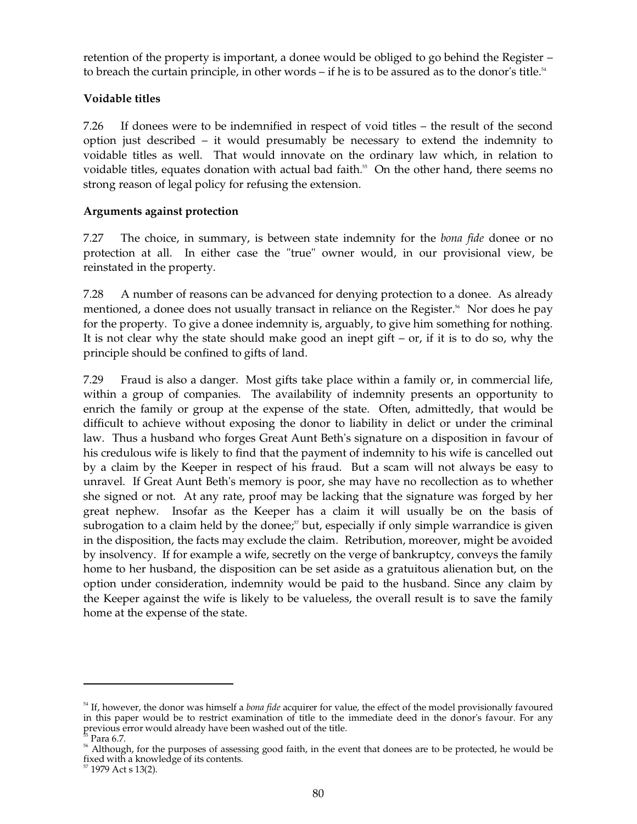retention of the property is important, a donee would be obliged to go behind the Register – to breach the curtain principle, in other words – if he is to be assured as to the donor's title.<sup>54</sup>

## **Voidable titles**

7.26 If donees were to be indemnified in respect of void titles – the result of the second option just described – it would presumably be necessary to extend the indemnity to voidable titles as well. That would innovate on the ordinary law which, in relation to voidable titles, equates donation with actual bad faith. 55 On the other hand, there seems no strong reason of legal policy for refusing the extension.

## **Arguments against protection**

7.27 The choice, in summary, is between state indemnity for the *bona fide* donee or no protection at all. In either case the "true" owner would, in our provisional view, be reinstated in the property.

7.28 A number of reasons can be advanced for denying protection to a donee. As already mentioned, a donee does not usually transact in reliance on the Register.<sup>56</sup> Nor does he pay for the property. To give a donee indemnity is, arguably, to give him something for nothing. It is not clear why the state should make good an inept  $g$ ift – or, if it is to do so, why the principle should be confined to gifts of land.

7.29 Fraud is also a danger. Most gifts take place within a family or, in commercial life, within a group of companies. The availability of indemnity presents an opportunity to enrich the family or group at the expense of the state. Often, admittedly, that would be difficult to achieve without exposing the donor to liability in delict or under the criminal law. Thus a husband who forges Great Aunt Beth's signature on a disposition in favour of his credulous wife is likely to find that the payment of indemnity to his wife is cancelled out by a claim by the Keeper in respect of his fraud. But a scam will not always be easy to unravel. If Great Aunt Beth's memory is poor, she may have no recollection as to whether she signed or not. At any rate, proof may be lacking that the signature was forged by her great nephew. Insofar as the Keeper has a claim it will usually be on the basis of subrogation to a claim held by the donee;<sup>*n*</sup> but, especially if only simple warrandice is given in the disposition, the facts may exclude the claim. Retribution, moreover, might be avoided by insolvency. If for example a wife, secretly on the verge of bankruptcy, conveys the family home to her husband, the disposition can be set aside as a gratuitous alienation but, on the option under consideration, indemnity would be paid to the husband. Since any claim by the Keeper against the wife is likely to be valueless, the overall result is to save the family home at the expense of the state.

<sup>54</sup> If, however, the donor was himself a *bona fide* acquirer for value, the effect of the model provisionally favoured in this paper would be to restrict examination of title to the immediate deed in the donor's favour. For any previous error would already have been washed out of the title.

<sup>55</sup> Para 6.7.

<sup>&</sup>lt;sup>56</sup> Although, for the purposes of assessing good faith, in the event that donees are to be protected, he would be fixed with a knowledge of its contents. 57 1979 Act s 13(2).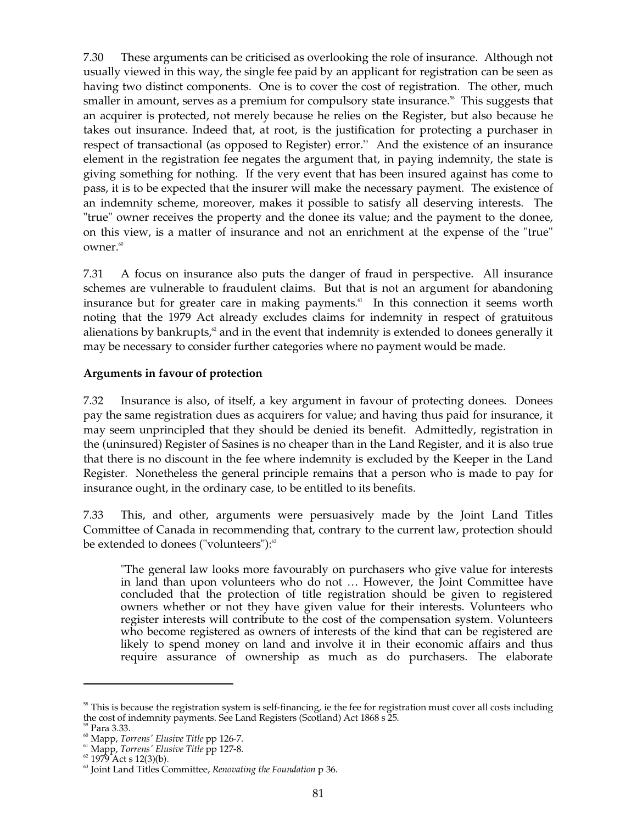7.30 These arguments can be criticised as overlooking the role of insurance. Although not usually viewed in this way, the single fee paid by an applicant for registration can be seen as having two distinct components. One is to cover the cost of registration. The other, much smaller in amount, serves as a premium for compulsory state insurance.<sup>58</sup> This suggests that an acquirer is protected, not merely because he relies on the Register, but also because he takes out insurance. Indeed that, at root, is the justification for protecting a purchaser in respect of transactional (as opposed to Register) error. 59 And the existence of an insurance element in the registration fee negates the argument that, in paying indemnity, the state is giving something for nothing. If the very event that has been insured against has come to pass, it is to be expected that the insurer will make the necessary payment. The existence of an indemnity scheme, moreover, makes it possible to satisfy all deserving interests. The "true" owner receives the property and the donee its value; and the payment to the donee, on this view, is a matter of insurance and not an enrichment at the expense of the "true" owner. 60

7.31 A focus on insurance also puts the danger of fraud in perspective. All insurance schemes are vulnerable to fraudulent claims. But that is not an argument for abandoning insurance but for greater care in making payments. 61 In this connection it seems worth noting that the 1979 Act already excludes claims for indemnity in respect of gratuitous alienations by bankrupts,<sup>2</sup> and in the event that indemnity is extended to donees generally it may be necessary to consider further categories where no payment would be made.

### **Arguments in favour of protection**

7.32 Insurance is also, of itself, a key argument in favour of protecting donees. Donees pay the same registration dues as acquirers for value; and having thus paid for insurance, it may seem unprincipled that they should be denied its benefit. Admittedly, registration in the (uninsured) Register of Sasines is no cheaper than in the Land Register, and it is also true that there is no discount in the fee where indemnity is excluded by the Keeper in the Land Register. Nonetheless the general principle remains that a person who is made to pay for insurance ought, in the ordinary case, to be entitled to its benefits.

7.33 This, and other, arguments were persuasively made by the Joint Land Titles Committee of Canada in recommending that, contrary to the current law, protection should be extended to donees ("volunteers"): 63

"The general law looks more favourably on purchasers who give value for interests in land than upon volunteers who do not … However, the Joint Committee have concluded that the protection of title registration should be given to registered owners whether or not they have given value for their interests. Volunteers who register interests will contribute to the cost of the compensation system. Volunteers who become registered as owners of interests of the kind that can be registered are likely to spend money on land and involve it in their economic affairs and thus require assurance of ownership as much as do purchasers. The elaborate

 $58$  This is because the registration system is self-financing, ie the fee for registration must cover all costs including the cost of indemnity payments. See Land Registers (Scotland) Act 1868 s 25.

<sup>59</sup> Para 3.33.

60 Mapp, *Torrens' Elusive Title* pp 126-7.

<sup>61</sup> Mapp, *Torrens' Elusive Title* pp 127-8.

 $62$  1979 Act s 12(3)(b).

<sup>63</sup> Joint Land Titles Committee, *Renovating the Foundation* p 36.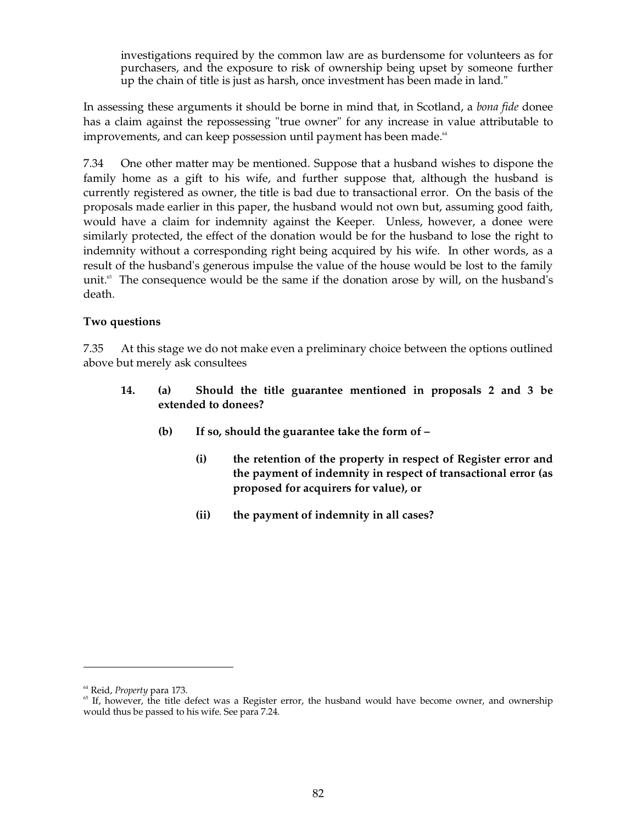investigations required by the common law are as burdensome for volunteers as for purchasers, and the exposure to risk of ownership being upset by someone further up the chain of title is just as harsh, once investment has been made in land."

In assessing these arguments it should be borne in mind that, in Scotland, a *bona fide* donee has a claim against the repossessing "true owner" for any increase in value attributable to improvements, and can keep possession until payment has been made. $^{\textrm{\tiny{64}}}$ 

7.34 One other matter may be mentioned. Suppose that a husband wishes to dispone the family home as a gift to his wife, and further suppose that, although the husband is currently registered as owner, the title is bad due to transactional error. On the basis of the proposals made earlier in this paper, the husband would not own but, assuming good faith, would have a claim for indemnity against the Keeper. Unless, however, a donee were similarly protected, the effect of the donation would be for the husband to lose the right to indemnity without a corresponding right being acquired by his wife. In other words, as a result of the husband's generous impulse the value of the house would be lost to the family unit. 65 The consequence would be the same if the donation arose by will, on the husband's death.

### **Two questions**

7.35 At this stage we do not make even a preliminary choice between the options outlined above but merely ask consultees

- **14. (a) Should the title guarantee mentioned in proposals 2 and 3 be extended to donees?** 
	- **(b) If so, should the guarantee take the form of** 
		- **(i) the retention of the property in respect of Register error and the payment of indemnity in respect of transactional error (as proposed for acquirers for value), or**
		- **(ii) the payment of indemnity in all cases?**

<sup>64</sup> Reid, *Property* para 173.

 $<sup>65</sup>$  If, however, the title defect was a Register error, the husband would have become owner, and ownership</sup> would thus be passed to his wife. See para 7.24.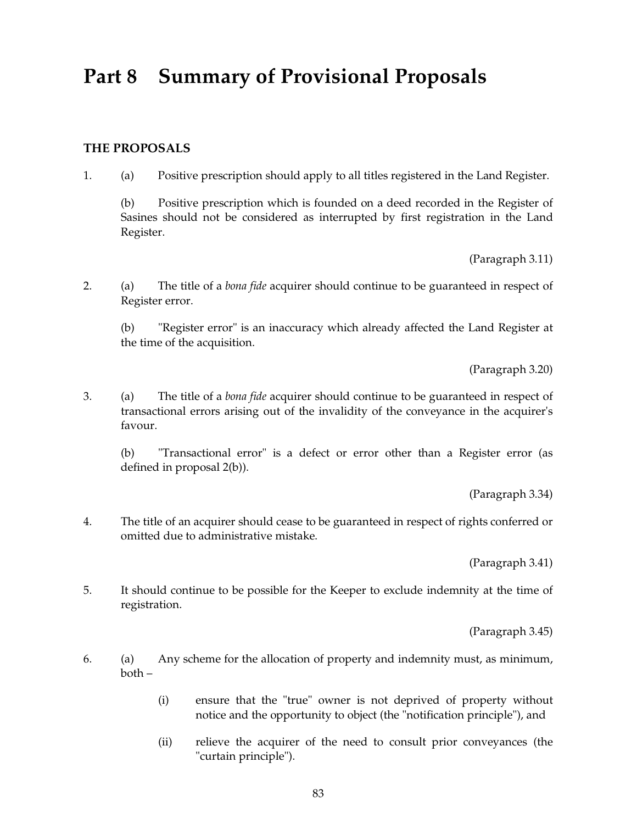# **Part 8 Summary of Provisional Proposals**

## **THE PROPOSALS**

1. (a) Positive prescription should apply to all titles registered in the Land Register.

(b) Positive prescription which is founded on a deed recorded in the Register of Sasines should not be considered as interrupted by first registration in the Land Register.

(Paragraph 3.11)

2. (a) The title of a *bona fide* acquirer should continue to be guaranteed in respect of Register error.

(b) "Register error" is an inaccuracy which already affected the Land Register at the time of the acquisition.

(Paragraph 3.20)

3. (a) The title of a *bona fide* acquirer should continue to be guaranteed in respect of transactional errors arising out of the invalidity of the conveyance in the acquirer's favour.

(b) "Transactional error" is a defect or error other than a Register error (as defined in proposal 2(b)).

(Paragraph 3.34)

4. The title of an acquirer should cease to be guaranteed in respect of rights conferred or omitted due to administrative mistake.

(Paragraph 3.41)

5. It should continue to be possible for the Keeper to exclude indemnity at the time of registration.

(Paragraph 3.45)

- 6. (a) Any scheme for the allocation of property and indemnity must, as minimum, both –
	- (i) ensure that the "true" owner is not deprived of property without notice and the opportunity to object (the "notification principle"), and
	- (ii) relieve the acquirer of the need to consult prior conveyances (the "curtain principle").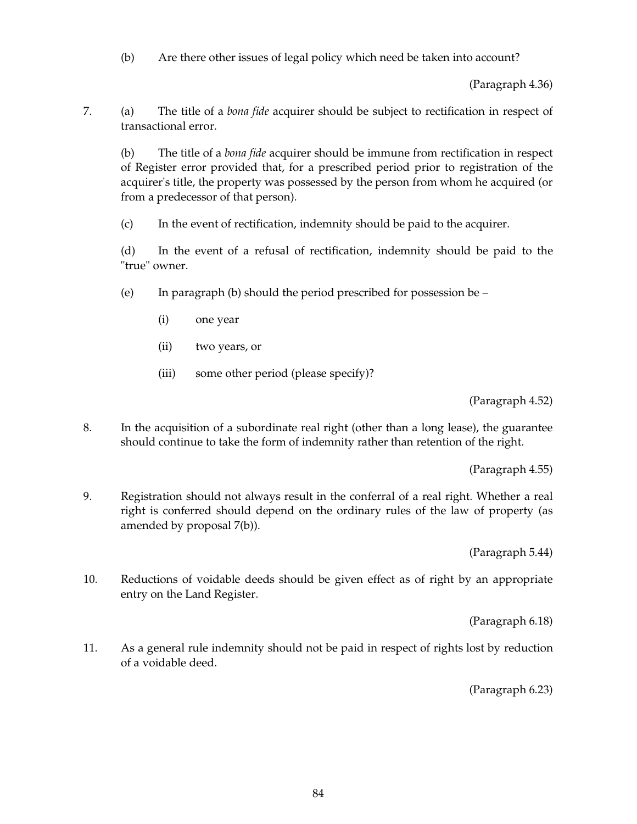(b) Are there other issues of legal policy which need be taken into account?

(Paragraph 4.36)

7. (a) The title of a *bona fide* acquirer should be subject to rectification in respect of transactional error.

(b) The title of a *bona fide* acquirer should be immune from rectification in respect of Register error provided that, for a prescribed period prior to registration of the acquirer's title, the property was possessed by the person from whom he acquired (or from a predecessor of that person).

(c) In the event of rectification, indemnity should be paid to the acquirer.

(d) In the event of a refusal of rectification, indemnity should be paid to the "true" owner.

- (e) In paragraph (b) should the period prescribed for possession be  $-$ 
	- (i) one year
	- (ii) two years, or
	- (iii) some other period (please specify)?

(Paragraph 4.52)

8. In the acquisition of a subordinate real right (other than a long lease), the guarantee should continue to take the form of indemnity rather than retention of the right.

(Paragraph 4.55)

9. Registration should not always result in the conferral of a real right. Whether a real right is conferred should depend on the ordinary rules of the law of property (as amended by proposal 7(b)).

(Paragraph 5.44)

10. Reductions of voidable deeds should be given effect as of right by an appropriate entry on the Land Register.

(Paragraph 6.18)

11. As a general rule indemnity should not be paid in respect of rights lost by reduction of a voidable deed.

(Paragraph 6.23)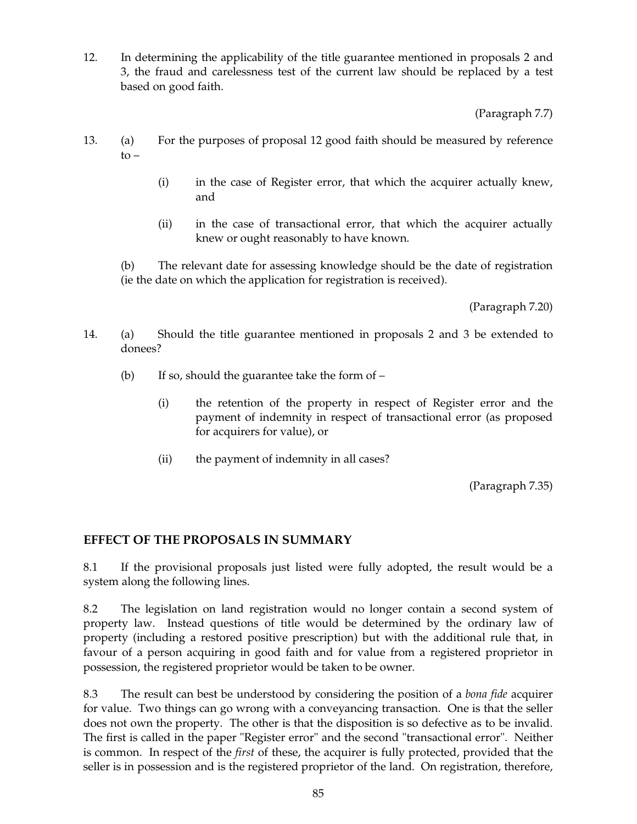12. In determining the applicability of the title guarantee mentioned in proposals 2 and 3, the fraud and carelessness test of the current law should be replaced by a test based on good faith.

(Paragraph 7.7)

- 13. (a) For the purposes of proposal 12 good faith should be measured by reference to –
	- (i) in the case of Register error, that which the acquirer actually knew, and
	- (ii) in the case of transactional error, that which the acquirer actually knew or ought reasonably to have known.

(b) The relevant date for assessing knowledge should be the date of registration (ie the date on which the application for registration is received).

(Paragraph 7.20)

- 14. (a) Should the title guarantee mentioned in proposals 2 and 3 be extended to donees?
	- (b) If so, should the guarantee take the form of  $-$ 
		- (i) the retention of the property in respect of Register error and the payment of indemnity in respect of transactional error (as proposed for acquirers for value), or
		- (ii) the payment of indemnity in all cases?

(Paragraph 7.35)

## **EFFECT OF THE PROPOSALS IN SUMMARY**

8.1 If the provisional proposals just listed were fully adopted, the result would be a system along the following lines.

8.2 The legislation on land registration would no longer contain a second system of property law. Instead questions of title would be determined by the ordinary law of property (including a restored positive prescription) but with the additional rule that, in favour of a person acquiring in good faith and for value from a registered proprietor in possession, the registered proprietor would be taken to be owner.

8.3 The result can best be understood by considering the position of a *bona fide* acquirer for value. Two things can go wrong with a conveyancing transaction. One is that the seller does not own the property. The other is that the disposition is so defective as to be invalid. The first is called in the paper "Register error" and the second "transactional error". Neither is common. In respect of the *first* of these, the acquirer is fully protected, provided that the seller is in possession and is the registered proprietor of the land. On registration, therefore,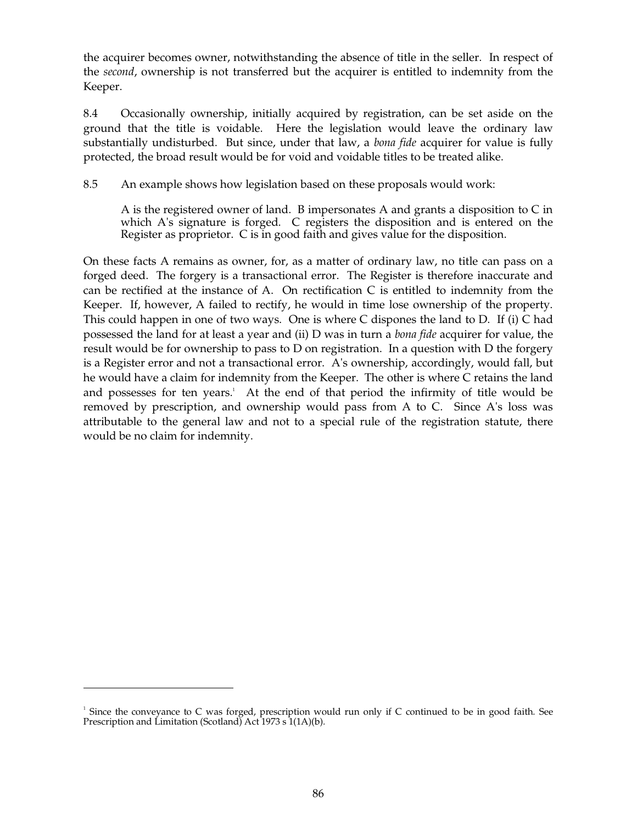the acquirer becomes owner, notwithstanding the absence of title in the seller. In respect of the *second*, ownership is not transferred but the acquirer is entitled to indemnity from the Keeper.

8.4 Occasionally ownership, initially acquired by registration, can be set aside on the ground that the title is voidable. Here the legislation would leave the ordinary law substantially undisturbed. But since, under that law, a *bona fide* acquirer for value is fully protected, the broad result would be for void and voidable titles to be treated alike.

8.5 An example shows how legislation based on these proposals would work:

A is the registered owner of land. B impersonates A and grants a disposition to C in which A's signature is forged. C registers the disposition and is entered on the Register as proprietor. C is in good faith and gives value for the disposition.

On these facts A remains as owner, for, as a matter of ordinary law, no title can pass on a forged deed. The forgery is a transactional error. The Register is therefore inaccurate and can be rectified at the instance of A. On rectification C is entitled to indemnity from the Keeper. If, however, A failed to rectify, he would in time lose ownership of the property. This could happen in one of two ways. One is where C dispones the land to D. If (i) C had possessed the land for at least a year and (ii) D was in turn a *bona fide* acquirer for value, the result would be for ownership to pass to D on registration. In a question with D the forgery is a Register error and not a transactional error. A's ownership, accordingly, would fall, but he would have a claim for indemnity from the Keeper. The other is where C retains the land and possesses for ten years. 1 At the end of that period the infirmity of title would be removed by prescription, and ownership would pass from A to C. Since A's loss was attributable to the general law and not to a special rule of the registration statute, there would be no claim for indemnity.

Since the conveyance to C was forged, prescription would run only if C continued to be in good faith. See Prescription and Limitation (Scotland) Act 1973 s 1(1A)(b). 1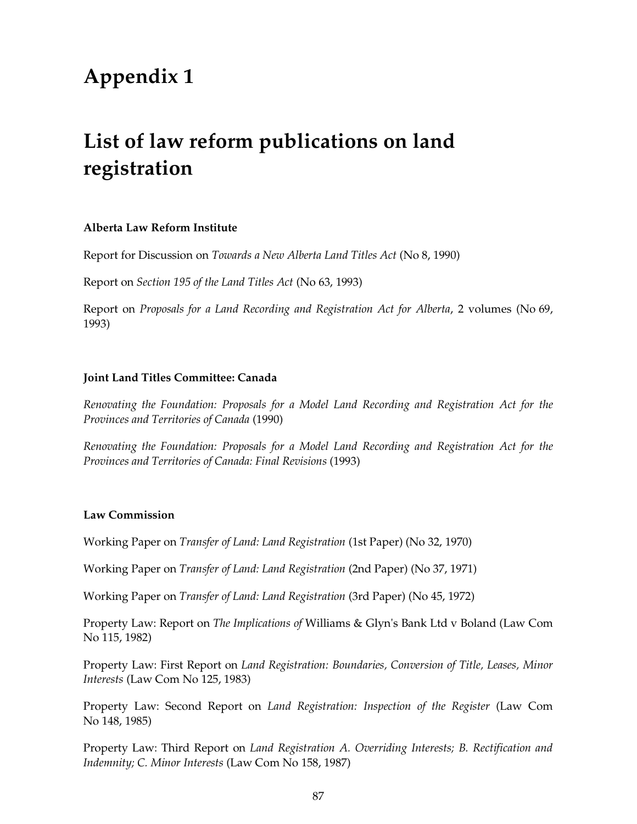# **Appendix 1**

# **List of law reform publications on land registration**

#### **Alberta Law Reform Institute**

Report for Discussion on *Towards a New Alberta Land Titles Act* (No 8, 1990)

Report on *Section 195 of the Land Titles Act* (No 63, 1993)

Report on *Proposals for a Land Recording and Registration Act for Alberta*, 2 volumes (No 69, 1993)

#### **Joint Land Titles Committee: Canada**

*Renovating the Foundation: Proposals for a Model Land Recording and Registration Act for the Provinces and Territories of Canada* (1990)

*Renovating the Foundation: Proposals for a Model Land Recording and Registration Act for the Provinces and Territories of Canada: Final Revisions* (1993)

#### **Law Commission**

Working Paper on *Transfer of Land: Land Registration* (1st Paper) (No 32, 1970)

Working Paper on *Transfer of Land: Land Registration* (2nd Paper) (No 37, 1971)

Working Paper on *Transfer of Land: Land Registration* (3rd Paper) (No 45, 1972)

Property Law: Report on *The Implications of* Williams & Glyn's Bank Ltd v Boland (Law Com No 115, 1982)

Property Law: First Report on *Land Registration: Boundaries, Conversion of Title, Leases, Minor Interests* (Law Com No 125, 1983)

Property Law: Second Report on *Land Registration: Inspection of the Register* (Law Com No 148, 1985)

Property Law: Third Report on *Land Registration A. Overriding Interests; B. Rectification and Indemnity; C. Minor Interests* (Law Com No 158, 1987)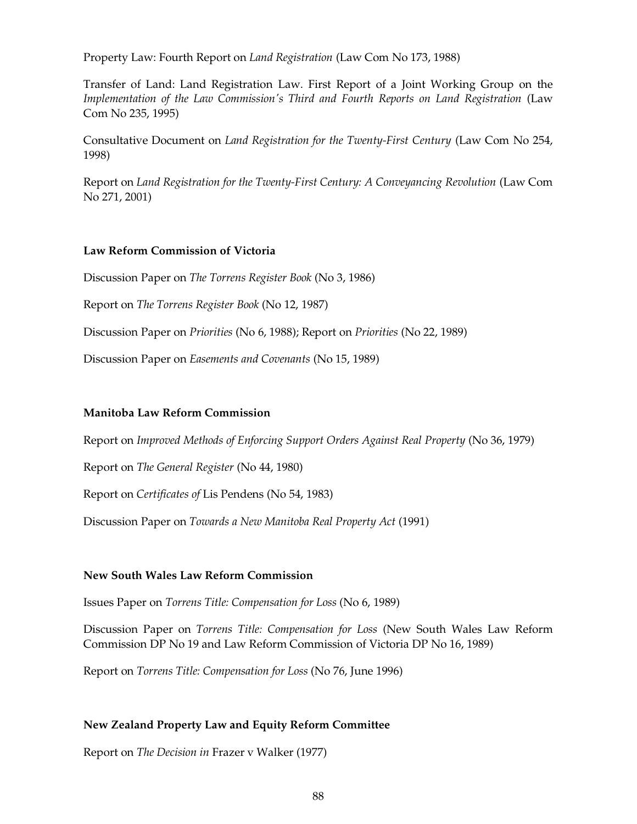Property Law: Fourth Report on *Land Registration* (Law Com No 173, 1988)

Transfer of Land: Land Registration Law. First Report of a Joint Working Group on the *Implementation of the Law Commission's Third and Fourth Reports on Land Registration* (Law Com No 235, 1995)

Consultative Document on *Land Registration for the Twenty-First Century* (Law Com No 254, 1998)

Report on *Land Registration for the Twenty-First Century: A Conveyancing Revolution* (Law Com No 271, 2001)

#### **Law Reform Commission of Victoria**

Discussion Paper on *The Torrens Register Book* (No 3, 1986)

Report on *The Torrens Register Book* (No 12, 1987)

Discussion Paper on *Priorities* (No 6, 1988); Report on *Priorities* (No 22, 1989)

Discussion Paper on *Easements and Covenants* (No 15, 1989)

### **Manitoba Law Reform Commission**

Report on *Improved Methods of Enforcing Support Orders Against Real Property* (No 36, 1979)

Report on *The General Register* (No 44, 1980)

Report on *Certificates of* Lis Pendens (No 54, 1983)

Discussion Paper on *Towards a New Manitoba Real Property Act* (1991)

#### **New South Wales Law Reform Commission**

Issues Paper on *Torrens Title: Compensation for Loss* (No 6, 1989)

Discussion Paper on *Torrens Title: Compensation for Loss* (New South Wales Law Reform Commission DP No 19 and Law Reform Commission of Victoria DP No 16, 1989)

Report on *Torrens Title: Compensation for Loss* (No 76, June 1996)

### **New Zealand Property Law and Equity Reform Committee**

Report on *The Decision in* Frazer v Walker (1977)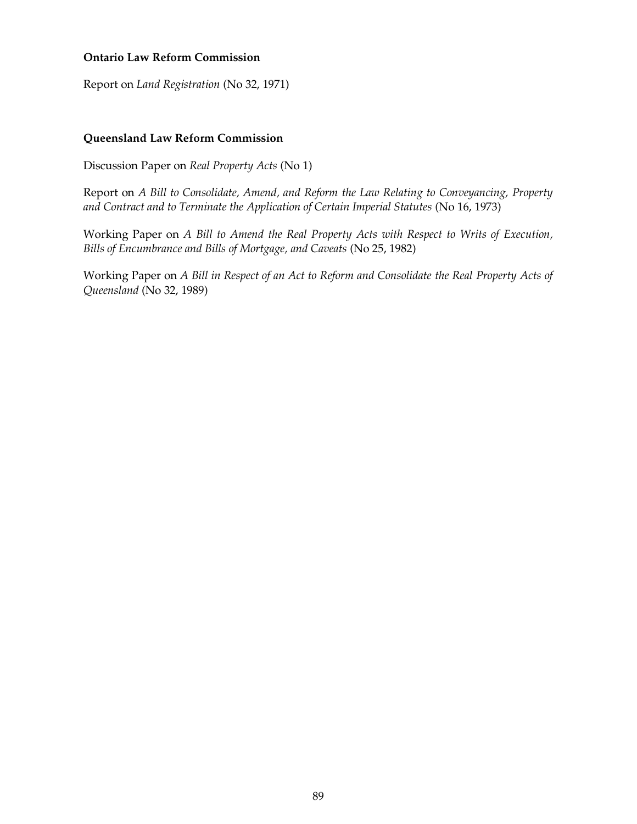### **Ontario Law Reform Commission**

Report on *Land Registration* (No 32, 1971)

#### **Queensland Law Reform Commission**

Discussion Paper on *Real Property Acts* (No 1)

Report on *A Bill to Consolidate, Amend, and Reform the Law Relating to Conveyancing, Property*  and Contract and to Terminate the Application of Certain Imperial Statutes (No 16, 1973)

Working Paper on *A Bill to Amend the Real Property Acts with Respect to Writs of Execution, Bills of Encumbrance and Bills of Mortgage, and Caveats* (No 25, 1982)

Working Paper on *A Bill in Respect of an Act to Reform and Consolidate the Real Property Acts of Queensland* (No 32, 1989)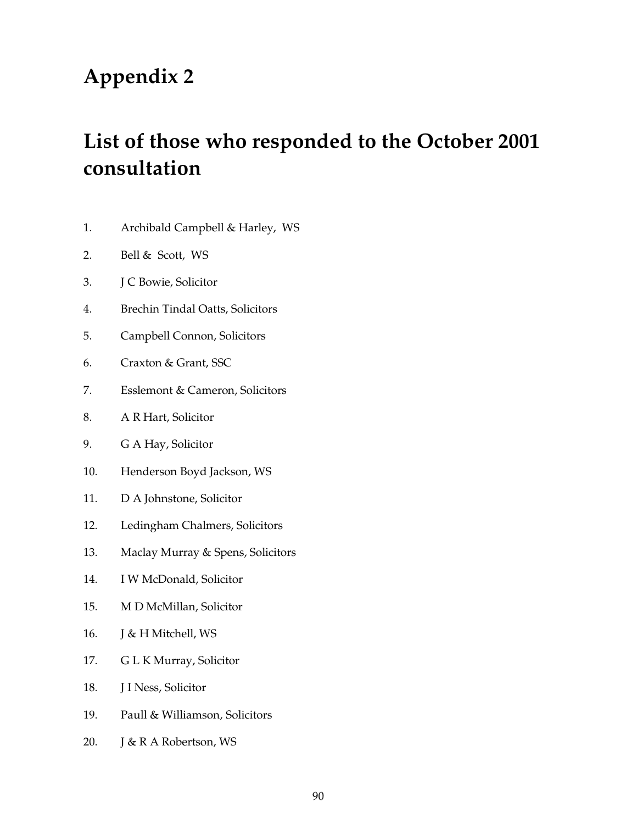# **Appendix 2**

# **List of those who responded to the October 2001 consultation**

- 1. Archibald Campbell & Harley, WS
- 2. Bell & Scott, WS
- 3. J C Bowie, Solicitor
- 4. Brechin Tindal Oatts, Solicitors
- 5. Campbell Connon, Solicitors
- 6. Craxton & Grant, SSC
- 7. Esslemont & Cameron, Solicitors
- 8. A R Hart, Solicitor
- 9. G A Hay, Solicitor
- 10. Henderson Boyd Jackson, WS
- 11. D A Johnstone, Solicitor
- 12. Ledingham Chalmers, Solicitors
- 13. Maclay Murray & Spens, Solicitors
- 14. I W McDonald, Solicitor
- 15. M D McMillan, Solicitor
- 16. J & H Mitchell, WS
- 17. G L K Murray, Solicitor
- 18. J I Ness, Solicitor
- 19. Paull & Williamson, Solicitors
- 20. J & R A Robertson, WS